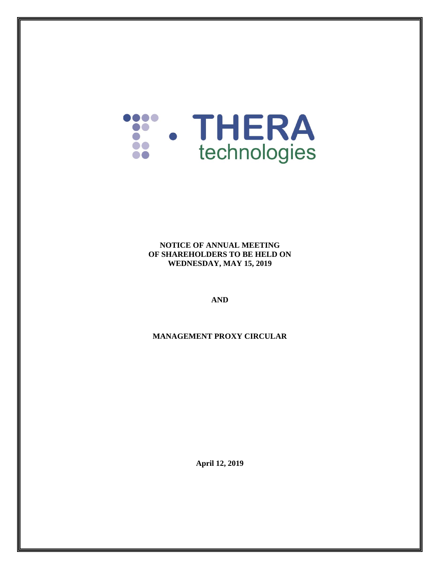

#### **NOTICE OF ANNUAL MEETING OF SHAREHOLDERS TO BE HELD ON WEDNESDAY, MAY 15, 2019**

**AND**

**MANAGEMENT PROXY CIRCULAR**

**April 12, 2019**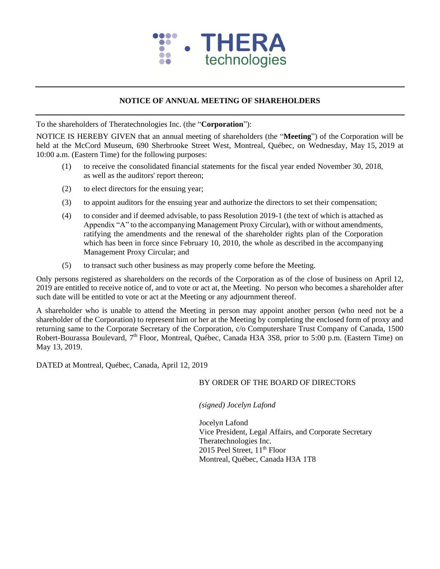

## **NOTICE OF ANNUAL MEETING OF SHAREHOLDERS**

To the shareholders of Theratechnologies Inc. (the "**Corporation**"):

NOTICE IS HEREBY GIVEN that an annual meeting of shareholders (the "**Meeting**") of the Corporation will be held at the McCord Museum, 690 Sherbrooke Street West, Montreal, Québec, on Wednesday, May 15, 2019 at 10:00 a.m. (Eastern Time) for the following purposes:

- (1) to receive the consolidated financial statements for the fiscal year ended November 30, 2018, as well as the auditors' report thereon;
- (2) to elect directors for the ensuing year;
- (3) to appoint auditors for the ensuing year and authorize the directors to set their compensation;
- (4) to consider and if deemed advisable, to pass Resolution 2019-1 (the text of which is attached as Appendix "A" to the accompanying Management Proxy Circular), with or without amendments, ratifying the amendments and the renewal of the shareholder rights plan of the Corporation which has been in force since February 10, 2010, the whole as described in the accompanying Management Proxy Circular; and
- (5) to transact such other business as may properly come before the Meeting.

Only persons registered as shareholders on the records of the Corporation as of the close of business on April 12, 2019 are entitled to receive notice of, and to vote or act at, the Meeting. No person who becomes a shareholder after such date will be entitled to vote or act at the Meeting or any adjournment thereof.

A shareholder who is unable to attend the Meeting in person may appoint another person (who need not be a shareholder of the Corporation) to represent him or her at the Meeting by completing the enclosed form of proxy and returning same to the Corporate Secretary of the Corporation, c/o Computershare Trust Company of Canada, 1500 Robert-Bourassa Boulevard, 7<sup>th</sup> Floor, Montreal, Québec, Canada H3A 3S8, prior to 5:00 p.m. (Eastern Time) on May 13, 2019.

DATED at Montreal, Québec, Canada, April 12, 2019

### BY ORDER OF THE BOARD OF DIRECTORS

*(signed) Jocelyn Lafond*

Jocelyn Lafond Vice President, Legal Affairs, and Corporate Secretary Theratechnologies Inc. 2015 Peel Street,  $11<sup>th</sup>$  Floor Montreal, Québec, Canada H3A 1T8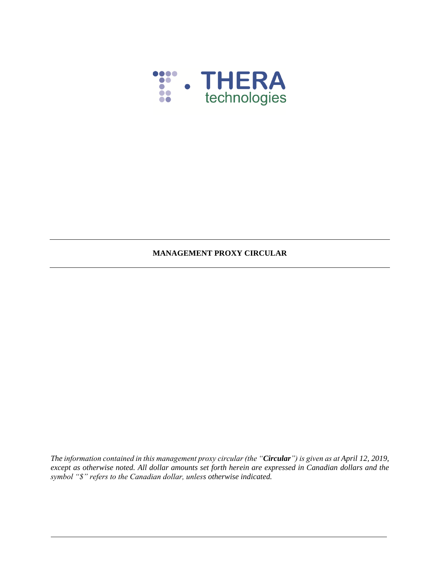

## **MANAGEMENT PROXY CIRCULAR**

*The information contained in this management proxy circular (the "Circular") is given as at April 12, 2019, except as otherwise noted. All dollar amounts set forth herein are expressed in Canadian dollars and the symbol "\$" refers to the Canadian dollar, unless otherwise indicated.*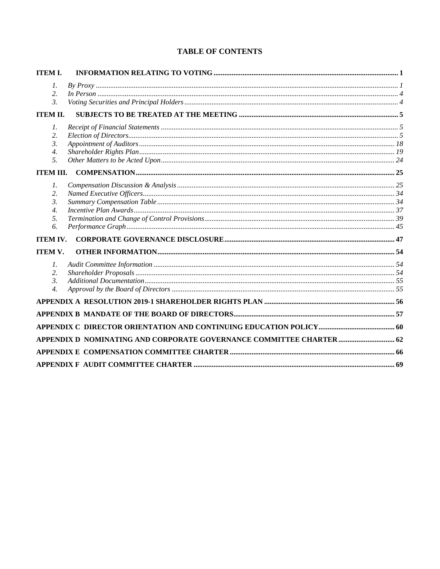# **TABLE OF CONTENTS**

| <b>ITEM I.</b>   |                                                                      |  |
|------------------|----------------------------------------------------------------------|--|
| 1.               |                                                                      |  |
| 2.               |                                                                      |  |
| $\mathfrak{Z}$   |                                                                      |  |
| <b>ITEM II.</b>  |                                                                      |  |
| 7.               |                                                                      |  |
| 2.               |                                                                      |  |
| 3.               |                                                                      |  |
| $\overline{4}$ . |                                                                      |  |
| .5.              |                                                                      |  |
| <b>ITEM III.</b> |                                                                      |  |
| 7.               |                                                                      |  |
| 2.               |                                                                      |  |
| 3.               |                                                                      |  |
| $\overline{4}$ . |                                                                      |  |
| 5.               |                                                                      |  |
| 6.               |                                                                      |  |
| <b>ITEM IV.</b>  |                                                                      |  |
| <b>ITEM V.</b>   |                                                                      |  |
| 1.               |                                                                      |  |
| 2.               |                                                                      |  |
| $\mathfrak{Z}$ . |                                                                      |  |
| $\overline{4}$ . |                                                                      |  |
|                  |                                                                      |  |
|                  |                                                                      |  |
|                  |                                                                      |  |
|                  | APPENDIX D NOMINATING AND CORPORATE GOVERNANCE COMMITTEE CHARTER  62 |  |
|                  |                                                                      |  |
|                  |                                                                      |  |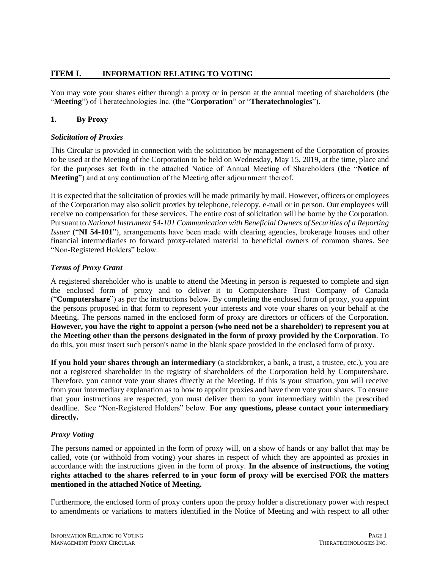# <span id="page-4-0"></span>**ITEM I. INFORMATION RELATING TO VOTING**

You may vote your shares either through a proxy or in person at the annual meeting of shareholders (the "**Meeting**") of Theratechnologies Inc. (the "**Corporation**" or "**Theratechnologies**").

# <span id="page-4-1"></span>**1. By Proxy**

### *Solicitation of Proxies*

This Circular is provided in connection with the solicitation by management of the Corporation of proxies to be used at the Meeting of the Corporation to be held on Wednesday, May 15, 2019, at the time, place and for the purposes set forth in the attached Notice of Annual Meeting of Shareholders (the "**Notice of Meeting**") and at any continuation of the Meeting after adjournment thereof.

It is expected that the solicitation of proxies will be made primarily by mail. However, officers or employees of the Corporation may also solicit proxies by telephone, telecopy, e-mail or in person. Our employees will receive no compensation for these services. The entire cost of solicitation will be borne by the Corporation. Pursuant to *National Instrument 54-101 Communication with Beneficial Owners of Securities of a Reporting Issuer* ("**NI 54-101**"), arrangements have been made with clearing agencies, brokerage houses and other financial intermediaries to forward proxy-related material to beneficial owners of common shares. See "Non-Registered Holders" below.

## *Terms of Proxy Grant*

A registered shareholder who is unable to attend the Meeting in person is requested to complete and sign the enclosed form of proxy and to deliver it to Computershare Trust Company of Canada ("**Computershare**") as per the instructions below. By completing the enclosed form of proxy, you appoint the persons proposed in that form to represent your interests and vote your shares on your behalf at the Meeting. The persons named in the enclosed form of proxy are directors or officers of the Corporation. **However, you have the right to appoint a person (who need not be a shareholder) to represent you at the Meeting other than the persons designated in the form of proxy provided by the Corporation**. To do this, you must insert such person's name in the blank space provided in the enclosed form of proxy.

**If you hold your shares through an intermediary** (a stockbroker, a bank, a trust, a trustee, etc.), you are not a registered shareholder in the registry of shareholders of the Corporation held by Computershare. Therefore, you cannot vote your shares directly at the Meeting. If this is your situation, you will receive from your intermediary explanation as to how to appoint proxies and have them vote your shares. To ensure that your instructions are respected, you must deliver them to your intermediary within the prescribed deadline. See "Non-Registered Holders" below. **For any questions, please contact your intermediary directly.**

# *Proxy Voting*

The persons named or appointed in the form of proxy will, on a show of hands or any ballot that may be called, vote (or withhold from voting) your shares in respect of which they are appointed as proxies in accordance with the instructions given in the form of proxy. **In the absence of instructions, the voting rights attached to the shares referred to in your form of proxy will be exercised FOR the matters mentioned in the attached Notice of Meeting.**

Furthermore, the enclosed form of proxy confers upon the proxy holder a discretionary power with respect to amendments or variations to matters identified in the Notice of Meeting and with respect to all other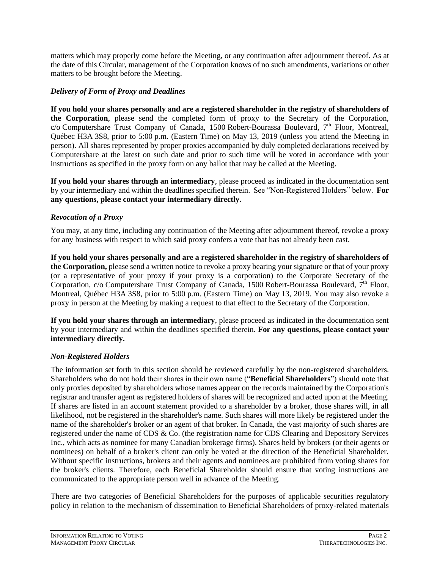matters which may properly come before the Meeting, or any continuation after adjournment thereof. As at the date of this Circular, management of the Corporation knows of no such amendments, variations or other matters to be brought before the Meeting.

### *Delivery of Form of Proxy and Deadlines*

**If you hold your shares personally and are a registered shareholder in the registry of shareholders of the Corporation**, please send the completed form of proxy to the Secretary of the Corporation, c/o Computershare Trust Company of Canada, 1500 Robert-Bourassa Boulevard, 7th Floor, Montreal, Québec H3A 3S8, prior to 5:00 p.m. (Eastern Time) on May 13, 2019 (unless you attend the Meeting in person). All shares represented by proper proxies accompanied by duly completed declarations received by Computershare at the latest on such date and prior to such time will be voted in accordance with your instructions as specified in the proxy form on any ballot that may be called at the Meeting.

**If you hold your shares through an intermediary**, please proceed as indicated in the documentation sent by your intermediary and within the deadlines specified therein. See "Non-Registered Holders" below. **For any questions, please contact your intermediary directly.**

# *Revocation of a Proxy*

You may, at any time, including any continuation of the Meeting after adjournment thereof, revoke a proxy for any business with respect to which said proxy confers a vote that has not already been cast.

**If you hold your shares personally and are a registered shareholder in the registry of shareholders of the Corporation,** please send a written notice to revoke a proxy bearing your signature or that of your proxy (or a representative of your proxy if your proxy is a corporation) to the Corporate Secretary of the Corporation,  $c/o$  Computershare Trust Company of Canada, 1500 Robert-Bourassa Boulevard,  $7<sup>th</sup>$  Floor, Montreal, Québec H3A 3S8, prior to 5:00 p.m. (Eastern Time) on May 13, 2019. You may also revoke a proxy in person at the Meeting by making a request to that effect to the Secretary of the Corporation.

**If you hold your shares through an intermediary**, please proceed as indicated in the documentation sent by your intermediary and within the deadlines specified therein. **For any questions, please contact your intermediary directly.**

# *Non-Registered Holders*

The information set forth in this section should be reviewed carefully by the non-registered shareholders. Shareholders who do not hold their shares in their own name ("**Beneficial Shareholders**") should note that only proxies deposited by shareholders whose names appear on the records maintained by the Corporation's registrar and transfer agent as registered holders of shares will be recognized and acted upon at the Meeting. If shares are listed in an account statement provided to a shareholder by a broker, those shares will, in all likelihood, not be registered in the shareholder's name. Such shares will more likely be registered under the name of the shareholder's broker or an agent of that broker. In Canada, the vast majority of such shares are registered under the name of CDS & Co. (the registration name for CDS Clearing and Depository Services Inc., which acts as nominee for many Canadian brokerage firms). Shares held by brokers (or their agents or nominees) on behalf of a broker's client can only be voted at the direction of the Beneficial Shareholder. Without specific instructions, brokers and their agents and nominees are prohibited from voting shares for the broker's clients. Therefore, each Beneficial Shareholder should ensure that voting instructions are communicated to the appropriate person well in advance of the Meeting.

There are two categories of Beneficial Shareholders for the purposes of applicable securities regulatory policy in relation to the mechanism of dissemination to Beneficial Shareholders of proxy-related materials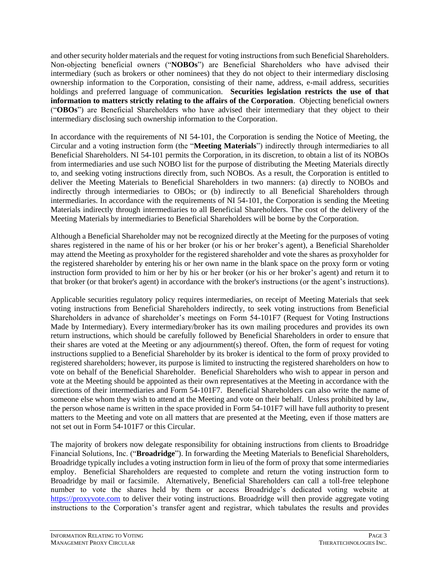and other security holder materials and the request for voting instructions from such Beneficial Shareholders. Non-objecting beneficial owners ("**NOBOs**") are Beneficial Shareholders who have advised their intermediary (such as brokers or other nominees) that they do not object to their intermediary disclosing ownership information to the Corporation, consisting of their name, address, e-mail address, securities holdings and preferred language of communication. **Securities legislation restricts the use of that information to matters strictly relating to the affairs of the Corporation**. Objecting beneficial owners ("**OBOs**") are Beneficial Shareholders who have advised their intermediary that they object to their intermediary disclosing such ownership information to the Corporation.

In accordance with the requirements of NI 54-101, the Corporation is sending the Notice of Meeting, the Circular and a voting instruction form (the "**Meeting Materials**") indirectly through intermediaries to all Beneficial Shareholders. NI 54-101 permits the Corporation, in its discretion, to obtain a list of its NOBOs from intermediaries and use such NOBO list for the purpose of distributing the Meeting Materials directly to, and seeking voting instructions directly from, such NOBOs. As a result, the Corporation is entitled to deliver the Meeting Materials to Beneficial Shareholders in two manners: (a) directly to NOBOs and indirectly through intermediaries to OBOs; or (b) indirectly to all Beneficial Shareholders through intermediaries. In accordance with the requirements of NI 54-101, the Corporation is sending the Meeting Materials indirectly through intermediaries to all Beneficial Shareholders. The cost of the delivery of the Meeting Materials by intermediaries to Beneficial Shareholders will be borne by the Corporation.

Although a Beneficial Shareholder may not be recognized directly at the Meeting for the purposes of voting shares registered in the name of his or her broker (or his or her broker's agent), a Beneficial Shareholder may attend the Meeting as proxyholder for the registered shareholder and vote the shares as proxyholder for the registered shareholder by entering his or her own name in the blank space on the proxy form or voting instruction form provided to him or her by his or her broker (or his or her broker's agent) and return it to that broker (or that broker's agent) in accordance with the broker's instructions (or the agent's instructions).

Applicable securities regulatory policy requires intermediaries, on receipt of Meeting Materials that seek voting instructions from Beneficial Shareholders indirectly, to seek voting instructions from Beneficial Shareholders in advance of shareholder's meetings on Form 54-101F7 (Request for Voting Instructions Made by Intermediary). Every intermediary/broker has its own mailing procedures and provides its own return instructions, which should be carefully followed by Beneficial Shareholders in order to ensure that their shares are voted at the Meeting or any adjournment(s) thereof. Often, the form of request for voting instructions supplied to a Beneficial Shareholder by its broker is identical to the form of proxy provided to registered shareholders; however, its purpose is limited to instructing the registered shareholders on how to vote on behalf of the Beneficial Shareholder. Beneficial Shareholders who wish to appear in person and vote at the Meeting should be appointed as their own representatives at the Meeting in accordance with the directions of their intermediaries and Form 54-101F7. Beneficial Shareholders can also write the name of someone else whom they wish to attend at the Meeting and vote on their behalf. Unless prohibited by law, the person whose name is written in the space provided in Form 54-101F7 will have full authority to present matters to the Meeting and vote on all matters that are presented at the Meeting, even if those matters are not set out in Form 54-101F7 or this Circular.

The majority of brokers now delegate responsibility for obtaining instructions from clients to Broadridge Financial Solutions, Inc. ("**Broadridge**"). In forwarding the Meeting Materials to Beneficial Shareholders, Broadridge typically includes a voting instruction form in lieu of the form of proxy that some intermediaries employ. Beneficial Shareholders are requested to complete and return the voting instruction form to Broadridge by mail or facsimile. Alternatively, Beneficial Shareholders can call a toll-free telephone number to vote the shares held by them or access Broadridge's dedicated voting website at [https://proxyvote.com](https://proxyvote.com/) to deliver their voting instructions. Broadridge will then provide aggregate voting instructions to the Corporation's transfer agent and registrar, which tabulates the results and provides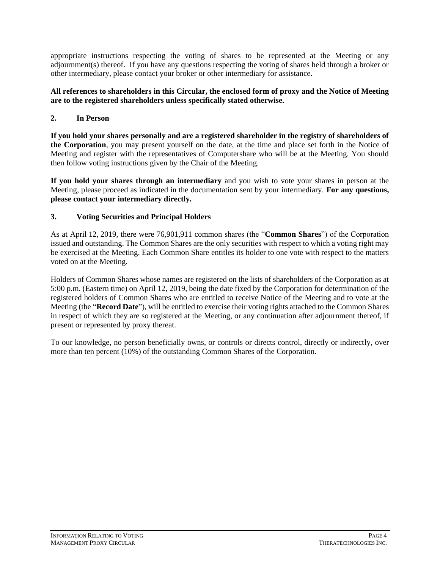appropriate instructions respecting the voting of shares to be represented at the Meeting or any adjournment(s) thereof. If you have any questions respecting the voting of shares held through a broker or other intermediary, please contact your broker or other intermediary for assistance.

#### **All references to shareholders in this Circular, the enclosed form of proxy and the Notice of Meeting are to the registered shareholders unless specifically stated otherwise.**

### <span id="page-7-0"></span>**2. In Person**

**If you hold your shares personally and are a registered shareholder in the registry of shareholders of the Corporation**, you may present yourself on the date, at the time and place set forth in the Notice of Meeting and register with the representatives of Computershare who will be at the Meeting. You should then follow voting instructions given by the Chair of the Meeting.

**If you hold your shares through an intermediary** and you wish to vote your shares in person at the Meeting, please proceed as indicated in the documentation sent by your intermediary. **For any questions, please contact your intermediary directly.**

### <span id="page-7-1"></span>**3. Voting Securities and Principal Holders**

As at April 12, 2019, there were 76,901,911 common shares (the "**Common Shares**") of the Corporation issued and outstanding. The Common Shares are the only securities with respect to which a voting right may be exercised at the Meeting. Each Common Share entitles its holder to one vote with respect to the matters voted on at the Meeting.

Holders of Common Shares whose names are registered on the lists of shareholders of the Corporation as at 5:00 p.m. (Eastern time) on April 12, 2019, being the date fixed by the Corporation for determination of the registered holders of Common Shares who are entitled to receive Notice of the Meeting and to vote at the Meeting (the "**Record Date**"), will be entitled to exercise their voting rights attached to the Common Shares in respect of which they are so registered at the Meeting, or any continuation after adjournment thereof, if present or represented by proxy thereat.

To our knowledge, no person beneficially owns, or controls or directs control, directly or indirectly, over more than ten percent (10%) of the outstanding Common Shares of the Corporation.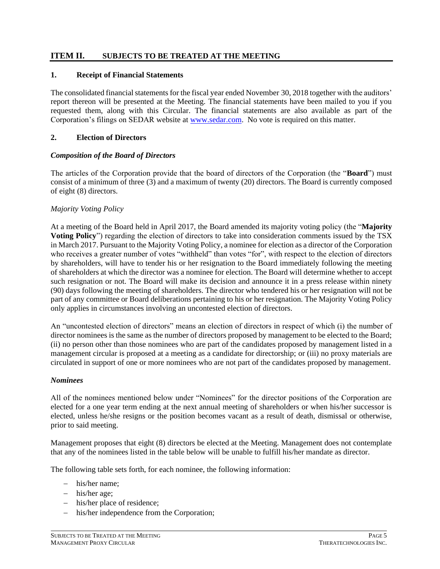# <span id="page-8-0"></span>**ITEM II. SUBJECTS TO BE TREATED AT THE MEETING**

### <span id="page-8-1"></span>**1. Receipt of Financial Statements**

The consolidated financial statements for the fiscal year ended November 30, 2018 together with the auditors' report thereon will be presented at the Meeting. The financial statements have been mailed to you if you requested them, along with this Circular. The financial statements are also available as part of the Corporation's filings on SEDAR website at [www.sedar.com.](http://www.sedar.com/) No vote is required on this matter.

#### <span id="page-8-2"></span>**2. Election of Directors**

#### *Composition of the Board of Directors*

The articles of the Corporation provide that the board of directors of the Corporation (the "**Board**") must consist of a minimum of three (3) and a maximum of twenty (20) directors. The Board is currently composed of eight (8) directors.

#### *Majority Voting Policy*

At a meeting of the Board held in April 2017, the Board amended its majority voting policy (the "**Majority Voting Policy**") regarding the election of directors to take into consideration comments issued by the TSX in March 2017. Pursuant to the Majority Voting Policy, a nominee for election as a director of the Corporation who receives a greater number of votes "withheld" than votes "for", with respect to the election of directors by shareholders, will have to tender his or her resignation to the Board immediately following the meeting of shareholders at which the director was a nominee for election. The Board will determine whether to accept such resignation or not. The Board will make its decision and announce it in a press release within ninety (90) days following the meeting of shareholders. The director who tendered his or her resignation will not be part of any committee or Board deliberations pertaining to his or her resignation. The Majority Voting Policy only applies in circumstances involving an uncontested election of directors.

An "uncontested election of directors" means an election of directors in respect of which (i) the number of director nominees is the same as the number of directors proposed by management to be elected to the Board; (ii) no person other than those nominees who are part of the candidates proposed by management listed in a management circular is proposed at a meeting as a candidate for directorship; or (iii) no proxy materials are circulated in support of one or more nominees who are not part of the candidates proposed by management.

#### *Nominees*

All of the nominees mentioned below under "Nominees" for the director positions of the Corporation are elected for a one year term ending at the next annual meeting of shareholders or when his/her successor is elected, unless he/she resigns or the position becomes vacant as a result of death, dismissal or otherwise, prior to said meeting.

Management proposes that eight (8) directors be elected at the Meeting. Management does not contemplate that any of the nominees listed in the table below will be unable to fulfill his/her mandate as director.

The following table sets forth, for each nominee, the following information:

- − his/her name;
- − his/her age;
- − his/her place of residence;
- his/her independence from the Corporation;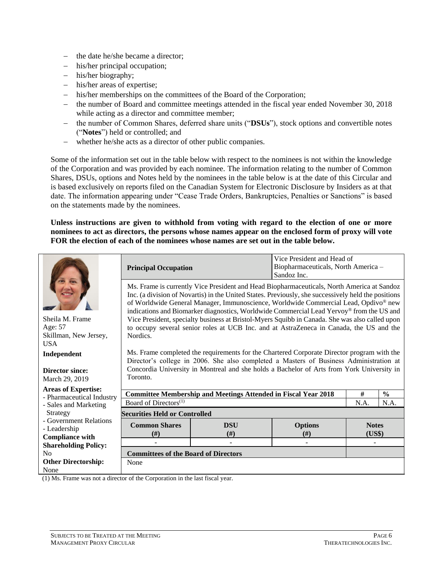- − the date he/she became a director;
- − his/her principal occupation;
- − his/her biography;
- − his/her areas of expertise;
- his/her memberships on the committees of the Board of the Corporation;
- − the number of Board and committee meetings attended in the fiscal year ended November 30, 2018 while acting as a director and committee member;
- − the number of Common Shares, deferred share units ("**DSUs**"), stock options and convertible notes ("**Notes**") held or controlled; and
- − whether he/she acts as a director of other public companies.

Some of the information set out in the table below with respect to the nominees is not within the knowledge of the Corporation and was provided by each nominee. The information relating to the number of Common Shares, DSUs, options and Notes held by the nominees in the table below is at the date of this Circular and is based exclusively on reports filed on the Canadian System for Electronic Disclosure by Insiders as at that date. The information appearing under "Cease Trade Orders, Bankruptcies, Penalties or Sanctions" is based on the statements made by the nominees.

**Unless instructions are given to withhold from voting with regard to the election of one or more nominees to act as directors, the persons whose names appear on the enclosed form of proxy will vote FOR the election of each of the nominees whose names are set out in the table below.**

|                                                                  | Vice President and Head of<br>Biopharmaceuticals, North America -<br><b>Principal Occupation</b><br>Sandoz Inc.                                                                                                                                                                                                                                                                                                                                                                        |                                                                                       |  |      |               |  |  |  |
|------------------------------------------------------------------|----------------------------------------------------------------------------------------------------------------------------------------------------------------------------------------------------------------------------------------------------------------------------------------------------------------------------------------------------------------------------------------------------------------------------------------------------------------------------------------|---------------------------------------------------------------------------------------|--|------|---------------|--|--|--|
| Sheila M. Frame                                                  | Ms. Frame is currently Vice President and Head Biopharmaceuticals, North America at Sandoz<br>Inc. (a division of Novartis) in the United States. Previously, she successively held the positions<br>of Worldwide General Manager, Immunoscience, Worldwide Commercial Lead, Opdivo® new<br>indications and Biomarker diagnostics, Worldwide Commercial Lead Yervoy® from the US and<br>Vice President, specialty business at Bristol-Myers Squibb in Canada. She was also called upon |                                                                                       |  |      |               |  |  |  |
| Age: 57<br>Skillman, New Jersey,<br><b>USA</b>                   | to occupy several senior roles at UCB Inc. and at AstraZeneca in Canada, the US and the<br>Nordics.                                                                                                                                                                                                                                                                                                                                                                                    |                                                                                       |  |      |               |  |  |  |
| Independent                                                      | Ms. Frame completed the requirements for the Chartered Corporate Director program with the<br>Director's college in 2006. She also completed a Masters of Business Administration at                                                                                                                                                                                                                                                                                                   |                                                                                       |  |      |               |  |  |  |
| <b>Director since:</b><br>March 29, 2019                         | Concordia University in Montreal and she holds a Bachelor of Arts from York University in<br>Toronto.                                                                                                                                                                                                                                                                                                                                                                                  |                                                                                       |  |      |               |  |  |  |
| <b>Areas of Expertise:</b>                                       |                                                                                                                                                                                                                                                                                                                                                                                                                                                                                        | <b>Committee Membership and Meetings Attended in Fiscal Year 2018</b>                 |  | $\#$ | $\frac{0}{0}$ |  |  |  |
| - Pharmaceutical Industry<br>- Sales and Marketing               | Board of Directors <sup>(1)</sup>                                                                                                                                                                                                                                                                                                                                                                                                                                                      |                                                                                       |  | N.A. | N.A.          |  |  |  |
| Strategy                                                         | <b>Securities Held or Controlled</b>                                                                                                                                                                                                                                                                                                                                                                                                                                                   |                                                                                       |  |      |               |  |  |  |
| - Government Relations<br>- Leadership<br><b>Compliance with</b> | <b>Common Shares</b><br><b>Options</b><br><b>DSU</b><br><b>Notes</b><br>#)<br>(# )<br>(US\$)<br>#)                                                                                                                                                                                                                                                                                                                                                                                     |                                                                                       |  |      |               |  |  |  |
| <b>Shareholding Policy:</b>                                      |                                                                                                                                                                                                                                                                                                                                                                                                                                                                                        |                                                                                       |  |      |               |  |  |  |
| N <sub>0</sub>                                                   | <b>Committees of the Board of Directors</b>                                                                                                                                                                                                                                                                                                                                                                                                                                            |                                                                                       |  |      |               |  |  |  |
| <b>Other Directorship:</b>                                       | None                                                                                                                                                                                                                                                                                                                                                                                                                                                                                   |                                                                                       |  |      |               |  |  |  |
| None<br>$\cdot$<br>$(1)$ if $\Box$                               | $\mathfrak{c}$ $\mathfrak{a}$                                                                                                                                                                                                                                                                                                                                                                                                                                                          | $\mathcal{A}$ and $\mathcal{A}$ and $\mathcal{A}$ and $\mathcal{A}$ and $\mathcal{A}$ |  |      |               |  |  |  |

(1) Ms. Frame was not a director of the Corporation in the last fiscal year.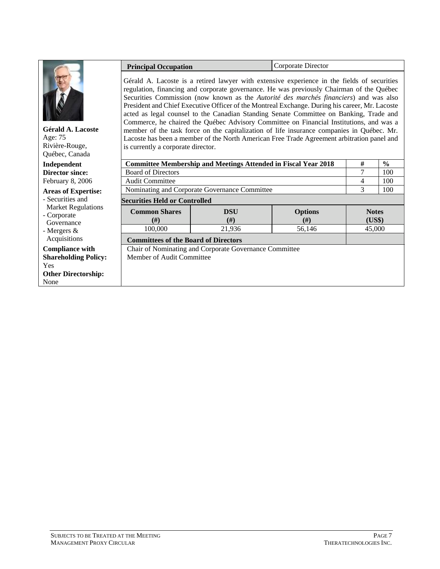|                                                                  | Corporate Director<br><b>Principal Occupation</b>                                                                                                                                                                                                                                                                                                                                                                                                                                                                                                                                                                                                                                                                                                                  |                                                                       |                                  |                                  |               |
|------------------------------------------------------------------|--------------------------------------------------------------------------------------------------------------------------------------------------------------------------------------------------------------------------------------------------------------------------------------------------------------------------------------------------------------------------------------------------------------------------------------------------------------------------------------------------------------------------------------------------------------------------------------------------------------------------------------------------------------------------------------------------------------------------------------------------------------------|-----------------------------------------------------------------------|----------------------------------|----------------------------------|---------------|
| Gérald A. Lacoste<br>Age: 75<br>Rivière-Rouge,<br>Québec, Canada | Gérald A. Lacoste is a retired lawyer with extensive experience in the fields of securities<br>regulation, financing and corporate governance. He was previously Chairman of the Québec<br>Securities Commission (now known as the Autorité des marchés financiers) and was also<br>President and Chief Executive Officer of the Montreal Exchange. During his career, Mr. Lacoste<br>acted as legal counsel to the Canadian Standing Senate Committee on Banking, Trade and<br>Commerce, he chaired the Québec Advisory Committee on Financial Institutions, and was a<br>member of the task force on the capitalization of life insurance companies in Québec. Mr.<br>Lacoste has been a member of the North American Free Trade Agreement arbitration panel and |                                                                       |                                  |                                  |               |
| Independent                                                      |                                                                                                                                                                                                                                                                                                                                                                                                                                                                                                                                                                                                                                                                                                                                                                    | <b>Committee Membership and Meetings Attended in Fiscal Year 2018</b> |                                  | #                                | $\frac{0}{0}$ |
| <b>Director since:</b>                                           | <b>Board of Directors</b>                                                                                                                                                                                                                                                                                                                                                                                                                                                                                                                                                                                                                                                                                                                                          |                                                                       |                                  | 7                                | 100           |
| February 8, 2006                                                 | <b>Audit Committee</b>                                                                                                                                                                                                                                                                                                                                                                                                                                                                                                                                                                                                                                                                                                                                             |                                                                       |                                  | 4                                | 100           |
| <b>Areas of Expertise:</b>                                       |                                                                                                                                                                                                                                                                                                                                                                                                                                                                                                                                                                                                                                                                                                                                                                    | Nominating and Corporate Governance Committee                         |                                  | 3                                | 100           |
| - Securities and                                                 | <b>Securities Held or Controlled</b>                                                                                                                                                                                                                                                                                                                                                                                                                                                                                                                                                                                                                                                                                                                               |                                                                       |                                  |                                  |               |
| <b>Market Regulations</b><br>- Corporate<br>Governance           | <b>Common Shares</b><br>#)<br>100,000                                                                                                                                                                                                                                                                                                                                                                                                                                                                                                                                                                                                                                                                                                                              | <b>DSU</b><br>(# )<br>21,936                                          | <b>Options</b><br>(# )<br>56,146 | <b>Notes</b><br>(US\$)<br>45,000 |               |
| - Mergers $\&$<br>Acquisitions                                   |                                                                                                                                                                                                                                                                                                                                                                                                                                                                                                                                                                                                                                                                                                                                                                    |                                                                       |                                  |                                  |               |
|                                                                  | <b>Committees of the Board of Directors</b>                                                                                                                                                                                                                                                                                                                                                                                                                                                                                                                                                                                                                                                                                                                        |                                                                       |                                  |                                  |               |
| <b>Compliance with</b>                                           |                                                                                                                                                                                                                                                                                                                                                                                                                                                                                                                                                                                                                                                                                                                                                                    | Chair of Nominating and Corporate Governance Committee                |                                  |                                  |               |
| <b>Shareholding Policy:</b><br>Yes                               | Member of Audit Committee                                                                                                                                                                                                                                                                                                                                                                                                                                                                                                                                                                                                                                                                                                                                          |                                                                       |                                  |                                  |               |
| <b>Other Directorship:</b>                                       |                                                                                                                                                                                                                                                                                                                                                                                                                                                                                                                                                                                                                                                                                                                                                                    |                                                                       |                                  |                                  |               |
| None                                                             |                                                                                                                                                                                                                                                                                                                                                                                                                                                                                                                                                                                                                                                                                                                                                                    |                                                                       |                                  |                                  |               |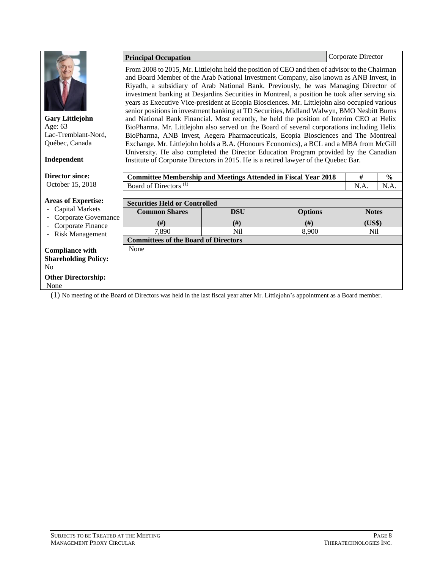|                                                      | <b>Principal Occupation</b>                                                                                                                                                      |                 |                | Corporate Director |               |  |  |  |  |
|------------------------------------------------------|----------------------------------------------------------------------------------------------------------------------------------------------------------------------------------|-----------------|----------------|--------------------|---------------|--|--|--|--|
|                                                      | From 2008 to 2015, Mr. Littlejohn held the position of CEO and then of advisor to the Chairman                                                                                   |                 |                |                    |               |  |  |  |  |
|                                                      | and Board Member of the Arab National Investment Company, also known as ANB Invest, in                                                                                           |                 |                |                    |               |  |  |  |  |
|                                                      | Riyadh, a subsidiary of Arab National Bank. Previously, he was Managing Director of                                                                                              |                 |                |                    |               |  |  |  |  |
|                                                      | investment banking at Desjardins Securities in Montreal, a position he took after serving six                                                                                    |                 |                |                    |               |  |  |  |  |
|                                                      | years as Executive Vice-president at Ecopia Biosciences. Mr. Littlejohn also occupied various                                                                                    |                 |                |                    |               |  |  |  |  |
|                                                      | senior positions in investment banking at TD Securities, Midland Walwyn, BMO Nesbitt Burns                                                                                       |                 |                |                    |               |  |  |  |  |
| <b>Gary Littlejohn</b><br>Age: 63                    | and National Bank Financial. Most recently, he held the position of Interim CEO at Helix                                                                                         |                 |                |                    |               |  |  |  |  |
| Lac-Tremblant-Nord,                                  | BioPharma. Mr. Littlejohn also served on the Board of several corporations including Helix<br>BioPharma, ANB Invest, Aegera Pharmaceuticals, Ecopia Biosciences and The Montreal |                 |                |                    |               |  |  |  |  |
| Québec, Canada                                       | Exchange. Mr. Littlejohn holds a B.A. (Honours Economics), a BCL and a MBA from McGill                                                                                           |                 |                |                    |               |  |  |  |  |
|                                                      |                                                                                                                                                                                  |                 |                |                    |               |  |  |  |  |
| Independent                                          | University. He also completed the Director Education Program provided by the Canadian<br>Institute of Corporate Directors in 2015. He is a retired lawyer of the Quebec Bar.     |                 |                |                    |               |  |  |  |  |
|                                                      |                                                                                                                                                                                  |                 |                |                    |               |  |  |  |  |
| <b>Director since:</b>                               | <b>Committee Membership and Meetings Attended in Fiscal Year 2018</b>                                                                                                            |                 |                | #                  | $\frac{0}{0}$ |  |  |  |  |
| October 15, 2018                                     | Board of Directors <sup>(1)</sup>                                                                                                                                                |                 |                | N.A.               | N.A.          |  |  |  |  |
|                                                      |                                                                                                                                                                                  |                 |                |                    |               |  |  |  |  |
| <b>Areas of Expertise:</b><br><b>Capital Markets</b> | <b>Securities Held or Controlled</b>                                                                                                                                             |                 |                |                    |               |  |  |  |  |
| Corporate Governance                                 | <b>Common Shares</b>                                                                                                                                                             | <b>DSU</b>      | <b>Options</b> | <b>Notes</b>       |               |  |  |  |  |
| Corporate Finance                                    | (# )                                                                                                                                                                             | (# )            | (# )           | (US\$)             |               |  |  |  |  |
| <b>Risk Management</b><br>$\overline{\phantom{a}}$   | 7,890                                                                                                                                                                            | N <sub>il</sub> | 8,900          | N <sub>il</sub>    |               |  |  |  |  |
|                                                      | <b>Committees of the Board of Directors</b>                                                                                                                                      |                 |                |                    |               |  |  |  |  |
| <b>Compliance with</b>                               | None                                                                                                                                                                             |                 |                |                    |               |  |  |  |  |
| <b>Shareholding Policy:</b>                          |                                                                                                                                                                                  |                 |                |                    |               |  |  |  |  |
| N <sub>0</sub>                                       |                                                                                                                                                                                  |                 |                |                    |               |  |  |  |  |
| <b>Other Directorship:</b>                           |                                                                                                                                                                                  |                 |                |                    |               |  |  |  |  |
| None                                                 |                                                                                                                                                                                  |                 |                |                    |               |  |  |  |  |
|                                                      | (1) No meeting of the Board of Directors was held in the last fiscal year after Mr. Littlejohn's appointment as a Board member.                                                  |                 |                |                    |               |  |  |  |  |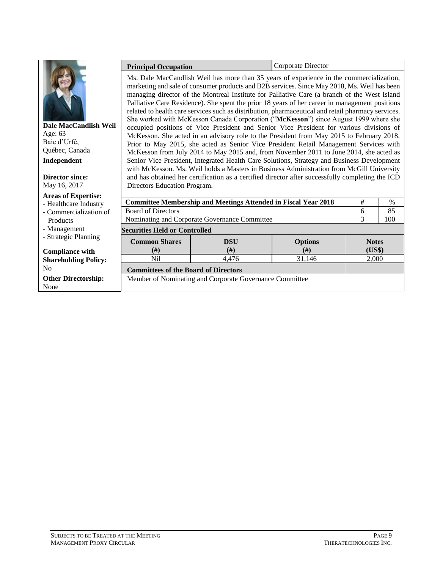|                                                                                   | <b>Principal Occupation</b>                                                                                                                                                                                                                                                                                                                                                                                                                                                                                                                                                                                                                                                                                                                                                                                                                                                                                                                                                                                                                                                                                                                                  |                                                                                                  | Corporate Director |              |      |  |  |  |  |
|-----------------------------------------------------------------------------------|--------------------------------------------------------------------------------------------------------------------------------------------------------------------------------------------------------------------------------------------------------------------------------------------------------------------------------------------------------------------------------------------------------------------------------------------------------------------------------------------------------------------------------------------------------------------------------------------------------------------------------------------------------------------------------------------------------------------------------------------------------------------------------------------------------------------------------------------------------------------------------------------------------------------------------------------------------------------------------------------------------------------------------------------------------------------------------------------------------------------------------------------------------------|--------------------------------------------------------------------------------------------------|--------------------|--------------|------|--|--|--|--|
| Dale MacCandlish Weil<br>Age: 63<br>Baie d'Urfé,<br>Québec, Canada<br>Independent | Ms. Dale MacCandlish Weil has more than 35 years of experience in the commercialization,<br>marketing and sale of consumer products and B2B services. Since May 2018, Ms. Weil has been<br>managing director of the Montreal Institute for Palliative Care (a branch of the West Island<br>Palliative Care Residence). She spent the prior 18 years of her career in management positions<br>related to health care services such as distribution, pharmaceutical and retail pharmacy services.<br>She worked with McKesson Canada Corporation ("McKesson") since August 1999 where she<br>occupied positions of Vice President and Senior Vice President for various divisions of<br>McKesson. She acted in an advisory role to the President from May 2015 to February 2018.<br>Prior to May 2015, she acted as Senior Vice President Retail Management Services with<br>McKesson from July 2014 to May 2015 and, from November 2011 to June 2014, she acted as<br>Senior Vice President, Integrated Health Care Solutions, Strategy and Business Development<br>with McKesson. Ms. Weil holds a Masters in Business Administration from McGill University |                                                                                                  |                    |              |      |  |  |  |  |
| <b>Director since:</b>                                                            |                                                                                                                                                                                                                                                                                                                                                                                                                                                                                                                                                                                                                                                                                                                                                                                                                                                                                                                                                                                                                                                                                                                                                              | and has obtained her certification as a certified director after successfully completing the ICD |                    |              |      |  |  |  |  |
| May 16, 2017                                                                      | Directors Education Program.                                                                                                                                                                                                                                                                                                                                                                                                                                                                                                                                                                                                                                                                                                                                                                                                                                                                                                                                                                                                                                                                                                                                 |                                                                                                  |                    |              |      |  |  |  |  |
| <b>Areas of Expertise:</b><br>- Healthcare Industry                               |                                                                                                                                                                                                                                                                                                                                                                                                                                                                                                                                                                                                                                                                                                                                                                                                                                                                                                                                                                                                                                                                                                                                                              | <b>Committee Membership and Meetings Attended in Fiscal Year 2018</b>                            |                    | #            | $\%$ |  |  |  |  |
| - Commercialization of                                                            | <b>Board of Directors</b>                                                                                                                                                                                                                                                                                                                                                                                                                                                                                                                                                                                                                                                                                                                                                                                                                                                                                                                                                                                                                                                                                                                                    |                                                                                                  |                    | 6            | 85   |  |  |  |  |
| Products                                                                          |                                                                                                                                                                                                                                                                                                                                                                                                                                                                                                                                                                                                                                                                                                                                                                                                                                                                                                                                                                                                                                                                                                                                                              | Nominating and Corporate Governance Committee                                                    |                    | 3            | 100  |  |  |  |  |
| - Management                                                                      | <b>Securities Held or Controlled</b>                                                                                                                                                                                                                                                                                                                                                                                                                                                                                                                                                                                                                                                                                                                                                                                                                                                                                                                                                                                                                                                                                                                         |                                                                                                  |                    |              |      |  |  |  |  |
| - Strategic Planning                                                              | <b>Common Shares</b>                                                                                                                                                                                                                                                                                                                                                                                                                                                                                                                                                                                                                                                                                                                                                                                                                                                                                                                                                                                                                                                                                                                                         | <b>DSU</b>                                                                                       | <b>Options</b>     | <b>Notes</b> |      |  |  |  |  |
| <b>Compliance with</b>                                                            | #)                                                                                                                                                                                                                                                                                                                                                                                                                                                                                                                                                                                                                                                                                                                                                                                                                                                                                                                                                                                                                                                                                                                                                           | (f# )                                                                                            | (f#)               | (US\$)       |      |  |  |  |  |
| <b>Shareholding Policy:</b>                                                       | Nil                                                                                                                                                                                                                                                                                                                                                                                                                                                                                                                                                                                                                                                                                                                                                                                                                                                                                                                                                                                                                                                                                                                                                          | 4.476                                                                                            | 31.146             | 2.000        |      |  |  |  |  |
| No                                                                                | <b>Committees of the Board of Directors</b>                                                                                                                                                                                                                                                                                                                                                                                                                                                                                                                                                                                                                                                                                                                                                                                                                                                                                                                                                                                                                                                                                                                  |                                                                                                  |                    |              |      |  |  |  |  |
| <b>Other Directorship:</b>                                                        |                                                                                                                                                                                                                                                                                                                                                                                                                                                                                                                                                                                                                                                                                                                                                                                                                                                                                                                                                                                                                                                                                                                                                              | Member of Nominating and Corporate Governance Committee                                          |                    |              |      |  |  |  |  |
| None                                                                              |                                                                                                                                                                                                                                                                                                                                                                                                                                                                                                                                                                                                                                                                                                                                                                                                                                                                                                                                                                                                                                                                                                                                                              |                                                                                                  |                    |              |      |  |  |  |  |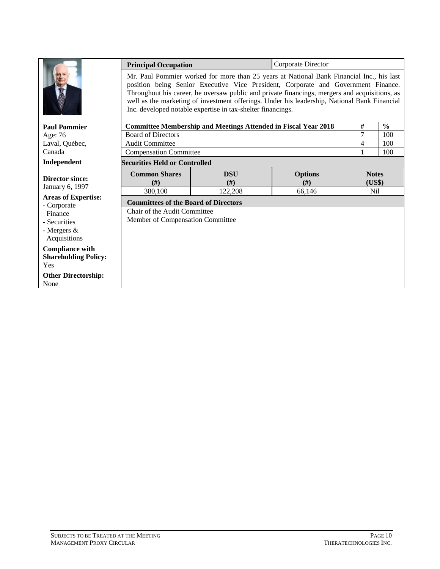|                                                              | Corporate Director<br><b>Principal Occupation</b><br>Mr. Paul Pommier worked for more than 25 years at National Bank Financial Inc., his last<br>position being Senior Executive Vice President, Corporate and Government Finance.<br>Throughout his career, he oversaw public and private financings, mergers and acquisitions, as<br>well as the marketing of investment offerings. Under his leadership, National Bank Financial<br>Inc. developed notable expertise in tax-shelter financings. |                                                                       |        |                 |               |  |  |  |
|--------------------------------------------------------------|----------------------------------------------------------------------------------------------------------------------------------------------------------------------------------------------------------------------------------------------------------------------------------------------------------------------------------------------------------------------------------------------------------------------------------------------------------------------------------------------------|-----------------------------------------------------------------------|--------|-----------------|---------------|--|--|--|
| <b>Paul Pommier</b>                                          |                                                                                                                                                                                                                                                                                                                                                                                                                                                                                                    | <b>Committee Membership and Meetings Attended in Fiscal Year 2018</b> |        | $\#$            | $\frac{0}{0}$ |  |  |  |
| Age: 76                                                      | <b>Board of Directors</b>                                                                                                                                                                                                                                                                                                                                                                                                                                                                          |                                                                       |        | 7               | 100           |  |  |  |
| Laval, Québec,                                               | <b>Audit Committee</b>                                                                                                                                                                                                                                                                                                                                                                                                                                                                             |                                                                       |        | 4               | 100           |  |  |  |
| Canada                                                       | <b>Compensation Committee</b>                                                                                                                                                                                                                                                                                                                                                                                                                                                                      |                                                                       |        | 1               | 100           |  |  |  |
| Independent                                                  | <b>Securities Held or Controlled</b>                                                                                                                                                                                                                                                                                                                                                                                                                                                               |                                                                       |        |                 |               |  |  |  |
| <b>Director since:</b>                                       | <b>Common Shares</b><br><b>DSU</b><br><b>Options</b><br>(H)<br>(H)<br>(f# )                                                                                                                                                                                                                                                                                                                                                                                                                        |                                                                       |        |                 |               |  |  |  |
| January 6, 1997                                              | 380,100                                                                                                                                                                                                                                                                                                                                                                                                                                                                                            | 122,208                                                               | 66,146 | N <sub>il</sub> |               |  |  |  |
| <b>Areas of Expertise:</b><br>- Corporate                    | <b>Committees of the Board of Directors</b>                                                                                                                                                                                                                                                                                                                                                                                                                                                        |                                                                       |        |                 |               |  |  |  |
| Finance                                                      | Chair of the Audit Committee                                                                                                                                                                                                                                                                                                                                                                                                                                                                       |                                                                       |        |                 |               |  |  |  |
| - Securities                                                 | Member of Compensation Committee                                                                                                                                                                                                                                                                                                                                                                                                                                                                   |                                                                       |        |                 |               |  |  |  |
| - Mergers &<br>Acquisitions                                  |                                                                                                                                                                                                                                                                                                                                                                                                                                                                                                    |                                                                       |        |                 |               |  |  |  |
| <b>Compliance with</b><br><b>Shareholding Policy:</b><br>Yes |                                                                                                                                                                                                                                                                                                                                                                                                                                                                                                    |                                                                       |        |                 |               |  |  |  |
| <b>Other Directorship:</b><br>None                           |                                                                                                                                                                                                                                                                                                                                                                                                                                                                                                    |                                                                       |        |                 |               |  |  |  |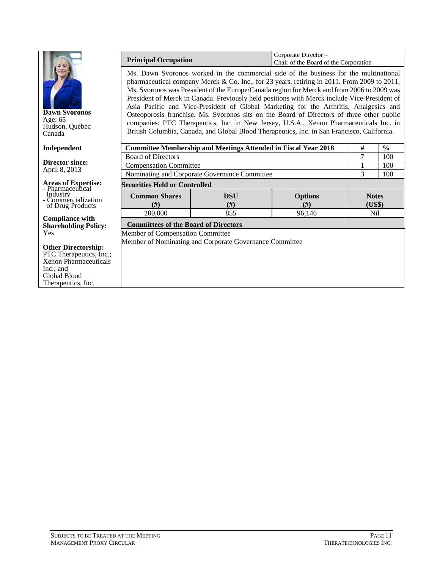|                                                             | Corporate Director -<br><b>Principal Occupation</b><br>Chair of the Board of the Corporation                                                                                                                                                                                                                                                                                                                                                                                                                                                                                                                                                                                                                                                                      |                                                                       |                |              |               |  |  |  |
|-------------------------------------------------------------|-------------------------------------------------------------------------------------------------------------------------------------------------------------------------------------------------------------------------------------------------------------------------------------------------------------------------------------------------------------------------------------------------------------------------------------------------------------------------------------------------------------------------------------------------------------------------------------------------------------------------------------------------------------------------------------------------------------------------------------------------------------------|-----------------------------------------------------------------------|----------------|--------------|---------------|--|--|--|
| <b>Dawn Syoronos</b><br>Age: 65<br>Hudson, Québec<br>Canada | Ms. Dawn Svoronos worked in the commercial side of the business for the multinational<br>pharmaceutical company Merck & Co. Inc., for 23 years, retiring in 2011. From 2009 to 2011,<br>Ms. Svoronos was President of the Europe/Canada region for Merck and from 2006 to 2009 was<br>President of Merck in Canada. Previously held positions with Merck include Vice-President of<br>Asia Pacific and Vice-President of Global Marketing for the Arthritis, Analgesics and<br>Osteoporosis franchise. Ms. Svoronos sits on the Board of Directors of three other public<br>companies: PTC Therapeutics, Inc. in New Jersey, U.S.A., Xenon Pharmaceuticals Inc. in<br>British Columbia, Canada, and Global Blood Therapeutics, Inc. in San Francisco, California. |                                                                       |                |              |               |  |  |  |
| Independent                                                 |                                                                                                                                                                                                                                                                                                                                                                                                                                                                                                                                                                                                                                                                                                                                                                   | <b>Committee Membership and Meetings Attended in Fiscal Year 2018</b> |                | #            | $\frac{6}{9}$ |  |  |  |
|                                                             | <b>Board of Directors</b>                                                                                                                                                                                                                                                                                                                                                                                                                                                                                                                                                                                                                                                                                                                                         | 7                                                                     | 100            |              |               |  |  |  |
| <b>Director since:</b><br>April 8, 2013                     | <b>Compensation Committee</b>                                                                                                                                                                                                                                                                                                                                                                                                                                                                                                                                                                                                                                                                                                                                     | 1                                                                     | 100            |              |               |  |  |  |
|                                                             | Nominating and Corporate Governance Committee                                                                                                                                                                                                                                                                                                                                                                                                                                                                                                                                                                                                                                                                                                                     | 3                                                                     | 100            |              |               |  |  |  |
| <b>Areas of Expertise:</b><br>- Pharmaceutical              | <b>Securities Held or Controlled</b>                                                                                                                                                                                                                                                                                                                                                                                                                                                                                                                                                                                                                                                                                                                              |                                                                       |                |              |               |  |  |  |
| Industry<br>- Commercialization                             | <b>Common Shares</b>                                                                                                                                                                                                                                                                                                                                                                                                                                                                                                                                                                                                                                                                                                                                              | <b>DSU</b>                                                            | <b>Options</b> | <b>Notes</b> |               |  |  |  |
| of Drug Products                                            | (f#)                                                                                                                                                                                                                                                                                                                                                                                                                                                                                                                                                                                                                                                                                                                                                              | (H)                                                                   | (f#)           | (US\$)       |               |  |  |  |
|                                                             | 200,000                                                                                                                                                                                                                                                                                                                                                                                                                                                                                                                                                                                                                                                                                                                                                           | 855                                                                   | 96,146         | <b>Nil</b>   |               |  |  |  |
| <b>Compliance with</b><br><b>Shareholding Policy:</b>       | <b>Committees of the Board of Directors</b>                                                                                                                                                                                                                                                                                                                                                                                                                                                                                                                                                                                                                                                                                                                       |                                                                       |                |              |               |  |  |  |
| Yes                                                         | Member of Compensation Committee                                                                                                                                                                                                                                                                                                                                                                                                                                                                                                                                                                                                                                                                                                                                  |                                                                       |                |              |               |  |  |  |
|                                                             |                                                                                                                                                                                                                                                                                                                                                                                                                                                                                                                                                                                                                                                                                                                                                                   | Member of Nominating and Corporate Governance Committee               |                |              |               |  |  |  |
| <b>Other Directorship:</b>                                  |                                                                                                                                                                                                                                                                                                                                                                                                                                                                                                                                                                                                                                                                                                                                                                   |                                                                       |                |              |               |  |  |  |
| PTC Therapeutics, Inc.;                                     |                                                                                                                                                                                                                                                                                                                                                                                                                                                                                                                                                                                                                                                                                                                                                                   |                                                                       |                |              |               |  |  |  |
| <b>Xenon Pharmaceuticals</b>                                |                                                                                                                                                                                                                                                                                                                                                                                                                                                                                                                                                                                                                                                                                                                                                                   |                                                                       |                |              |               |  |  |  |
| Inc.; and<br>Global Blood                                   |                                                                                                                                                                                                                                                                                                                                                                                                                                                                                                                                                                                                                                                                                                                                                                   |                                                                       |                |              |               |  |  |  |
| Therapeutics, Inc.                                          |                                                                                                                                                                                                                                                                                                                                                                                                                                                                                                                                                                                                                                                                                                                                                                   |                                                                       |                |              |               |  |  |  |
|                                                             |                                                                                                                                                                                                                                                                                                                                                                                                                                                                                                                                                                                                                                                                                                                                                                   |                                                                       |                |              |               |  |  |  |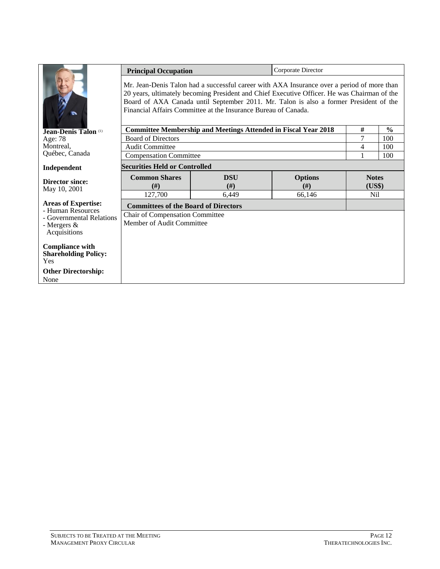|                                                                                                                                                                                                                                                                                                                                                      | <b>Principal Occupation</b>                                  |                                                                       |        |                        |               |  |  |  |
|------------------------------------------------------------------------------------------------------------------------------------------------------------------------------------------------------------------------------------------------------------------------------------------------------------------------------------------------------|--------------------------------------------------------------|-----------------------------------------------------------------------|--------|------------------------|---------------|--|--|--|
| Mr. Jean-Denis Talon had a successful career with AXA Insurance over a period of more than<br>20 years, ultimately becoming President and Chief Executive Officer. He was Chairman of the<br>Board of AXA Canada until September 2011. Mr. Talon is also a former President of the<br>Financial Affairs Committee at the Insurance Bureau of Canada. |                                                              |                                                                       |        |                        |               |  |  |  |
| Jean-Denis Talon (1)                                                                                                                                                                                                                                                                                                                                 |                                                              | <b>Committee Membership and Meetings Attended in Fiscal Year 2018</b> |        | $\#$                   | $\frac{6}{9}$ |  |  |  |
| Age: 78                                                                                                                                                                                                                                                                                                                                              | <b>Board of Directors</b>                                    |                                                                       |        | 7                      | 100           |  |  |  |
| Montreal,                                                                                                                                                                                                                                                                                                                                            | <b>Audit Committee</b>                                       |                                                                       |        | 4                      | 100           |  |  |  |
| Québec, Canada                                                                                                                                                                                                                                                                                                                                       | <b>Compensation Committee</b>                                |                                                                       |        |                        | 100           |  |  |  |
| Independent                                                                                                                                                                                                                                                                                                                                          | <b>Securities Held or Controlled</b>                         |                                                                       |        |                        |               |  |  |  |
| <b>Director since:</b><br>May 10, 2001                                                                                                                                                                                                                                                                                                               | <b>Common Shares</b><br>(f#)                                 | <b>Options</b><br><b>DSU</b><br>(H)<br>(f#)                           |        | <b>Notes</b><br>(US\$) |               |  |  |  |
|                                                                                                                                                                                                                                                                                                                                                      | 127,700                                                      | 6,449                                                                 | 66,146 | Nil                    |               |  |  |  |
| <b>Areas of Expertise:</b><br>- Human Resources                                                                                                                                                                                                                                                                                                      | <b>Committees of the Board of Directors</b>                  |                                                                       |        |                        |               |  |  |  |
| - Governmental Relations<br>- Mergers &<br>Acquisitions                                                                                                                                                                                                                                                                                              | Chair of Compensation Committee<br>Member of Audit Committee |                                                                       |        |                        |               |  |  |  |
| <b>Compliance with</b><br><b>Shareholding Policy:</b><br><b>Yes</b><br><b>Other Directorship:</b><br>None                                                                                                                                                                                                                                            |                                                              |                                                                       |        |                        |               |  |  |  |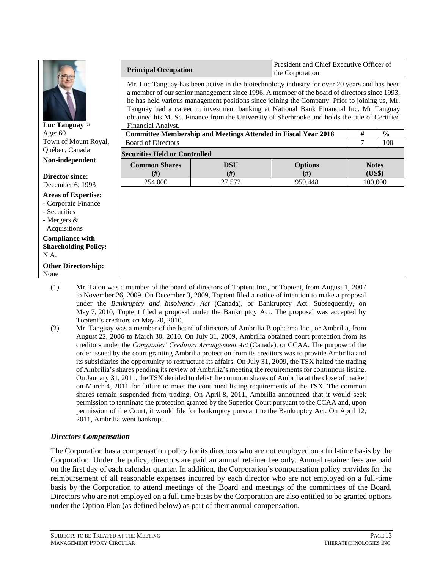|                                                                                                                                                                                                                                                                                                                                                                                                                                                                                                                                              | President and Chief Executive Officer of<br><b>Principal Occupation</b><br>the Corporation |                                                                       |         |         |               |  |  |
|----------------------------------------------------------------------------------------------------------------------------------------------------------------------------------------------------------------------------------------------------------------------------------------------------------------------------------------------------------------------------------------------------------------------------------------------------------------------------------------------------------------------------------------------|--------------------------------------------------------------------------------------------|-----------------------------------------------------------------------|---------|---------|---------------|--|--|
| Mr. Luc Tanguay has been active in the biotechnology industry for over 20 years and has been<br>a member of our senior management since 1996. A member of the board of directors since 1993,<br>he has held various management positions since joining the Company. Prior to joining us, Mr.<br>Tanguay had a career in investment banking at National Bank Financial Inc. Mr. Tanguay<br>obtained his M. Sc. Finance from the University of Sherbrooke and holds the title of Certified<br>Luc Tanguay <sup>(2)</sup><br>Financial Analyst. |                                                                                            |                                                                       |         |         |               |  |  |
| Age: $60$                                                                                                                                                                                                                                                                                                                                                                                                                                                                                                                                    |                                                                                            | <b>Committee Membership and Meetings Attended in Fiscal Year 2018</b> |         | #       | $\frac{6}{6}$ |  |  |
| Town of Mount Royal,                                                                                                                                                                                                                                                                                                                                                                                                                                                                                                                         | <b>Board of Directors</b>                                                                  |                                                                       |         | 7       | 100           |  |  |
| Québec, Canada                                                                                                                                                                                                                                                                                                                                                                                                                                                                                                                               | <b>Securities Held or Controlled</b>                                                       |                                                                       |         |         |               |  |  |
| Non-independent                                                                                                                                                                                                                                                                                                                                                                                                                                                                                                                              | <b>Common Shares</b>                                                                       | <b>Notes</b>                                                          |         |         |               |  |  |
| <b>Director since:</b>                                                                                                                                                                                                                                                                                                                                                                                                                                                                                                                       | #)                                                                                         | (H)                                                                   | (# )    | (US\$)  |               |  |  |
| December 6, 1993                                                                                                                                                                                                                                                                                                                                                                                                                                                                                                                             | 254,000                                                                                    | 27,572                                                                | 959,448 | 100,000 |               |  |  |
| <b>Areas of Expertise:</b><br>- Corporate Finance<br>- Securities<br>- Mergers &<br>Acquisitions                                                                                                                                                                                                                                                                                                                                                                                                                                             |                                                                                            |                                                                       |         |         |               |  |  |
| <b>Compliance with</b><br><b>Shareholding Policy:</b><br>N.A.                                                                                                                                                                                                                                                                                                                                                                                                                                                                                |                                                                                            |                                                                       |         |         |               |  |  |
| <b>Other Directorship:</b><br>None                                                                                                                                                                                                                                                                                                                                                                                                                                                                                                           |                                                                                            |                                                                       |         |         |               |  |  |

- (1) Mr. Talon was a member of the board of directors of Toptent Inc., or Toptent, from August 1, 2007 to November 26, 2009. On December 3, 2009, Toptent filed a notice of intention to make a proposal under the *Bankruptcy and Insolvency Act* (Canada), or Bankruptcy Act. Subsequently, on May 7, 2010, Toptent filed a proposal under the Bankruptcy Act. The proposal was accepted by Toptent's creditors on May 20, 2010.
- (2) Mr. Tanguay was a member of the board of directors of Ambrilia Biopharma Inc., or Ambrilia, from August 22, 2006 to March 30, 2010. On July 31, 2009, Ambrilia obtained court protection from its creditors under the *Companies' Creditors Arrangement Act* (Canada), or CCAA. The purpose of the order issued by the court granting Ambrilia protection from its creditors was to provide Ambrilia and its subsidiaries the opportunity to restructure its affairs. On July 31, 2009, the TSX halted the trading of Ambrilia's shares pending its review of Ambrilia's meeting the requirements for continuous listing. On January 31, 2011, the TSX decided to delist the common shares of Ambrilia at the close of market on March 4, 2011 for failure to meet the continued listing requirements of the TSX. The common shares remain suspended from trading. On April 8, 2011, Ambrilia announced that it would seek permission to terminate the protection granted by the Superior Court pursuant to the CCAA and, upon permission of the Court, it would file for bankruptcy pursuant to the Bankruptcy Act. On April 12, 2011, Ambrilia went bankrupt.

### *Directors Compensation*

The Corporation has a compensation policy for its directors who are not employed on a full-time basis by the Corporation. Under the policy, directors are paid an annual retainer fee only. Annual retainer fees are paid on the first day of each calendar quarter. In addition, the Corporation's compensation policy provides for the reimbursement of all reasonable expenses incurred by each director who are not employed on a full-time basis by the Corporation to attend meetings of the Board and meetings of the committees of the Board. Directors who are not employed on a full time basis by the Corporation are also entitled to be granted options under the Option Plan (as defined below) as part of their annual compensation.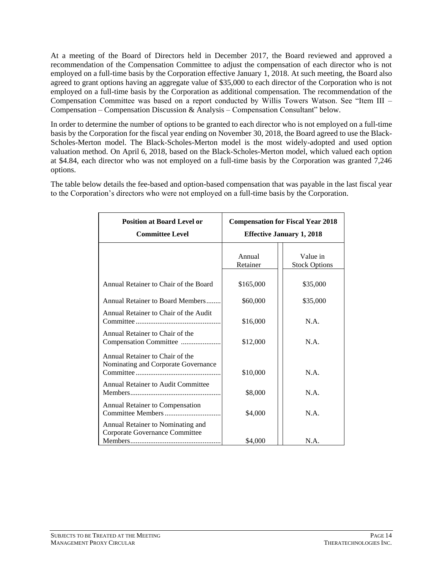At a meeting of the Board of Directors held in December 2017, the Board reviewed and approved a recommendation of the Compensation Committee to adjust the compensation of each director who is not employed on a full-time basis by the Corporation effective January 1, 2018. At such meeting, the Board also agreed to grant options having an aggregate value of \$35,000 to each director of the Corporation who is not employed on a full-time basis by the Corporation as additional compensation. The recommendation of the Compensation Committee was based on a report conducted by Willis Towers Watson. See "Item III – Compensation – Compensation Discussion & Analysis – Compensation Consultant" below.

In order to determine the number of options to be granted to each director who is not employed on a full-time basis by the Corporation for the fiscal year ending on November 30, 2018, the Board agreed to use the Black-Scholes-Merton model. The Black-Scholes-Merton model is the most widely-adopted and used option valuation method. On April 6, 2018, based on the Black-Scholes-Merton model, which valued each option at \$4.84, each director who was not employed on a full-time basis by the Corporation was granted 7,246 options.

The table below details the fee-based and option-based compensation that was payable in the last fiscal year to the Corporation's directors who were not employed on a full-time basis by the Corporation.

| <b>Position at Board Level or</b><br><b>Committee Level</b>            | <b>Compensation for Fiscal Year 2018</b><br><b>Effective January 1, 2018</b> |                                  |  |  |
|------------------------------------------------------------------------|------------------------------------------------------------------------------|----------------------------------|--|--|
|                                                                        | Annual<br>Retainer                                                           | Value in<br><b>Stock Options</b> |  |  |
| Annual Retainer to Chair of the Board                                  | \$165,000                                                                    | \$35,000                         |  |  |
| Annual Retainer to Board Members                                       | \$60,000                                                                     | \$35,000                         |  |  |
| Annual Retainer to Chair of the Audit                                  | \$16,000                                                                     | N.A.                             |  |  |
| Annual Retainer to Chair of the<br>Compensation Committee              | \$12,000                                                                     | N.A.                             |  |  |
| Annual Retainer to Chair of the<br>Nominating and Corporate Governance | \$10,000                                                                     | N.A.                             |  |  |
| Annual Retainer to Audit Committee                                     | \$8,000                                                                      | N.A.                             |  |  |
| Annual Retainer to Compensation                                        | \$4,000                                                                      | N.A.                             |  |  |
| Annual Retainer to Nominating and<br>Corporate Governance Committee    | \$4,000                                                                      | N.A.                             |  |  |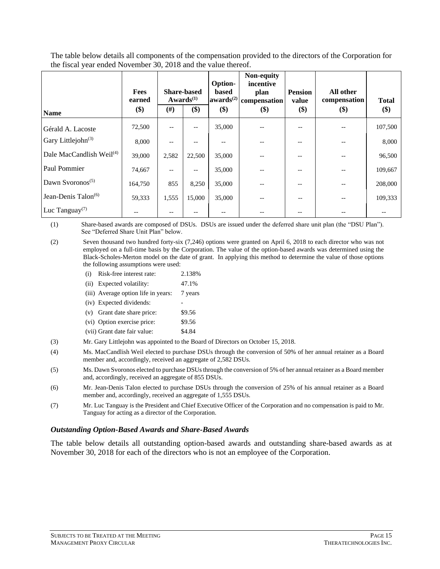The table below details all components of the compensation provided to the directors of the Corporation for the fiscal year ended November 30, 2018 and the value thereof.

|                                           | <b>Fees</b><br>earned |        | <b>Share-based</b><br>Awards $(1)$ | Option-<br>based<br>awards <sup>(2)</sup> | Non-equity<br>incentive<br>plan<br>compensation | <b>Pension</b><br>value | All other<br>compensation | <b>Total</b> |
|-------------------------------------------|-----------------------|--------|------------------------------------|-------------------------------------------|-------------------------------------------------|-------------------------|---------------------------|--------------|
| <b>Name</b>                               | $($)$                 | $(\#)$ | \$)                                | \$)                                       | \$)                                             | \$)                     | $($)$                     | \$)          |
| Gérald A. Lacoste                         | 72,500                | $-$    | $\qquad \qquad -$                  | 35,000                                    |                                                 |                         |                           | 107,500      |
| Gary Littlejohn <sup>(3)</sup>            | 8,000                 |        |                                    |                                           |                                                 |                         |                           | 8,000        |
| Dale MacCandlish Weil <sup>(4)</sup>      | 39,000                | 2,582  | 22,500                             | 35,000                                    |                                                 |                         |                           | 96,500       |
| Paul Pommier                              | 74,667                | $- -$  | $- -$                              | 35,000                                    |                                                 |                         |                           | 109,667      |
| Dawn Svoronos <sup><math>(5)</math></sup> | 164,750               | 855    | 8,250                              | 35,000                                    |                                                 |                         |                           | 208,000      |
| Jean-Denis Talon <sup>(6)</sup>           | 59,333                | 1,555  | 15,000                             | 35,000                                    |                                                 |                         |                           | 109,333      |
| Luc Tanguay <sup><math>(7)</math></sup>   |                       |        |                                    |                                           |                                                 |                         |                           |              |

(1) Share-based awards are composed of DSUs. DSUs are issued under the deferred share unit plan (the "DSU Plan"). See "Deferred Share Unit Plan" below.

(2) Seven thousand two hundred forty-six (7,246) options were granted on April 6, 2018 to each director who was not employed on a full-time basis by the Corporation. The value of the option-based awards was determined using the Black-Scholes-Merton model on the date of grant. In applying this method to determine the value of those options the following assumptions were used:

- (i) Risk-free interest rate: 2.138%
- (ii) Expected volatility: 47.1% (iii) Average option life in years: 7 years
- (iv) Expected dividends:
- (v) Grant date share price: \$9.56
- (vi) Option exercise price: \$9.56
- (vii) Grant date fair value: \$4.84
- (3) Mr. Gary Littlejohn was appointed to the Board of Directors on October 15, 2018.
- (4) Ms. MacCandlish Weil elected to purchase DSUs through the conversion of 50% of her annual retainer as a Board member and, accordingly, received an aggregate of 2,582 DSUs.
- (5) Ms. Dawn Svoronos elected to purchase DSUs through the conversion of 5% of her annual retainer as a Board member and, accordingly, received an aggregate of 855 DSUs.
- (6) Mr. Jean-Denis Talon elected to purchase DSUs through the conversion of 25% of his annual retainer as a Board member and, accordingly, received an aggregate of 1,555 DSUs.
- (7) Mr. Luc Tanguay is the President and Chief Executive Officer of the Corporation and no compensation is paid to Mr. Tanguay for acting as a director of the Corporation.

#### *Outstanding Option-Based Awards and Share-Based Awards*

The table below details all outstanding option-based awards and outstanding share-based awards as at November 30, 2018 for each of the directors who is not an employee of the Corporation.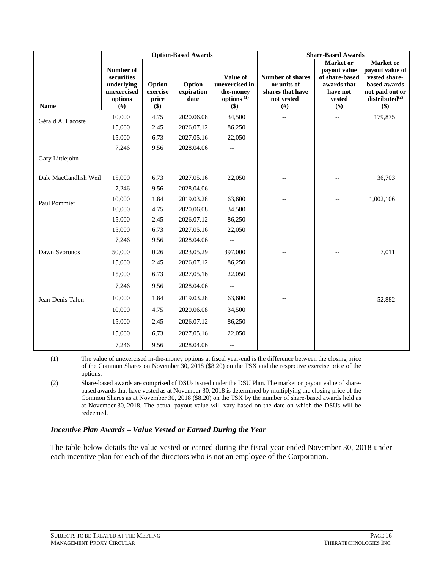|                       | <b>Option-Based Awards</b>                                            |                                       |                              | <b>Share-Based Awards</b>                                                        |                                                                                    |                                                                                         |                                                                                                                |
|-----------------------|-----------------------------------------------------------------------|---------------------------------------|------------------------------|----------------------------------------------------------------------------------|------------------------------------------------------------------------------------|-----------------------------------------------------------------------------------------|----------------------------------------------------------------------------------------------------------------|
| <b>Name</b>           | Number of<br>securities<br>underlying<br>unexercised<br>options<br>#) | Option<br>exercise<br>price<br>$(\$)$ | Option<br>expiration<br>date | Value of<br>unexercised in-<br>the-money<br>options <sup>(1)</sup><br>$($ \$ $)$ | <b>Number of shares</b><br>or units of<br>shares that have<br>not vested<br>$(\#)$ | Market or<br>payout value<br>of share-based<br>awards that<br>have not<br>vested<br>\$) | Market or<br>payout value of<br>vested share-<br>based awards<br>not paid out or<br>$distributed^{(2)}$<br>\$) |
|                       | 10,000                                                                | 4.75                                  | 2020.06.08                   | 34,500                                                                           |                                                                                    | $-$                                                                                     | 179,875                                                                                                        |
| Gérald A. Lacoste     | 15,000                                                                | 2.45                                  | 2026.07.12                   | 86,250                                                                           |                                                                                    |                                                                                         |                                                                                                                |
|                       | 15,000                                                                | 6.73                                  | 2027.05.16                   | 22,050                                                                           |                                                                                    |                                                                                         |                                                                                                                |
|                       | 7,246                                                                 | 9.56                                  | 2028.04.06                   | $-\, -$                                                                          |                                                                                    |                                                                                         |                                                                                                                |
| Gary Littlejohn       |                                                                       |                                       |                              | $-$                                                                              |                                                                                    | $-$                                                                                     |                                                                                                                |
| Dale MacCandlish Weil | 15,000                                                                | 6.73                                  | 2027.05.16                   | 22,050                                                                           |                                                                                    | $-$                                                                                     | 36,703                                                                                                         |
|                       | 7,246                                                                 | 9.56                                  | 2028.04.06                   | $\overline{\phantom{a}}$                                                         |                                                                                    |                                                                                         |                                                                                                                |
| Paul Pommier          | 10,000                                                                | 1.84                                  | 2019.03.28                   | 63,600                                                                           |                                                                                    | $-$                                                                                     | 1,002,106                                                                                                      |
|                       | 10,000                                                                | 4.75                                  | 2020.06.08                   | 34,500                                                                           |                                                                                    |                                                                                         |                                                                                                                |
|                       | 15,000                                                                | 2.45                                  | 2026.07.12                   | 86,250                                                                           |                                                                                    |                                                                                         |                                                                                                                |
|                       | 15,000                                                                | 6.73                                  | 2027.05.16                   | 22,050                                                                           |                                                                                    |                                                                                         |                                                                                                                |
|                       | 7,246                                                                 | 9.56                                  | 2028.04.06                   | $-\, -$                                                                          |                                                                                    |                                                                                         |                                                                                                                |
| Dawn Svoronos         | 50,000                                                                | 0.26                                  | 2023.05.29                   | 397,000                                                                          |                                                                                    | $\overline{\phantom{m}}$                                                                | 7,011                                                                                                          |
|                       | 15,000                                                                | 2.45                                  | 2026.07.12                   | 86,250                                                                           |                                                                                    |                                                                                         |                                                                                                                |
|                       | 15,000                                                                | 6.73                                  | 2027.05.16                   | 22,050                                                                           |                                                                                    |                                                                                         |                                                                                                                |
|                       | 7,246                                                                 | 9.56                                  | 2028.04.06                   | $\overline{\phantom{a}}$                                                         |                                                                                    |                                                                                         |                                                                                                                |
| Jean-Denis Talon      | 10,000                                                                | 1.84                                  | 2019.03.28                   | 63,600                                                                           |                                                                                    |                                                                                         | 52,882                                                                                                         |
|                       | 10,000                                                                | 4,75                                  | 2020.06.08                   | 34,500                                                                           |                                                                                    |                                                                                         |                                                                                                                |
|                       | 15,000                                                                | 2,45                                  | 2026.07.12                   | 86,250                                                                           |                                                                                    |                                                                                         |                                                                                                                |
|                       | 15,000                                                                | 6,73                                  | 2027.05.16                   | 22,050                                                                           |                                                                                    |                                                                                         |                                                                                                                |
|                       | 7,246                                                                 | 9.56                                  | 2028.04.06                   | $-\, -$                                                                          |                                                                                    |                                                                                         |                                                                                                                |

(1) The value of unexercised in-the-money options at fiscal year-end is the difference between the closing price of the Common Shares on November 30, 2018 (\$8.20) on the TSX and the respective exercise price of the options.

(2) Share-based awards are comprised of DSUs issued under the DSU Plan. The market or payout value of sharebased awards that have vested as at November 30, 2018 is determined by multiplying the closing price of the Common Shares as at November 30, 2018 (\$8.20) on the TSX by the number of share-based awards held as at November 30, 2018. The actual payout value will vary based on the date on which the DSUs will be redeemed.

#### *Incentive Plan Awards – Value Vested or Earned During the Year*

The table below details the value vested or earned during the fiscal year ended November 30, 2018 under each incentive plan for each of the directors who is not an employee of the Corporation.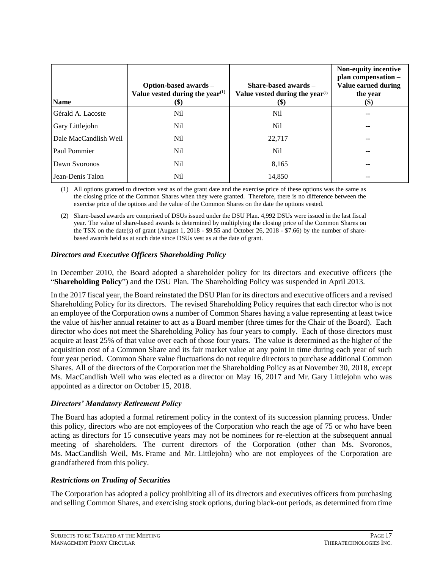| <b>Name</b>           | Option-based awards -<br>Value vested during the year <sup><math>(1)</math></sup><br>$(\$)$ | Share-based awards $-$<br>Value vested during the year <sup>(2)</sup><br><b>(\$)</b> | Non-equity incentive<br>plan compensation -<br>Value earned during<br>the year<br>$\left( \mathcal{S} \right)$ |
|-----------------------|---------------------------------------------------------------------------------------------|--------------------------------------------------------------------------------------|----------------------------------------------------------------------------------------------------------------|
| Gérald A. Lacoste     | <b>Nil</b>                                                                                  | Nil                                                                                  |                                                                                                                |
| Gary Littlejohn       | Nil                                                                                         | Nil                                                                                  |                                                                                                                |
| Dale MacCandlish Weil | Nil                                                                                         | 22,717                                                                               |                                                                                                                |
| Paul Pommier          | Nil                                                                                         | Nil                                                                                  | --                                                                                                             |
| Dawn Syoronos         | Nil                                                                                         | 8,165                                                                                | --                                                                                                             |
| Jean-Denis Talon      | Nil                                                                                         | 14.850                                                                               |                                                                                                                |

(1) All options granted to directors vest as of the grant date and the exercise price of these options was the same as the closing price of the Common Shares when they were granted. Therefore, there is no difference between the exercise price of the options and the value of the Common Shares on the date the options vested.

(2) Share-based awards are comprised of DSUs issued under the DSU Plan. 4,992 DSUs were issued in the last fiscal year. The value of share-based awards is determined by multiplying the closing price of the Common Shares on the TSX on the date(s) of grant (August 1, 2018 - \$9.55 and October 26, 2018 - \$7.66) by the number of sharebased awards held as at such date since DSUs vest as at the date of grant.

### *Directors and Executive Officers Shareholding Policy*

In December 2010, the Board adopted a shareholder policy for its directors and executive officers (the "**Shareholding Policy**") and the DSU Plan. The Shareholding Policy was suspended in April 2013.

In the 2017 fiscal year, the Board reinstated the DSU Plan for its directors and executive officers and a revised Shareholding Policy for its directors. The revised Shareholding Policy requires that each director who is not an employee of the Corporation owns a number of Common Shares having a value representing at least twice the value of his/her annual retainer to act as a Board member (three times for the Chair of the Board). Each director who does not meet the Shareholding Policy has four years to comply. Each of those directors must acquire at least 25% of that value over each of those four years. The value is determined as the higher of the acquisition cost of a Common Share and its fair market value at any point in time during each year of such four year period. Common Share value fluctuations do not require directors to purchase additional Common Shares. All of the directors of the Corporation met the Shareholding Policy as at November 30, 2018, except Ms. MacCandlish Weil who was elected as a director on May 16, 2017 and Mr. Gary Littlejohn who was appointed as a director on October 15, 2018.

### *Directors' Mandatory Retirement Policy*

The Board has adopted a formal retirement policy in the context of its succession planning process. Under this policy, directors who are not employees of the Corporation who reach the age of 75 or who have been acting as directors for 15 consecutive years may not be nominees for re-election at the subsequent annual meeting of shareholders. The current directors of the Corporation (other than Ms. Svoronos, Ms. MacCandlish Weil, Ms. Frame and Mr. Littlejohn) who are not employees of the Corporation are grandfathered from this policy.

### *Restrictions on Trading of Securities*

The Corporation has adopted a policy prohibiting all of its directors and executives officers from purchasing and selling Common Shares, and exercising stock options, during black-out periods, as determined from time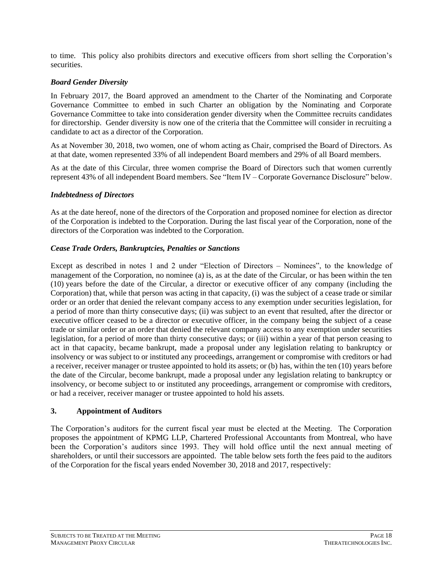to time. This policy also prohibits directors and executive officers from short selling the Corporation's securities.

## *Board Gender Diversity*

In February 2017, the Board approved an amendment to the Charter of the Nominating and Corporate Governance Committee to embed in such Charter an obligation by the Nominating and Corporate Governance Committee to take into consideration gender diversity when the Committee recruits candidates for directorship. Gender diversity is now one of the criteria that the Committee will consider in recruiting a candidate to act as a director of the Corporation.

As at November 30, 2018, two women, one of whom acting as Chair, comprised the Board of Directors. As at that date, women represented 33% of all independent Board members and 29% of all Board members.

As at the date of this Circular, three women comprise the Board of Directors such that women currently represent 43% of all independent Board members. See "Item IV – Corporate Governance Disclosure" below.

### *Indebtedness of Directors*

As at the date hereof, none of the directors of the Corporation and proposed nominee for election as director of the Corporation is indebted to the Corporation. During the last fiscal year of the Corporation, none of the directors of the Corporation was indebted to the Corporation.

## *Cease Trade Orders, Bankruptcies, Penalties or Sanctions*

Except as described in notes 1 and 2 under "Election of Directors – Nominees", to the knowledge of management of the Corporation, no nominee (a) is, as at the date of the Circular, or has been within the ten (10) years before the date of the Circular, a director or executive officer of any company (including the Corporation) that, while that person was acting in that capacity, (i) was the subject of a cease trade or similar order or an order that denied the relevant company access to any exemption under securities legislation, for a period of more than thirty consecutive days; (ii) was subject to an event that resulted, after the director or executive officer ceased to be a director or executive officer, in the company being the subject of a cease trade or similar order or an order that denied the relevant company access to any exemption under securities legislation, for a period of more than thirty consecutive days; or (iii) within a year of that person ceasing to act in that capacity, became bankrupt, made a proposal under any legislation relating to bankruptcy or insolvency or was subject to or instituted any proceedings, arrangement or compromise with creditors or had a receiver, receiver manager or trustee appointed to hold its assets; or (b) has, within the ten (10) years before the date of the Circular, become bankrupt, made a proposal under any legislation relating to bankruptcy or insolvency, or become subject to or instituted any proceedings, arrangement or compromise with creditors, or had a receiver, receiver manager or trustee appointed to hold his assets.

### <span id="page-21-0"></span>**3. Appointment of Auditors**

The Corporation's auditors for the current fiscal year must be elected at the Meeting. The Corporation proposes the appointment of KPMG LLP, Chartered Professional Accountants from Montreal, who have been the Corporation's auditors since 1993. They will hold office until the next annual meeting of shareholders, or until their successors are appointed. The table below sets forth the fees paid to the auditors of the Corporation for the fiscal years ended November 30, 2018 and 2017, respectively: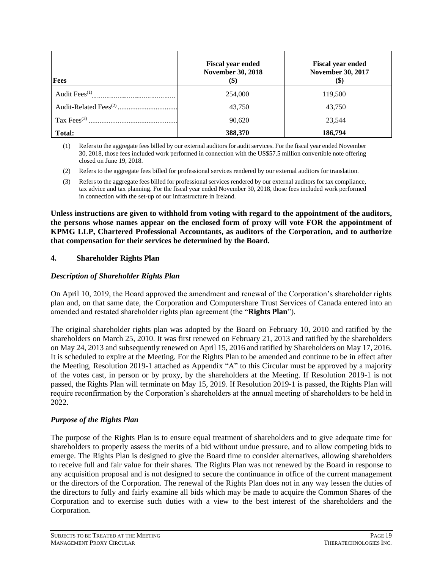| <b>Fees</b>               | <b>Fiscal year ended</b><br><b>November 30, 2018</b><br><b>(\$)</b> | <b>Fiscal year ended</b><br><b>November 30, 2017</b><br>\$) |
|---------------------------|---------------------------------------------------------------------|-------------------------------------------------------------|
| Audit Fees <sup>(1)</sup> | 254,000                                                             | 119,500                                                     |
|                           | 43,750                                                              | 43,750                                                      |
|                           | 90,620                                                              | 23,544                                                      |
| Total:                    | 388,370                                                             | 186,794                                                     |

(1) Refers to the aggregate fees billed by our external auditors for audit services. For the fiscal year ended November 30, 2018, those fees included work performed in connection with the US\$57.5 million convertible note offering closed on June 19, 2018.

- (2) Refers to the aggregate fees billed for professional services rendered by our external auditors for translation.
- (3) Refers to the aggregate fees billed for professional services rendered by our external auditors for tax compliance, tax advice and tax planning. For the fiscal year ended November 30, 2018, those fees included work performed in connection with the set-up of our infrastructure in Ireland.

**Unless instructions are given to withhold from voting with regard to the appointment of the auditors, the persons whose names appear on the enclosed form of proxy will vote FOR the appointment of KPMG LLP, Chartered Professional Accountants, as auditors of the Corporation, and to authorize that compensation for their services be determined by the Board.**

### <span id="page-22-0"></span>**4. Shareholder Rights Plan**

#### *Description of Shareholder Rights Plan*

On April 10, 2019, the Board approved the amendment and renewal of the Corporation's shareholder rights plan and, on that same date, the Corporation and Computershare Trust Services of Canada entered into an amended and restated shareholder rights plan agreement (the "**Rights Plan**").

The original shareholder rights plan was adopted by the Board on February 10, 2010 and ratified by the shareholders on March 25, 2010. It was first renewed on February 21, 2013 and ratified by the shareholders on May 24, 2013 and subsequently renewed on April 15, 2016 and ratified by Shareholders on May 17, 2016. It is scheduled to expire at the Meeting. For the Rights Plan to be amended and continue to be in effect after the Meeting, Resolution 2019-1 attached as Appendix "A" to this Circular must be approved by a majority of the votes cast, in person or by proxy, by the shareholders at the Meeting. If Resolution 2019-1 is not passed, the Rights Plan will terminate on May 15, 2019. If Resolution 2019-1 is passed, the Rights Plan will require reconfirmation by the Corporation's shareholders at the annual meeting of shareholders to be held in 2022.

### *Purpose of the Rights Plan*

The purpose of the Rights Plan is to ensure equal treatment of shareholders and to give adequate time for shareholders to properly assess the merits of a bid without undue pressure, and to allow competing bids to emerge. The Rights Plan is designed to give the Board time to consider alternatives, allowing shareholders to receive full and fair value for their shares. The Rights Plan was not renewed by the Board in response to any acquisition proposal and is not designed to secure the continuance in office of the current management or the directors of the Corporation. The renewal of the Rights Plan does not in any way lessen the duties of the directors to fully and fairly examine all bids which may be made to acquire the Common Shares of the Corporation and to exercise such duties with a view to the best interest of the shareholders and the Corporation.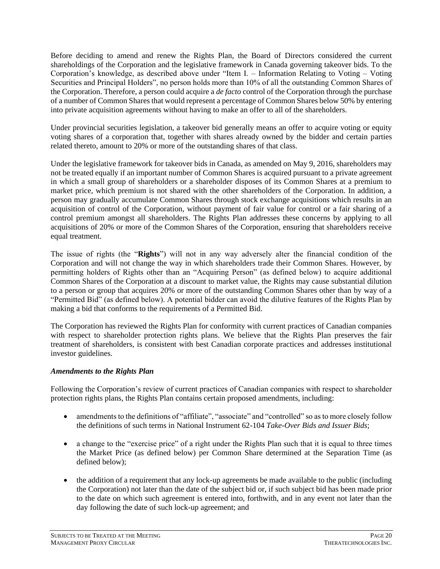Before deciding to amend and renew the Rights Plan, the Board of Directors considered the current shareholdings of the Corporation and the legislative framework in Canada governing takeover bids. To the Corporation's knowledge, as described above under "Item I. – Information Relating to Voting – Voting Securities and Principal Holders", no person holds more than 10% of all the outstanding Common Shares of the Corporation. Therefore, a person could acquire a *de facto* control of the Corporation through the purchase of a number of Common Shares that would represent a percentage of Common Shares below 50% by entering into private acquisition agreements without having to make an offer to all of the shareholders.

Under provincial securities legislation, a takeover bid generally means an offer to acquire voting or equity voting shares of a corporation that, together with shares already owned by the bidder and certain parties related thereto, amount to 20% or more of the outstanding shares of that class.

Under the legislative framework for takeover bids in Canada, as amended on May 9, 2016, shareholders may not be treated equally if an important number of Common Shares is acquired pursuant to a private agreement in which a small group of shareholders or a shareholder disposes of its Common Shares at a premium to market price, which premium is not shared with the other shareholders of the Corporation. In addition, a person may gradually accumulate Common Shares through stock exchange acquisitions which results in an acquisition of control of the Corporation, without payment of fair value for control or a fair sharing of a control premium amongst all shareholders. The Rights Plan addresses these concerns by applying to all acquisitions of 20% or more of the Common Shares of the Corporation, ensuring that shareholders receive equal treatment.

The issue of rights (the "**Rights**") will not in any way adversely alter the financial condition of the Corporation and will not change the way in which shareholders trade their Common Shares. However, by permitting holders of Rights other than an "Acquiring Person" (as defined below) to acquire additional Common Shares of the Corporation at a discount to market value, the Rights may cause substantial dilution to a person or group that acquires 20% or more of the outstanding Common Shares other than by way of a "Permitted Bid" (as defined below). A potential bidder can avoid the dilutive features of the Rights Plan by making a bid that conforms to the requirements of a Permitted Bid.

The Corporation has reviewed the Rights Plan for conformity with current practices of Canadian companies with respect to shareholder protection rights plans. We believe that the Rights Plan preserves the fair treatment of shareholders, is consistent with best Canadian corporate practices and addresses institutional investor guidelines.

### *Amendments to the Rights Plan*

Following the Corporation's review of current practices of Canadian companies with respect to shareholder protection rights plans, the Rights Plan contains certain proposed amendments, including:

- amendments to the definitions of "affiliate", "associate" and "controlled" so as to more closely follow the definitions of such terms in National Instrument 62-104 *Take-Over Bids and Issuer Bids*;
- a change to the "exercise price" of a right under the Rights Plan such that it is equal to three times the Market Price (as defined below) per Common Share determined at the Separation Time (as defined below);
- the addition of a requirement that any lock-up agreements be made available to the public (including the Corporation) not later than the date of the subject bid or, if such subject bid has been made prior to the date on which such agreement is entered into, forthwith, and in any event not later than the day following the date of such lock-up agreement; and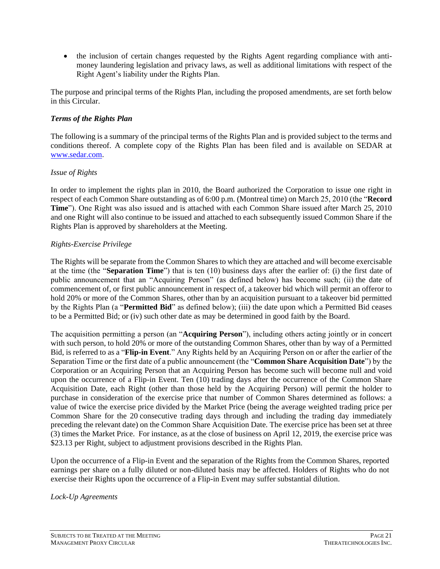• the inclusion of certain changes requested by the Rights Agent regarding compliance with antimoney laundering legislation and privacy laws, as well as additional limitations with respect of the Right Agent's liability under the Rights Plan.

The purpose and principal terms of the Rights Plan, including the proposed amendments, are set forth below in this Circular.

#### *Terms of the Rights Plan*

The following is a summary of the principal terms of the Rights Plan and is provided subject to the terms and conditions thereof. A complete copy of the Rights Plan has been filed and is available on SEDAR at www.sedar.com.

#### *Issue of Rights*

In order to implement the rights plan in 2010, the Board authorized the Corporation to issue one right in respect of each Common Share outstanding as of 6:00 p.m. (Montreal time) on March 25, 2010 (the "**Record Time**"). One Right was also issued and is attached with each Common Share issued after March 25, 2010 and one Right will also continue to be issued and attached to each subsequently issued Common Share if the Rights Plan is approved by shareholders at the Meeting.

#### *Rights-Exercise Privilege*

The Rights will be separate from the Common Shares to which they are attached and will become exercisable at the time (the "**Separation Time**") that is ten (10) business days after the earlier of: (i) the first date of public announcement that an "Acquiring Person" (as defined below) has become such; (ii) the date of commencement of, or first public announcement in respect of, a takeover bid which will permit an offeror to hold 20% or more of the Common Shares, other than by an acquisition pursuant to a takeover bid permitted by the Rights Plan (a "**Permitted Bid**" as defined below); (iii) the date upon which a Permitted Bid ceases to be a Permitted Bid; or (iv) such other date as may be determined in good faith by the Board.

The acquisition permitting a person (an "**Acquiring Person**"), including others acting jointly or in concert with such person, to hold 20% or more of the outstanding Common Shares, other than by way of a Permitted Bid, is referred to as a "**Flip-in Event**." Any Rights held by an Acquiring Person on or after the earlier of the Separation Time or the first date of a public announcement (the "**Common Share Acquisition Date**") by the Corporation or an Acquiring Person that an Acquiring Person has become such will become null and void upon the occurrence of a Flip-in Event. Ten (10) trading days after the occurrence of the Common Share Acquisition Date, each Right (other than those held by the Acquiring Person) will permit the holder to purchase in consideration of the exercise price that number of Common Shares determined as follows: a value of twice the exercise price divided by the Market Price (being the average weighted trading price per Common Share for the 20 consecutive trading days through and including the trading day immediately preceding the relevant date) on the Common Share Acquisition Date. The exercise price has been set at three (3) times the Market Price. For instance, as at the close of business on April 12, 2019, the exercise price was \$23.13 per Right, subject to adjustment provisions described in the Rights Plan.

Upon the occurrence of a Flip-in Event and the separation of the Rights from the Common Shares, reported earnings per share on a fully diluted or non-diluted basis may be affected. Holders of Rights who do not exercise their Rights upon the occurrence of a Flip-in Event may suffer substantial dilution.

*Lock-Up Agreements*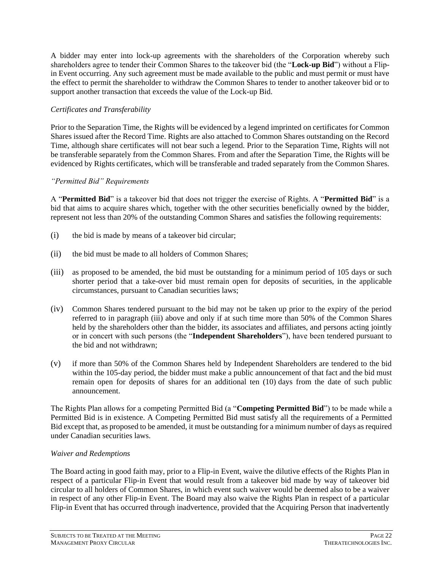A bidder may enter into lock-up agreements with the shareholders of the Corporation whereby such shareholders agree to tender their Common Shares to the takeover bid (the "**Lock-up Bid**") without a Flipin Event occurring. Any such agreement must be made available to the public and must permit or must have the effect to permit the shareholder to withdraw the Common Shares to tender to another takeover bid or to support another transaction that exceeds the value of the Lock-up Bid.

# *Certificates and Transferability*

Prior to the Separation Time, the Rights will be evidenced by a legend imprinted on certificates for Common Shares issued after the Record Time. Rights are also attached to Common Shares outstanding on the Record Time, although share certificates will not bear such a legend. Prior to the Separation Time, Rights will not be transferable separately from the Common Shares. From and after the Separation Time, the Rights will be evidenced by Rights certificates, which will be transferable and traded separately from the Common Shares.

### *"Permitted Bid" Requirements*

A "**Permitted Bid**" is a takeover bid that does not trigger the exercise of Rights. A "**Permitted Bid**" is a bid that aims to acquire shares which, together with the other securities beneficially owned by the bidder, represent not less than 20% of the outstanding Common Shares and satisfies the following requirements:

- (i) the bid is made by means of a takeover bid circular;
- (ii) the bid must be made to all holders of Common Shares;
- (iii) as proposed to be amended, the bid must be outstanding for a minimum period of 105 days or such shorter period that a take-over bid must remain open for deposits of securities, in the applicable circumstances, pursuant to Canadian securities laws;
- (iv) Common Shares tendered pursuant to the bid may not be taken up prior to the expiry of the period referred to in paragraph (iii) above and only if at such time more than 50% of the Common Shares held by the shareholders other than the bidder, its associates and affiliates, and persons acting jointly or in concert with such persons (the "**Independent Shareholders**"), have been tendered pursuant to the bid and not withdrawn;
- (v) if more than 50% of the Common Shares held by Independent Shareholders are tendered to the bid within the 105-day period, the bidder must make a public announcement of that fact and the bid must remain open for deposits of shares for an additional ten (10) days from the date of such public announcement.

The Rights Plan allows for a competing Permitted Bid (a "**Competing Permitted Bid**") to be made while a Permitted Bid is in existence. A Competing Permitted Bid must satisfy all the requirements of a Permitted Bid except that, as proposed to be amended, it must be outstanding for a minimum number of days as required under Canadian securities laws.

### *Waiver and Redemptions*

The Board acting in good faith may, prior to a Flip-in Event, waive the dilutive effects of the Rights Plan in respect of a particular Flip-in Event that would result from a takeover bid made by way of takeover bid circular to all holders of Common Shares, in which event such waiver would be deemed also to be a waiver in respect of any other Flip-in Event. The Board may also waive the Rights Plan in respect of a particular Flip-in Event that has occurred through inadvertence, provided that the Acquiring Person that inadvertently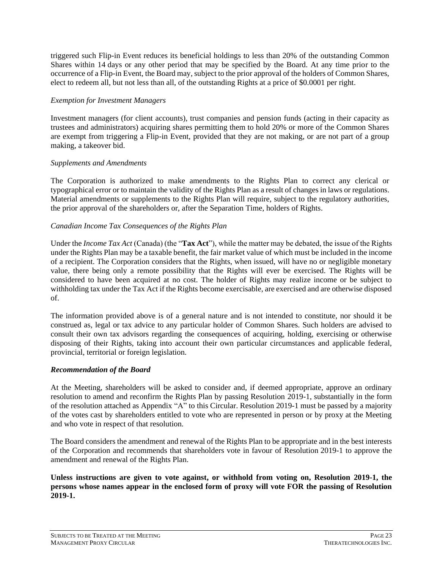triggered such Flip-in Event reduces its beneficial holdings to less than 20% of the outstanding Common Shares within 14 days or any other period that may be specified by the Board. At any time prior to the occurrence of a Flip-in Event, the Board may, subject to the prior approval of the holders of Common Shares, elect to redeem all, but not less than all, of the outstanding Rights at a price of \$0.0001 per right.

### *Exemption for Investment Managers*

Investment managers (for client accounts), trust companies and pension funds (acting in their capacity as trustees and administrators) acquiring shares permitting them to hold 20% or more of the Common Shares are exempt from triggering a Flip-in Event, provided that they are not making, or are not part of a group making, a takeover bid.

### *Supplements and Amendments*

The Corporation is authorized to make amendments to the Rights Plan to correct any clerical or typographical error or to maintain the validity of the Rights Plan as a result of changes in laws or regulations. Material amendments or supplements to the Rights Plan will require, subject to the regulatory authorities, the prior approval of the shareholders or, after the Separation Time, holders of Rights.

## *Canadian Income Tax Consequences of the Rights Plan*

Under the *Income Tax Act* (Canada) (the "**Tax Act**"), while the matter may be debated, the issue of the Rights under the Rights Plan may be a taxable benefit, the fair market value of which must be included in the income of a recipient. The Corporation considers that the Rights, when issued, will have no or negligible monetary value, there being only a remote possibility that the Rights will ever be exercised. The Rights will be considered to have been acquired at no cost. The holder of Rights may realize income or be subject to withholding tax under the Tax Act if the Rights become exercisable, are exercised and are otherwise disposed of.

The information provided above is of a general nature and is not intended to constitute, nor should it be construed as, legal or tax advice to any particular holder of Common Shares. Such holders are advised to consult their own tax advisors regarding the consequences of acquiring, holding, exercising or otherwise disposing of their Rights, taking into account their own particular circumstances and applicable federal, provincial, territorial or foreign legislation.

# *Recommendation of the Board*

At the Meeting, shareholders will be asked to consider and, if deemed appropriate, approve an ordinary resolution to amend and reconfirm the Rights Plan by passing Resolution 2019-1, substantially in the form of the resolution attached as Appendix "A" to this Circular. Resolution 2019-1 must be passed by a majority of the votes cast by shareholders entitled to vote who are represented in person or by proxy at the Meeting and who vote in respect of that resolution.

The Board considers the amendment and renewal of the Rights Plan to be appropriate and in the best interests of the Corporation and recommends that shareholders vote in favour of Resolution 2019-1 to approve the amendment and renewal of the Rights Plan.

**Unless instructions are given to vote against, or withhold from voting on, Resolution 2019-1, the persons whose names appear in the enclosed form of proxy will vote FOR the passing of Resolution 2019-1.**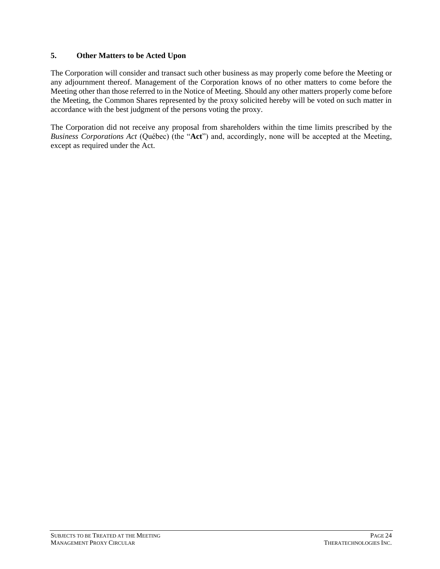### <span id="page-27-0"></span>**5. Other Matters to be Acted Upon**

The Corporation will consider and transact such other business as may properly come before the Meeting or any adjournment thereof. Management of the Corporation knows of no other matters to come before the Meeting other than those referred to in the Notice of Meeting. Should any other matters properly come before the Meeting, the Common Shares represented by the proxy solicited hereby will be voted on such matter in accordance with the best judgment of the persons voting the proxy.

The Corporation did not receive any proposal from shareholders within the time limits prescribed by the *Business Corporations Act* (Québec) (the "**Act**") and, accordingly, none will be accepted at the Meeting, except as required under the Act.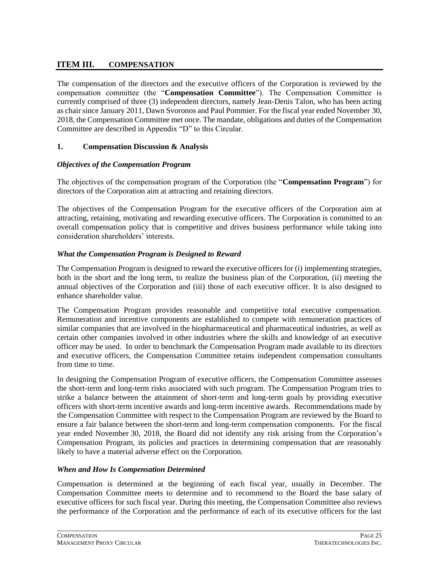# <span id="page-28-0"></span>**ITEM III. COMPENSATION**

The compensation of the directors and the executive officers of the Corporation is reviewed by the compensation committee (the "**Compensation Committee**"). The Compensation Committee is currently comprised of three (3) independent directors, namely Jean-Denis Talon, who has been acting as chair since January 2011, Dawn Svoronos and Paul Pommier. For the fiscal year ended November 30, 2018, the Compensation Committee met once. The mandate, obligations and duties of the Compensation Committee are described in Appendix "D" to this Circular.

### <span id="page-28-1"></span>**1. Compensation Discussion & Analysis**

## *Objectives of the Compensation Program*

The objectives of the compensation program of the Corporation (the "**Compensation Program**") for directors of the Corporation aim at attracting and retaining directors.

The objectives of the Compensation Program for the executive officers of the Corporation aim at attracting, retaining, motivating and rewarding executive officers. The Corporation is committed to an overall compensation policy that is competitive and drives business performance while taking into consideration shareholders' interests.

## *What the Compensation Program is Designed to Reward*

The Compensation Program is designed to reward the executive officers for (i) implementing strategies, both in the short and the long term, to realize the business plan of the Corporation, (ii) meeting the annual objectives of the Corporation and (iii) those of each executive officer. It is also designed to enhance shareholder value.

The Compensation Program provides reasonable and competitive total executive compensation. Remuneration and incentive components are established to compete with remuneration practices of similar companies that are involved in the biopharmaceutical and pharmaceutical industries, as well as certain other companies involved in other industries where the skills and knowledge of an executive officer may be used. In order to benchmark the Compensation Program made available to its directors and executive officers, the Compensation Committee retains independent compensation consultants from time to time.

In designing the Compensation Program of executive officers, the Compensation Committee assesses the short-term and long-term risks associated with such program. The Compensation Program tries to strike a balance between the attainment of short-term and long-term goals by providing executive officers with short-term incentive awards and long-term incentive awards. Recommendations made by the Compensation Committee with respect to the Compensation Program are reviewed by the Board to ensure a fair balance between the short-term and long-term compensation components. For the fiscal year ended November 30, 2018, the Board did not identify any risk arising from the Corporation's Compensation Program, its policies and practices in determining compensation that are reasonably likely to have a material adverse effect on the Corporation.

### *When and How Is Compensation Determined*

Compensation is determined at the beginning of each fiscal year, usually in December. The Compensation Committee meets to determine and to recommend to the Board the base salary of executive officers for such fiscal year. During this meeting, the Compensation Committee also reviews the performance of the Corporation and the performance of each of its executive officers for the last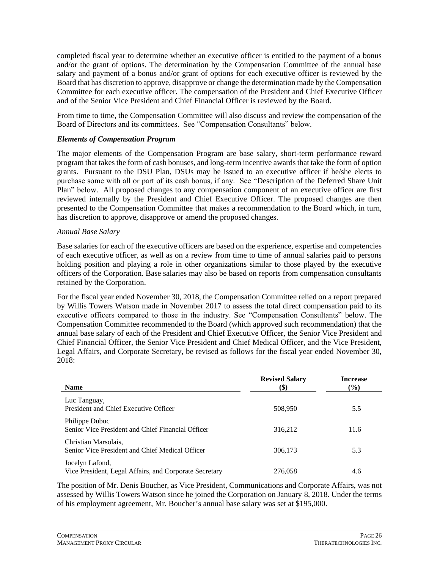completed fiscal year to determine whether an executive officer is entitled to the payment of a bonus and/or the grant of options. The determination by the Compensation Committee of the annual base salary and payment of a bonus and/or grant of options for each executive officer is reviewed by the Board that has discretion to approve, disapprove or change the determination made by the Compensation Committee for each executive officer. The compensation of the President and Chief Executive Officer and of the Senior Vice President and Chief Financial Officer is reviewed by the Board.

From time to time, the Compensation Committee will also discuss and review the compensation of the Board of Directors and its committees. See "Compensation Consultants" below.

#### *Elements of Compensation Program*

The major elements of the Compensation Program are base salary, short-term performance reward program that takes the form of cash bonuses, and long-term incentive awards that take the form of option grants. Pursuant to the DSU Plan, DSUs may be issued to an executive officer if he/she elects to purchase some with all or part of its cash bonus, if any. See "Description of the Deferred Share Unit Plan" below. All proposed changes to any compensation component of an executive officer are first reviewed internally by the President and Chief Executive Officer. The proposed changes are then presented to the Compensation Committee that makes a recommendation to the Board which, in turn, has discretion to approve, disapprove or amend the proposed changes.

#### *Annual Base Salary*

Base salaries for each of the executive officers are based on the experience, expertise and competencies of each executive officer, as well as on a review from time to time of annual salaries paid to persons holding position and playing a role in other organizations similar to those played by the executive officers of the Corporation. Base salaries may also be based on reports from compensation consultants retained by the Corporation.

For the fiscal year ended November 30, 2018, the Compensation Committee relied on a report prepared by Willis Towers Watson made in November 2017 to assess the total direct compensation paid to its executive officers compared to those in the industry. See "Compensation Consultants" below. The Compensation Committee recommended to the Board (which approved such recommendation) that the annual base salary of each of the President and Chief Executive Officer, the Senior Vice President and Chief Financial Officer, the Senior Vice President and Chief Medical Officer, and the Vice President, Legal Affairs, and Corporate Secretary, be revised as follows for the fiscal year ended November 30,  $2018$ 

| <b>Name</b>                                                               | <b>Revised Salary</b><br>$\left( \text{\$}\right)$ | <b>Increase</b><br>$($ %) |
|---------------------------------------------------------------------------|----------------------------------------------------|---------------------------|
| Luc Tanguay,<br>President and Chief Executive Officer                     | 508,950                                            | 5.5                       |
| Philippe Dubuc<br>Senior Vice President and Chief Financial Officer       | 316,212                                            | 11.6                      |
| Christian Marsolais,<br>Senior Vice President and Chief Medical Officer   | 306,173                                            | 5.3                       |
| Jocelyn Lafond,<br>Vice President, Legal Affairs, and Corporate Secretary | 276,058                                            | 4.6                       |

The position of Mr. Denis Boucher, as Vice President, Communications and Corporate Affairs, was not assessed by Willis Towers Watson since he joined the Corporation on January 8, 2018. Under the terms of his employment agreement, Mr. Boucher's annual base salary was set at \$195,000.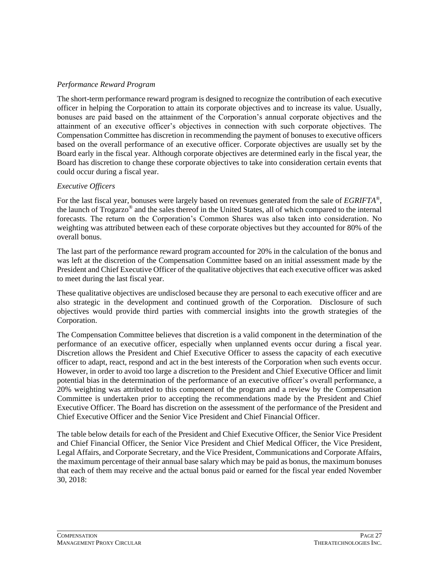### *Performance Reward Program*

The short-term performance reward program is designed to recognize the contribution of each executive officer in helping the Corporation to attain its corporate objectives and to increase its value. Usually, bonuses are paid based on the attainment of the Corporation's annual corporate objectives and the attainment of an executive officer's objectives in connection with such corporate objectives. The Compensation Committee has discretion in recommending the payment of bonuses to executive officers based on the overall performance of an executive officer. Corporate objectives are usually set by the Board early in the fiscal year. Although corporate objectives are determined early in the fiscal year, the Board has discretion to change these corporate objectives to take into consideration certain events that could occur during a fiscal year.

### *Executive Officers*

For the last fiscal year, bonuses were largely based on revenues generated from the sale of *EGRIFTA*® , the launch of Trogarzo<sup>®</sup> and the sales thereof in the United States, all of which compared to the internal forecasts. The return on the Corporation's Common Shares was also taken into consideration. No weighting was attributed between each of these corporate objectives but they accounted for 80% of the overall bonus.

The last part of the performance reward program accounted for 20% in the calculation of the bonus and was left at the discretion of the Compensation Committee based on an initial assessment made by the President and Chief Executive Officer of the qualitative objectives that each executive officer was asked to meet during the last fiscal year.

These qualitative objectives are undisclosed because they are personal to each executive officer and are also strategic in the development and continued growth of the Corporation. Disclosure of such objectives would provide third parties with commercial insights into the growth strategies of the Corporation.

The Compensation Committee believes that discretion is a valid component in the determination of the performance of an executive officer, especially when unplanned events occur during a fiscal year. Discretion allows the President and Chief Executive Officer to assess the capacity of each executive officer to adapt, react, respond and act in the best interests of the Corporation when such events occur. However, in order to avoid too large a discretion to the President and Chief Executive Officer and limit potential bias in the determination of the performance of an executive officer's overall performance, a 20% weighting was attributed to this component of the program and a review by the Compensation Committee is undertaken prior to accepting the recommendations made by the President and Chief Executive Officer. The Board has discretion on the assessment of the performance of the President and Chief Executive Officer and the Senior Vice President and Chief Financial Officer.

The table below details for each of the President and Chief Executive Officer, the Senior Vice President and Chief Financial Officer, the Senior Vice President and Chief Medical Officer, the Vice President, Legal Affairs, and Corporate Secretary, and the Vice President, Communications and Corporate Affairs, the maximum percentage of their annual base salary which may be paid as bonus, the maximum bonuses that each of them may receive and the actual bonus paid or earned for the fiscal year ended November 30, 2018: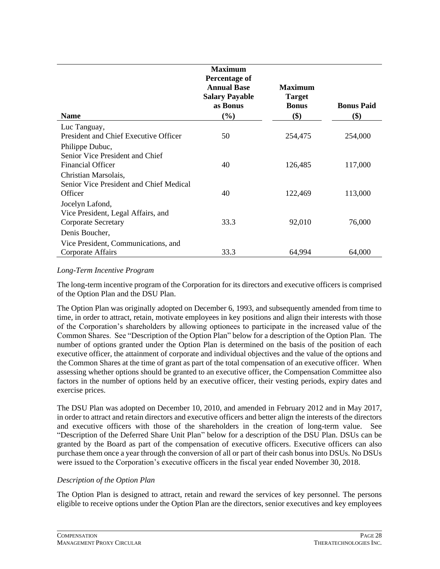|                                                                                | <b>Maximum</b><br><b>Percentage of</b><br><b>Annual Base</b><br><b>Salary Payable</b><br>as Bonus | <b>Maximum</b><br><b>Target</b><br><b>Bonus</b> | <b>Bonus Paid</b> |
|--------------------------------------------------------------------------------|---------------------------------------------------------------------------------------------------|-------------------------------------------------|-------------------|
| <b>Name</b>                                                                    | $(\%)$                                                                                            | \$)                                             | \$)               |
| Luc Tanguay,<br>President and Chief Executive Officer                          | 50                                                                                                | 254,475                                         | 254,000           |
| Philippe Dubuc,<br>Senior Vice President and Chief<br><b>Financial Officer</b> | 40                                                                                                | 126,485                                         | 117,000           |
| Christian Marsolais,<br>Senior Vice President and Chief Medical<br>Officer     | 40                                                                                                | 122,469                                         | 113,000           |
| Jocelyn Lafond,<br>Vice President, Legal Affairs, and                          |                                                                                                   |                                                 |                   |
| <b>Corporate Secretary</b>                                                     | 33.3                                                                                              | 92,010                                          | 76,000            |
| Denis Boucher,                                                                 |                                                                                                   |                                                 |                   |
| Vice President, Communications, and                                            |                                                                                                   |                                                 |                   |
| Corporate Affairs                                                              | 33.3                                                                                              | 64,994                                          | 64,000            |

#### *Long-Term Incentive Program*

The long-term incentive program of the Corporation for its directors and executive officers is comprised of the Option Plan and the DSU Plan.

The Option Plan was originally adopted on December 6, 1993, and subsequently amended from time to time, in order to attract, retain, motivate employees in key positions and align their interests with those of the Corporation's shareholders by allowing optionees to participate in the increased value of the Common Shares. See "Description of the Option Plan" below for a description of the Option Plan. The number of options granted under the Option Plan is determined on the basis of the position of each executive officer, the attainment of corporate and individual objectives and the value of the options and the Common Shares at the time of grant as part of the total compensation of an executive officer. When assessing whether options should be granted to an executive officer, the Compensation Committee also factors in the number of options held by an executive officer, their vesting periods, expiry dates and exercise prices.

The DSU Plan was adopted on December 10, 2010, and amended in February 2012 and in May 2017, in order to attract and retain directors and executive officers and better align the interests of the directors and executive officers with those of the shareholders in the creation of long-term value. See "Description of the Deferred Share Unit Plan" below for a description of the DSU Plan. DSUs can be granted by the Board as part of the compensation of executive officers. Executive officers can also purchase them once a year through the conversion of all or part of their cash bonus into DSUs. No DSUs were issued to the Corporation's executive officers in the fiscal year ended November 30, 2018.

### *Description of the Option Plan*

The Option Plan is designed to attract, retain and reward the services of key personnel. The persons eligible to receive options under the Option Plan are the directors, senior executives and key employees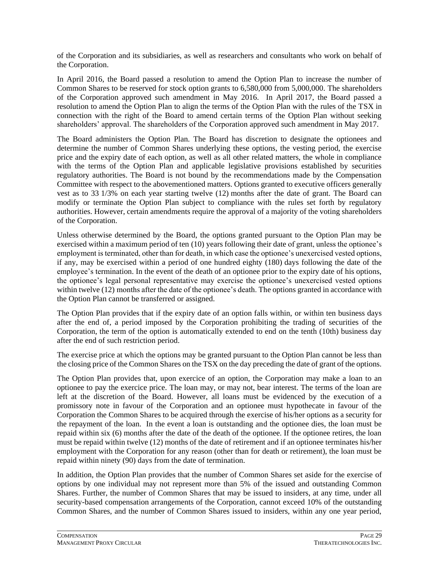of the Corporation and its subsidiaries, as well as researchers and consultants who work on behalf of the Corporation.

In April 2016, the Board passed a resolution to amend the Option Plan to increase the number of Common Shares to be reserved for stock option grants to 6,580,000 from 5,000,000. The shareholders of the Corporation approved such amendment in May 2016. In April 2017, the Board passed a resolution to amend the Option Plan to align the terms of the Option Plan with the rules of the TSX in connection with the right of the Board to amend certain terms of the Option Plan without seeking shareholders' approval. The shareholders of the Corporation approved such amendment in May 2017.

The Board administers the Option Plan. The Board has discretion to designate the optionees and determine the number of Common Shares underlying these options, the vesting period, the exercise price and the expiry date of each option, as well as all other related matters, the whole in compliance with the terms of the Option Plan and applicable legislative provisions established by securities regulatory authorities. The Board is not bound by the recommendations made by the Compensation Committee with respect to the abovementioned matters. Options granted to executive officers generally vest as to 33 1/3% on each year starting twelve (12) months after the date of grant. The Board can modify or terminate the Option Plan subject to compliance with the rules set forth by regulatory authorities. However, certain amendments require the approval of a majority of the voting shareholders of the Corporation.

Unless otherwise determined by the Board, the options granted pursuant to the Option Plan may be exercised within a maximum period of ten (10) years following their date of grant, unless the optionee's employment is terminated, other than for death, in which case the optionee's unexercised vested options, if any, may be exercised within a period of one hundred eighty (180) days following the date of the employee's termination. In the event of the death of an optionee prior to the expiry date of his options, the optionee's legal personal representative may exercise the optionee's unexercised vested options within twelve (12) months after the date of the optionee's death. The options granted in accordance with the Option Plan cannot be transferred or assigned.

The Option Plan provides that if the expiry date of an option falls within, or within ten business days after the end of, a period imposed by the Corporation prohibiting the trading of securities of the Corporation, the term of the option is automatically extended to end on the tenth (10th) business day after the end of such restriction period.

The exercise price at which the options may be granted pursuant to the Option Plan cannot be less than the closing price of the Common Shares on the TSX on the day preceding the date of grant of the options.

The Option Plan provides that, upon exercice of an option, the Corporation may make a loan to an optionee to pay the exercice price. The loan may, or may not, bear interest. The terms of the loan are left at the discretion of the Board. However, all loans must be evidenced by the execution of a promissory note in favour of the Corporation and an optionee must hypothecate in favour of the Corporation the Common Shares to be acquired through the exercise of his/her options as a security for the repayment of the loan. In the event a loan is outstanding and the optionee dies, the loan must be repaid within six (6) months after the date of the death of the optionee. If the optionee retires, the loan must be repaid within twelve (12) months of the date of retirement and if an optionee terminates his/her employment with the Corporation for any reason (other than for death or retirement), the loan must be repaid within ninety (90) days from the date of termination.

In addition, the Option Plan provides that the number of Common Shares set aside for the exercise of options by one individual may not represent more than 5% of the issued and outstanding Common Shares. Further, the number of Common Shares that may be issued to insiders, at any time, under all security-based compensation arrangements of the Corporation, cannot exceed 10% of the outstanding Common Shares, and the number of Common Shares issued to insiders, within any one year period,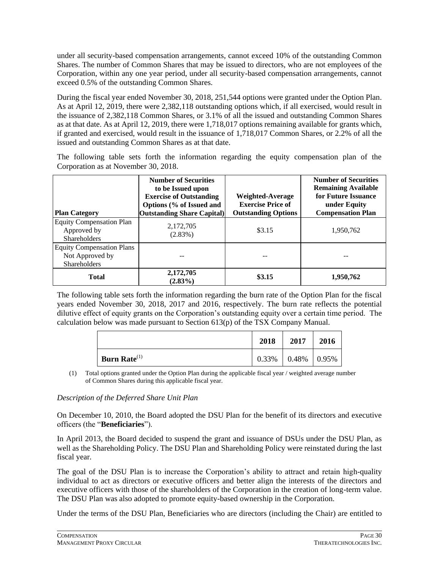under all security-based compensation arrangements, cannot exceed 10% of the outstanding Common Shares. The number of Common Shares that may be issued to directors, who are not employees of the Corporation, within any one year period, under all security-based compensation arrangements, cannot exceed 0.5% of the outstanding Common Shares.

During the fiscal year ended November 30, 2018, 251,544 options were granted under the Option Plan. As at April 12, 2019, there were 2,382,118 outstanding options which, if all exercised, would result in the issuance of 2,382,118 Common Shares, or 3.1% of all the issued and outstanding Common Shares as at that date. As at April 12, 2019, there were 1,718,017 options remaining available for grants which, if granted and exercised, would result in the issuance of 1,718,017 Common Shares, or 2.2% of all the issued and outstanding Common Shares as at that date.

The following table sets forth the information regarding the equity compensation plan of the Corporation as at November 30, 2018.

| <b>Plan Category</b>                                                  | <b>Number of Securities</b><br>to be Issued upon<br><b>Exercise of Outstanding</b><br>Options (% of Issued and<br><b>Outstanding Share Capital)</b> | Weighted-Average<br><b>Exercise Price of</b><br><b>Outstanding Options</b> | <b>Number of Securities</b><br><b>Remaining Available</b><br>for Future Issuance<br>under Equity<br><b>Compensation Plan</b> |
|-----------------------------------------------------------------------|-----------------------------------------------------------------------------------------------------------------------------------------------------|----------------------------------------------------------------------------|------------------------------------------------------------------------------------------------------------------------------|
| <b>Equity Compensation Plan</b><br>Approved by<br><b>Shareholders</b> | 2,172,705<br>$(2.83\%)$                                                                                                                             | \$3.15                                                                     | 1,950,762                                                                                                                    |
| <b>Equity Compensation Plans</b><br>Not Approved by<br>Shareholders   |                                                                                                                                                     |                                                                            |                                                                                                                              |
| <b>Total</b>                                                          | 2,172,705<br>$(2.83\%)$                                                                                                                             | \$3.15                                                                     | 1,950,762                                                                                                                    |

The following table sets forth the information regarding the burn rate of the Option Plan for the fiscal years ended November 30, 2018, 2017 and 2016, respectively. The burn rate reflects the potential dilutive effect of equity grants on the Corporation's outstanding equity over a certain time period. The calculation below was made pursuant to Section 613(p) of the TSX Company Manual.

|                                 | 2018  | 2017  | 2016  |
|---------------------------------|-------|-------|-------|
| <b>Burn Rate</b> <sup>(1)</sup> | 0.33% | 0.48% | 0.95% |

(1) Total options granted under the Option Plan during the applicable fiscal year / weighted average number of Common Shares during this applicable fiscal year.

### *Description of the Deferred Share Unit Plan*

On December 10, 2010, the Board adopted the DSU Plan for the benefit of its directors and executive officers (the "**Beneficiaries**").

In April 2013, the Board decided to suspend the grant and issuance of DSUs under the DSU Plan, as well as the Shareholding Policy. The DSU Plan and Shareholding Policy were reinstated during the last fiscal year.

The goal of the DSU Plan is to increase the Corporation's ability to attract and retain high-quality individual to act as directors or executive officers and better align the interests of the directors and executive officers with those of the shareholders of the Corporation in the creation of long-term value. The DSU Plan was also adopted to promote equity-based ownership in the Corporation.

Under the terms of the DSU Plan, Beneficiaries who are directors (including the Chair) are entitled to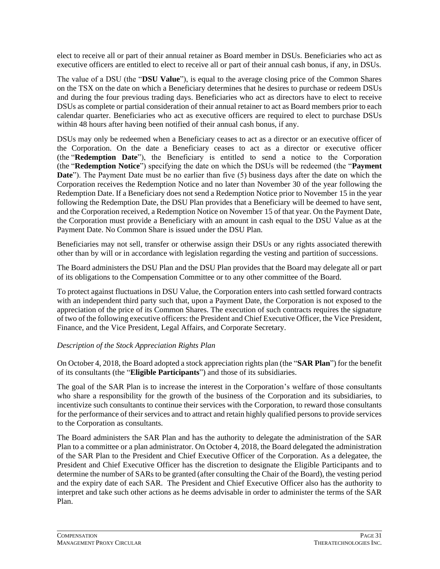elect to receive all or part of their annual retainer as Board member in DSUs. Beneficiaries who act as executive officers are entitled to elect to receive all or part of their annual cash bonus, if any, in DSUs.

The value of a DSU (the "**DSU Value**"), is equal to the average closing price of the Common Shares on the TSX on the date on which a Beneficiary determines that he desires to purchase or redeem DSUs and during the four previous trading days. Beneficiaries who act as directors have to elect to receive DSUs as complete or partial consideration of their annual retainer to act as Board members prior to each calendar quarter. Beneficiaries who act as executive officers are required to elect to purchase DSUs within 48 hours after having been notified of their annual cash bonus, if any.

DSUs may only be redeemed when a Beneficiary ceases to act as a director or an executive officer of the Corporation. On the date a Beneficiary ceases to act as a director or executive officer (the "**Redemption Date**"), the Beneficiary is entitled to send a notice to the Corporation (the "**Redemption Notice**") specifying the date on which the DSUs will be redeemed (the "**Payment Date**"). The Payment Date must be no earlier than five (5) business days after the date on which the Corporation receives the Redemption Notice and no later than November 30 of the year following the Redemption Date. If a Beneficiary does not send a Redemption Notice prior to November 15 in the year following the Redemption Date, the DSU Plan provides that a Beneficiary will be deemed to have sent, and the Corporation received, a Redemption Notice on November 15 of that year. On the Payment Date, the Corporation must provide a Beneficiary with an amount in cash equal to the DSU Value as at the Payment Date. No Common Share is issued under the DSU Plan.

Beneficiaries may not sell, transfer or otherwise assign their DSUs or any rights associated therewith other than by will or in accordance with legislation regarding the vesting and partition of successions.

The Board administers the DSU Plan and the DSU Plan provides that the Board may delegate all or part of its obligations to the Compensation Committee or to any other committee of the Board.

To protect against fluctuations in DSU Value, the Corporation enters into cash settled forward contracts with an independent third party such that, upon a Payment Date, the Corporation is not exposed to the appreciation of the price of its Common Shares. The execution of such contracts requires the signature of two of the following executive officers: the President and Chief Executive Officer, the Vice President, Finance, and the Vice President, Legal Affairs, and Corporate Secretary.

### *Description of the Stock Appreciation Rights Plan*

On October 4, 2018, the Board adopted a stock appreciation rights plan (the "**SAR Plan**") for the benefit of its consultants (the "**Eligible Participants**") and those of its subsidiaries.

The goal of the SAR Plan is to increase the interest in the Corporation's welfare of those consultants who share a responsibility for the growth of the business of the Corporation and its subsidiaries, to incentivize such consultants to continue their services with the Corporation, to reward those consultants for the performance of their services and to attract and retain highly qualified persons to provide services to the Corporation as consultants.

The Board administers the SAR Plan and has the authority to delegate the administration of the SAR Plan to a committee or a plan administrator. On October 4, 2018, the Board delegated the administration of the SAR Plan to the President and Chief Executive Officer of the Corporation. As a delegatee, the President and Chief Executive Officer has the discretion to designate the Eligible Participants and to determine the number of SARs to be granted (after consulting the Chair of the Board), the vesting period and the expiry date of each SAR. The President and Chief Executive Officer also has the authority to interpret and take such other actions as he deems advisable in order to administer the terms of the SAR Plan.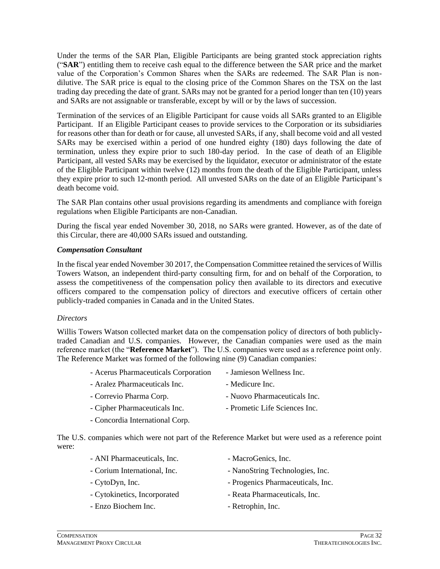Under the terms of the SAR Plan, Eligible Participants are being granted stock appreciation rights ("**SAR**") entitling them to receive cash equal to the difference between the SAR price and the market value of the Corporation's Common Shares when the SARs are redeemed. The SAR Plan is nondilutive. The SAR price is equal to the closing price of the Common Shares on the TSX on the last trading day preceding the date of grant. SARs may not be granted for a period longer than ten (10) years and SARs are not assignable or transferable, except by will or by the laws of succession.

Termination of the services of an Eligible Participant for cause voids all SARs granted to an Eligible Participant. If an Eligible Participant ceases to provide services to the Corporation or its subsidiaries for reasons other than for death or for cause, all unvested SARs, if any, shall become void and all vested SARs may be exercised within a period of one hundred eighty (180) days following the date of termination, unless they expire prior to such 180-day period. In the case of death of an Eligible Participant, all vested SARs may be exercised by the liquidator, executor or administrator of the estate of the Eligible Participant within twelve (12) months from the death of the Eligible Participant, unless they expire prior to such 12-month period. All unvested SARs on the date of an Eligible Participant's death become void.

The SAR Plan contains other usual provisions regarding its amendments and compliance with foreign regulations when Eligible Participants are non-Canadian.

During the fiscal year ended November 30, 2018, no SARs were granted. However, as of the date of this Circular, there are 40,000 SARs issued and outstanding.

#### *Compensation Consultant*

In the fiscal year ended November 30 2017, the Compensation Committee retained the services of Willis Towers Watson, an independent third-party consulting firm, for and on behalf of the Corporation, to assess the competitiveness of the compensation policy then available to its directors and executive officers compared to the compensation policy of directors and executive officers of certain other publicly-traded companies in Canada and in the United States.

#### *Directors*

Willis Towers Watson collected market data on the compensation policy of directors of both publiclytraded Canadian and U.S. companies. However, the Canadian companies were used as the main reference market (the "**Reference Market**"). The U.S. companies were used as a reference point only. The Reference Market was formed of the following nine (9) Canadian companies:

| - Acerus Pharmaceuticals Corporation | - Jamieson Wellness Inc.      |
|--------------------------------------|-------------------------------|
| - Aralez Pharmaceuticals Inc.        | - Medicure Inc.               |
| - Correvio Pharma Corp.              | - Nuovo Pharmaceuticals Inc.  |
| - Cipher Pharmaceuticals Inc.        | - Prometic Life Sciences Inc. |
|                                      |                               |

- Concordia International Corp.

The U.S. companies which were not part of the Reference Market but were used as a reference point were:

| - ANI Pharmaceuticals, Inc.  | - MacroGenics, Inc.               |
|------------------------------|-----------------------------------|
| - Corium International, Inc. | - NanoString Technologies, Inc.   |
| - CytoDyn, Inc.              | - Progenics Pharmaceuticals, Inc. |
| - Cytokinetics, Incorporated | - Reata Pharmaceuticals, Inc.     |

- Enzo Biochem Inc.  $\blacksquare$
- -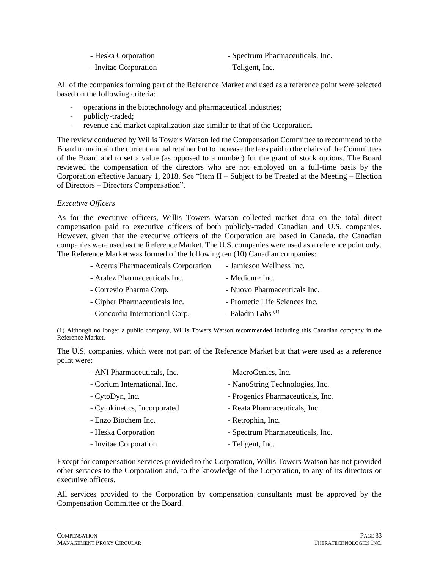| - Heska Corporation   | - Spectrum Pharmaceuticals, Inc. |
|-----------------------|----------------------------------|
| - Invitae Corporation | - Teligent, Inc.                 |

All of the companies forming part of the Reference Market and used as a reference point were selected based on the following criteria:

- operations in the biotechnology and pharmaceutical industries;
- publicly-traded:
- revenue and market capitalization size similar to that of the Corporation.

The review conducted by Willis Towers Watson led the Compensation Committee to recommend to the Board to maintain the current annual retainer but to increase the fees paid to the chairs of the Committees of the Board and to set a value (as opposed to a number) for the grant of stock options. The Board reviewed the compensation of the directors who are not employed on a full-time basis by the Corporation effective January 1, 2018. See "Item II – Subject to be Treated at the Meeting – Election of Directors – Directors Compensation".

# *Executive Officers*

As for the executive officers, Willis Towers Watson collected market data on the total direct compensation paid to executive officers of both publicly-traded Canadian and U.S. companies. However, given that the executive officers of the Corporation are based in Canada, the Canadian companies were used as the Reference Market. The U.S. companies were used as a reference point only. The Reference Market was formed of the following ten (10) Canadian companies:

| - Acerus Pharmaceuticals Corporation | - Jamieson Wellness Inc.      |
|--------------------------------------|-------------------------------|
| - Aralez Pharmaceuticals Inc.        | - Medicure Inc.               |
| - Correvio Pharma Corp.              | - Nuovo Pharmaceuticals Inc.  |
| - Cipher Pharmaceuticals Inc.        | - Prometic Life Sciences Inc. |
| - Concordia International Corp.      | - Paladin Labs <sup>(1)</sup> |
|                                      |                               |

(1) Although no longer a public company, Willis Towers Watson recommended including this Canadian company in the Reference Market.

The U.S. companies, which were not part of the Reference Market but that were used as a reference point were:

| - ANI Pharmaceuticals, Inc.  | - MacroGenics, Inc.               |
|------------------------------|-----------------------------------|
| - Corium International, Inc. | - NanoString Technologies, Inc.   |
| - CytoDyn, Inc.              | - Progenics Pharmaceuticals, Inc. |
| - Cytokinetics, Incorporated | - Reata Pharmaceuticals, Inc.     |
| - Enzo Biochem Inc.          | - Retrophin, Inc.                 |
| - Heska Corporation          | - Spectrum Pharmaceuticals, Inc.  |
| - Invitae Corporation        | - Teligent, Inc.                  |

Except for compensation services provided to the Corporation, Willis Towers Watson has not provided other services to the Corporation and, to the knowledge of the Corporation, to any of its directors or executive officers.

All services provided to the Corporation by compensation consultants must be approved by the Compensation Committee or the Board.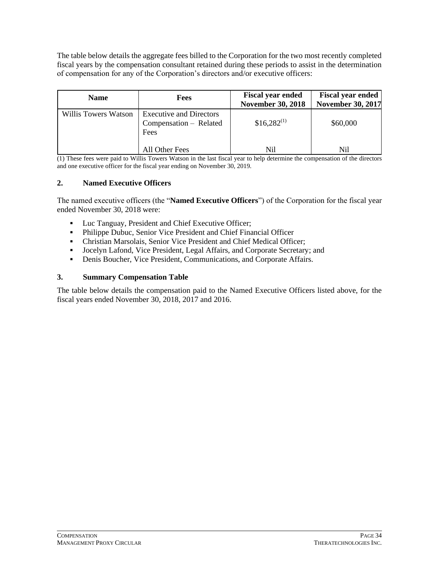The table below details the aggregate fees billed to the Corporation for the two most recently completed fiscal years by the compensation consultant retained during these periods to assist in the determination of compensation for any of the Corporation's directors and/or executive officers:

| <b>Name</b>          | <b>Fees</b>                                                      | <b>Fiscal year ended</b><br><b>November 30, 2018</b> | <b>Fiscal year ended</b><br><b>November 30, 2017</b> |
|----------------------|------------------------------------------------------------------|------------------------------------------------------|------------------------------------------------------|
| Willis Towers Watson | <b>Executive and Directors</b><br>Compensation – Related<br>Fees |                                                      | \$60,000                                             |
|                      | All Other Fees                                                   | Nil                                                  | Nil                                                  |

(1) These fees were paid to Willis Towers Watson in the last fiscal year to help determine the compensation of the directors and one executive officer for the fiscal year ending on November 30, 2019.

# **2. Named Executive Officers**

The named executive officers (the "**Named Executive Officers**") of the Corporation for the fiscal year ended November 30, 2018 were:

- Luc Tanguay, President and Chief Executive Officer;
- Philippe Dubuc, Senior Vice President and Chief Financial Officer
- Christian Marsolais, Senior Vice President and Chief Medical Officer;
- Jocelyn Lafond, Vice President, Legal Affairs, and Corporate Secretary; and
- **•** Denis Boucher, Vice President, Communications, and Corporate Affairs.

### **3. Summary Compensation Table**

The table below details the compensation paid to the Named Executive Officers listed above, for the fiscal years ended November 30, 2018, 2017 and 2016.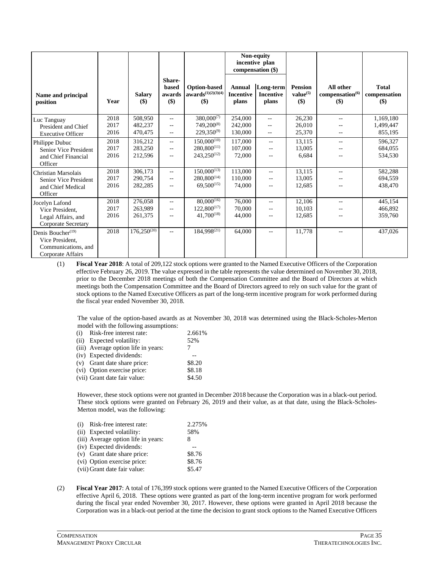|                                         |              |                      |                                    |                                                       | Non-equity<br>incentive plan<br>compensation (\$) |                                        |                                                 |                                                    |                                     |
|-----------------------------------------|--------------|----------------------|------------------------------------|-------------------------------------------------------|---------------------------------------------------|----------------------------------------|-------------------------------------------------|----------------------------------------------------|-------------------------------------|
| Name and principal<br>position          | Year         | <b>Salary</b><br>\$) | Share-<br>based<br>awards<br>$($)$ | <b>Option-based</b><br>$awards^{(1)(2)(3)(4)}$<br>\$) | <b>Annual</b><br><b>Incentive</b><br>plans        | Long-term<br><b>Incentive</b><br>plans | <b>Pension</b><br>value <sup>(5)</sup><br>$($)$ | All other<br>compensation <sup>(6)</sup><br>$($ \$ | <b>Total</b><br>compensation<br>\$) |
| Luc Tanguay                             | 2018         | 508,950              | $- -$                              | $380,000^{(7)}$                                       | 254,000                                           | $ -$                                   | 26,230                                          | $- -$                                              | 1,169,180                           |
| President and Chief                     | 2017         | 482,237              |                                    | 749,200 <sup>(8)</sup>                                | 242,000                                           | $- -$                                  | 26,010                                          |                                                    | 1,499,447                           |
| <b>Executive Officer</b>                | 2016         | 470,475              | $\mathbf{u}$                       | $229,350^{(9)}$                                       | 130,000                                           | $- -$                                  | 25,370                                          | $- -$                                              | 855,195                             |
| Philippe Dubuc                          | 2018         | 316,212              | $\sim$ $\sim$                      | $150,000^{(10)}$                                      | 117,000                                           | $\overline{\phantom{a}}$               | 13,115                                          | $\overline{a}$                                     | 596,327                             |
| Senior Vice President                   | 2017         | 283,250              | $- -$                              | $280,800^{(11)}$                                      | 107,000                                           | $-$                                    | 13,005                                          | $- -$                                              | 684,055                             |
| and Chief Financial                     | 2016         | 212,596              | $- -$                              | $243,250^{(12)}$                                      | 72,000                                            |                                        | 6,684                                           |                                                    | 534,530                             |
| Officer                                 |              |                      |                                    |                                                       |                                                   |                                        |                                                 |                                                    |                                     |
| Christian Marsolais                     | 2018         | 306,173              | $- -$                              | $150,000^{(13)}$<br>$280.800^{(14)}$                  | 113,000                                           | $\overline{a}$                         | 13,115                                          | $- -$                                              | 582,288                             |
| Senior Vice President                   | 2017<br>2016 | 290.754              | $\overline{\phantom{m}}$           | $69,500^{(15)}$                                       | 110,000                                           | $-$                                    | 13.005                                          |                                                    | 694,559                             |
| and Chief Medical<br>Officer            |              | 282,285              | $\frac{1}{2}$                      |                                                       | 74,000                                            | $-$                                    | 12,685                                          |                                                    | 438,470                             |
| Jocelyn Lafond                          | 2018         | 276,058              | $- -$                              | $80,000^{(16)}$                                       | 76,000                                            | $\sim$ $\sim$                          | 12,106                                          | $=$                                                | 445,154                             |
| Vice President.                         | 2017         | 263,989              | $\frac{1}{2}$                      | $122,800^{(17)}$                                      | 70,000                                            | $\overline{a}$                         | 10,103                                          |                                                    | 466,892                             |
| Legal Affairs, and                      | 2016         | 261,375              | $- -$                              | $41,700^{(18)}$                                       | 44,000                                            |                                        | 12,685                                          |                                                    | 359,760                             |
| Corporate Secretary                     |              |                      |                                    |                                                       |                                                   |                                        |                                                 |                                                    |                                     |
| Denis Boucher $(19)$<br>Vice President, | 2018         | $176,250^{(20)}$     | $\mathbf{u}$                       | 184,998 <sup>(21)</sup>                               | 64,000                                            | $-$                                    | 11,778                                          | $- -$                                              | 437,026                             |
| Communications, and                     |              |                      |                                    |                                                       |                                                   |                                        |                                                 |                                                    |                                     |
| Corporate Affairs                       |              |                      |                                    |                                                       |                                                   |                                        |                                                 |                                                    |                                     |

(1) **Fiscal Year 2018**: A total of 209,122 stock options were granted to the Named Executive Officers of the Corporation effective February 26, 2019. The value expressed in the table represents the value determined on November 30, 2018, prior to the December 2018 meetings of both the Compensation Committee and the Board of Directors at which meetings both the Compensation Committee and the Board of Directors agreed to rely on such value for the grant of stock options to the Named Executive Officers as part of the long-term incentive program for work performed during the fiscal year ended November 30, 2018.

The value of the option-based awards as at November 30, 2018 was determined using the Black-Scholes-Merton model with the following assumptions:

| (i) Risk-free interest rate:        | 2.661% |
|-------------------------------------|--------|
| (ii) Expected volatility:           | 52%    |
| (iii) Average option life in years: |        |
| (iv) Expected dividends:            |        |
| (v) Grant date share price:         | \$8.20 |
| (vi) Option exercise price:         | \$8.18 |
| (vii) Grant date fair value:        | \$4.50 |
|                                     |        |

However, these stock options were not granted in December 2018 because the Corporation was in a black-out period. These stock options were granted on February 26, 2019 and their value, as at that date, using the Black-Scholes-Merton model, was the following:

| (i) | Risk-free interest rate:            | 2.275% |
|-----|-------------------------------------|--------|
|     | (ii) Expected volatility:           | 58%    |
|     | (iii) Average option life in years: | 8      |
|     | (iv) Expected dividends:            |        |
|     | (v) Grant date share price:         | \$8.76 |
|     | (vi) Option exercise price:         | \$8.76 |
|     | (vii) Grant date fair value:        | \$5.47 |

(2) **Fiscal Year 2017**: A total of 176,399 stock options were granted to the Named Executive Officers of the Corporation effective April 6, 2018. These options were granted as part of the long-term incentive program for work performed during the fiscal year ended November 30, 2017. However, these options were granted in April 2018 because the Corporation was in a black-out period at the time the decision to grant stock options to the Named Executive Officers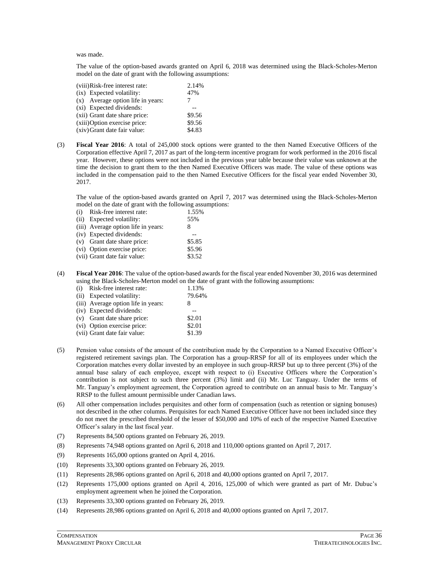was made.

The value of the option-based awards granted on April 6, 2018 was determined using the Black-Scholes-Merton model on the date of grant with the following assumptions:

| (viii)Risk-free interest rate:    | 2.14%  |
|-----------------------------------|--------|
| (ix) Expected volatility:         | 47%    |
| (x) Average option life in years: |        |
| (xi) Expected dividends:          |        |
| (xii) Grant date share price:     | \$9.56 |
| (xiii) Option exercise price:     | \$9.56 |
| (xiv) Grant date fair value:      | \$4.83 |

(3) **Fiscal Year 2016**: A total of 245,000 stock options were granted to the then Named Executive Officers of the Corporation effective April 7, 2017 as part of the long-term incentive program for work performed in the 2016 fiscal year. However, these options were not included in the previous year table because their value was unknown at the time the decision to grant them to the then Named Executive Officers was made. The value of these options was included in the compensation paid to the then Named Executive Officers for the fiscal year ended November 30, 2017.

The value of the option-based awards granted on April 7, 2017 was determined using the Black-Scholes-Merton model on the date of grant with the following assumptions:

| (i) | Risk-free interest rate:            | 1.55%  |
|-----|-------------------------------------|--------|
|     | (ii) Expected volatility:           | 55%    |
|     | (iii) Average option life in years: | 8      |
|     | (iv) Expected dividends:            |        |
|     | (v) Grant date share price:         | \$5.85 |
|     | (vi) Option exercise price:         | \$5.96 |
|     | (vii) Grant date fair value:        | \$3.52 |
|     |                                     |        |

(4) **Fiscal Year 2016**: The value of the option-based awards for the fiscal year ended November 30, 2016 was determined using the Black-Scholes-Merton model on the date of grant with the following assumptions:

| (i) Risk-free interest rate:        | 1.13%  |
|-------------------------------------|--------|
| (ii) Expected volatility:           | 79.64% |
| (iii) Average option life in years: | 8      |
| (iv) Expected dividends:            |        |
| (v) Grant date share price:         | \$2.01 |
| (vi) Option exercise price:         | \$2.01 |
| (vii) Grant date fair value:        | \$1.39 |
|                                     |        |

- (5) Pension value consists of the amount of the contribution made by the Corporation to a Named Executive Officer's registered retirement savings plan. The Corporation has a group-RRSP for all of its employees under which the Corporation matches every dollar invested by an employee in such group-RRSP but up to three percent (3%) of the annual base salary of each employee, except with respect to (i) Executive Officers where the Corporation's contribution is not subject to such three percent (3%) limit and (ii) Mr. Luc Tanguay. Under the terms of Mr. Tanguay's employment agreement, the Corporation agreed to contribute on an annual basis to Mr. Tanguay's RRSP to the fullest amount permissible under Canadian laws.
- (6) All other compensation includes perquisites and other form of compensation (such as retention or signing bonuses) not described in the other columns. Perquisites for each Named Executive Officer have not been included since they do not meet the prescribed threshold of the lesser of \$50,000 and 10% of each of the respective Named Executive Officer's salary in the last fiscal year.
- (7) Represents 84,500 options granted on February 26, 2019.
- (8) Represents 74,948 options granted on April 6, 2018 and 110,000 options granted on April 7, 2017.
- (9) Represents 165,000 options granted on April 4, 2016.
- (10) Represents 33,300 options granted on February 26, 2019.
- (11) Represents 28,986 options granted on April 6, 2018 and 40,000 options granted on April 7, 2017.
- (12) Represents 175,000 options granted on April 4, 2016, 125,000 of which were granted as part of Mr. Dubuc's employment agreement when he joined the Corporation.
- (13) Represents 33,300 options granted on February 26, 2019.
- (14) Represents 28,986 options granted on April 6, 2018 and 40,000 options granted on April 7, 2017.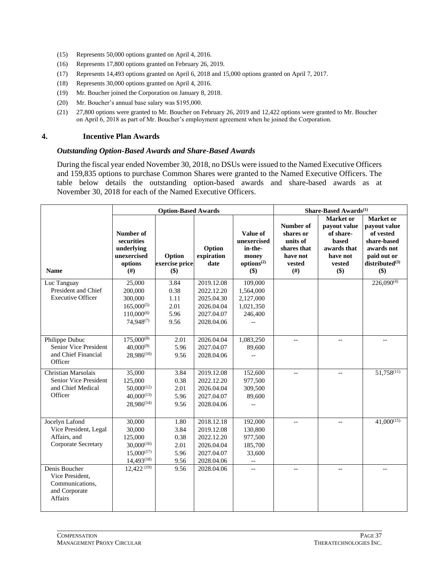- (15) Represents 50,000 options granted on April 4, 2016.
- (16) Represents 17,800 options granted on February 26, 2019.
- (17) Represents 14,493 options granted on April 6, 2018 and 15,000 options granted on April 7, 2017.
- (18) Represents 30,000 options granted on April 4, 2016.
- (19) Mr. Boucher joined the Corporation on January 8, 2018.
- (20) Mr. Boucher's annual base salary was \$195,000.
- (21) 27,800 options were granted to Mr. Boucher on February 26, 2019 and 12,422 options were granted to Mr. Boucher on April 6, 2018 as part of Mr. Boucher's employment agreement when he joined the Corporation.

### **4. Incentive Plan Awards**

#### *Outstanding Option-Based Awards and Share-Based Awards*

During the fiscal year ended November 30, 2018, no DSUs were issued to the Named Executive Officers and 159,835 options to purchase Common Shares were granted to the Named Executive Officers. The table below details the outstanding option-based awards and share-based awards as at November 30, 2018 for each of the Named Executive Officers.

|                                | <b>Option-Based Awards</b>                                                           |                                   |                              |                                                                              | Share-Based Awards <sup>(1)</sup>                                              |                                                                                             |                                                                                                                          |  |
|--------------------------------|--------------------------------------------------------------------------------------|-----------------------------------|------------------------------|------------------------------------------------------------------------------|--------------------------------------------------------------------------------|---------------------------------------------------------------------------------------------|--------------------------------------------------------------------------------------------------------------------------|--|
| <b>Name</b>                    | Number of<br>securities<br>underlying<br>unexercised<br>options<br>(# <sup>2</sup> ) | Option<br>exercise price<br>$($)$ | Option<br>expiration<br>date | Value of<br>unexercised<br>in-the-<br>money<br>options <sup>(2)</sup><br>\$) | Number of<br>shares or<br>units of<br>shares that<br>have not<br>vested<br>(#) | Market or<br>payout value<br>of share-<br>based<br>awards that<br>have not<br>vested<br>\$) | <b>Market</b> or<br>payout value<br>of vested<br>share-based<br>awards not<br>paid out or<br>distributed $(3)$<br>$(\$)$ |  |
| Luc Tanguay                    | 25,000                                                                               | 3.84                              | 2019.12.08                   | 109,000                                                                      |                                                                                |                                                                                             | $226,090^{(4)}$                                                                                                          |  |
| President and Chief            | 200,000                                                                              | 0.38                              | 2022.12.20                   | 1,564,000                                                                    |                                                                                |                                                                                             |                                                                                                                          |  |
| <b>Executive Officer</b>       | 300,000                                                                              | 1.11                              | 2025.04.30                   | 2,127,000                                                                    |                                                                                |                                                                                             |                                                                                                                          |  |
|                                | $165,000^{(5)}$                                                                      | 2.01                              | 2026.04.04                   | 1,021,350                                                                    |                                                                                |                                                                                             |                                                                                                                          |  |
|                                | $110,000^{(6)}$                                                                      | 5.96                              | 2027.04.07                   | 246,400                                                                      |                                                                                |                                                                                             |                                                                                                                          |  |
|                                | 74,948(7)                                                                            | 9.56                              | 2028.04.06                   |                                                                              |                                                                                |                                                                                             |                                                                                                                          |  |
|                                |                                                                                      |                                   |                              |                                                                              |                                                                                |                                                                                             |                                                                                                                          |  |
| Philippe Dubuc                 | $175,000^{(8)}$                                                                      | 2.01                              | 2026.04.04                   | 1,083,250                                                                    |                                                                                |                                                                                             |                                                                                                                          |  |
| Senior Vice President          | $40,000^{(9)}$                                                                       | 5.96                              | 2027.04.07                   | 89,600                                                                       |                                                                                |                                                                                             |                                                                                                                          |  |
| and Chief Financial<br>Officer | $28,986^{(10)}$                                                                      | 9.56                              | 2028.04.06                   | $\overline{a}$                                                               |                                                                                |                                                                                             |                                                                                                                          |  |
| Christian Marsolais            | 35,000                                                                               | 3.84                              | 2019.12.08                   | 152,600                                                                      | $\overline{a}$                                                                 | $-$                                                                                         | $51,758^{(11)}$                                                                                                          |  |
| Senior Vice President          | 125,000                                                                              | 0.38                              | 2022.12.20                   | 977,500                                                                      |                                                                                |                                                                                             |                                                                                                                          |  |
| and Chief Medical              | $50.000^{(12)}$                                                                      | 2.01                              | 2026.04.04                   | 309,500                                                                      |                                                                                |                                                                                             |                                                                                                                          |  |
| Officer                        | $40,000^{(13)}$                                                                      | 5.96                              | 2027.04.07                   | 89,600                                                                       |                                                                                |                                                                                             |                                                                                                                          |  |
|                                | $28,986^{(14)}$                                                                      | 9.56                              | 2028.04.06                   | $\overline{\phantom{a}}$                                                     |                                                                                |                                                                                             |                                                                                                                          |  |
|                                |                                                                                      |                                   |                              |                                                                              |                                                                                |                                                                                             |                                                                                                                          |  |
| Jocelyn Lafond                 | 30,000                                                                               | 1.80                              | 2018.12.18                   | 192,000                                                                      | $-$                                                                            | $= -$                                                                                       | $41,000^{(15)}$                                                                                                          |  |
| Vice President, Legal          | 30,000                                                                               | 3.84                              | 2019.12.08                   | 130,800                                                                      |                                                                                |                                                                                             |                                                                                                                          |  |
| Affairs, and                   | 125,000                                                                              | 0.38                              | 2022.12.20                   | 977,500                                                                      |                                                                                |                                                                                             |                                                                                                                          |  |
| Corporate Secretary            | $30,000^{(16)}$                                                                      | 2.01                              | 2026.04.04                   | 185,700                                                                      |                                                                                |                                                                                             |                                                                                                                          |  |
|                                | $15,000^{(17)}$                                                                      | 5.96                              | 2027.04.07                   | 33,600                                                                       |                                                                                |                                                                                             |                                                                                                                          |  |
|                                | $14,493^{(18)}$                                                                      | 9.56                              | 2028.04.06                   | $\overline{\phantom{a}}$                                                     |                                                                                |                                                                                             |                                                                                                                          |  |
| Denis Boucher                  | $12,422$ <sup>(19)</sup>                                                             | 9.56                              | 2028.04.06                   | $\overline{\phantom{a}}$                                                     | $-$                                                                            | $\overline{\phantom{a}}$                                                                    | $\overline{a}$                                                                                                           |  |
| Vice President,                |                                                                                      |                                   |                              |                                                                              |                                                                                |                                                                                             |                                                                                                                          |  |
| Communications,                |                                                                                      |                                   |                              |                                                                              |                                                                                |                                                                                             |                                                                                                                          |  |
| and Corporate                  |                                                                                      |                                   |                              |                                                                              |                                                                                |                                                                                             |                                                                                                                          |  |
| Affairs                        |                                                                                      |                                   |                              |                                                                              |                                                                                |                                                                                             |                                                                                                                          |  |
|                                |                                                                                      |                                   |                              |                                                                              |                                                                                |                                                                                             |                                                                                                                          |  |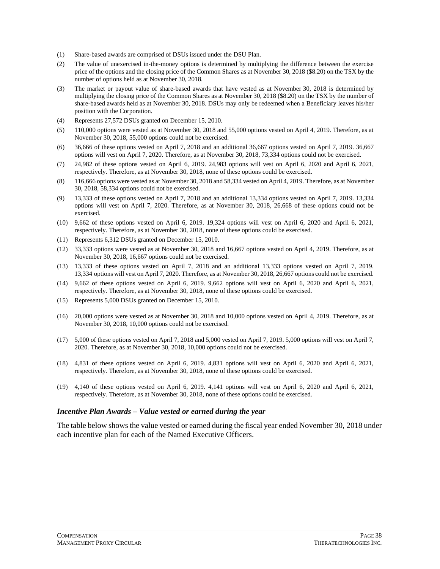- (1) Share-based awards are comprised of DSUs issued under the DSU Plan.
- (2) The value of unexercised in-the-money options is determined by multiplying the difference between the exercise price of the options and the closing price of the Common Shares as at November 30, 2018 (\$8.20) on the TSX by the number of options held as at November 30, 2018.
- (3) The market or payout value of share-based awards that have vested as at November 30, 2018 is determined by multiplying the closing price of the Common Shares as at November 30, 2018 (\$8.20) on the TSX by the number of share-based awards held as at November 30, 2018. DSUs may only be redeemed when a Beneficiary leaves his/her position with the Corporation.
- (4) Represents 27,572 DSUs granted on December 15, 2010.
- (5) 110,000 options were vested as at November 30, 2018 and 55,000 options vested on April 4, 2019. Therefore, as at November 30, 2018, 55,000 options could not be exercised.
- (6) 36,666 of these options vested on April 7, 2018 and an additional 36,667 options vested on April 7, 2019. 36,667 options will vest on April 7, 2020. Therefore, as at November 30, 2018, 73,334 options could not be exercised.
- (7) 24,982 of these options vested on April 6, 2019. 24,983 options will vest on April 6, 2020 and April 6, 2021, respectively. Therefore, as at November 30, 2018, none of these options could be exercised.
- (8) 116,666 options were vested as at November 30, 2018 and 58,334 vested on April 4, 2019. Therefore, as at November 30, 2018, 58,334 options could not be exercised.
- (9) 13,333 of these options vested on April 7, 2018 and an additional 13,334 options vested on April 7, 2019. 13,334 options will vest on April 7, 2020. Therefore, as at November 30, 2018, 26,668 of these options could not be exercised.
- (10) 9,662 of these options vested on April 6, 2019. 19,324 options will vest on April 6, 2020 and April 6, 2021, respectively. Therefore, as at November 30, 2018, none of these options could be exercised.
- (11) Represents 6,312 DSUs granted on December 15, 2010.
- (12) 33,333 options were vested as at November 30, 2018 and 16,667 options vested on April 4, 2019. Therefore, as at November 30, 2018, 16,667 options could not be exercised.
- (13) 13,333 of these options vested on April 7, 2018 and an additional 13,333 options vested on April 7, 2019. 13,334 options will vest on April 7, 2020. Therefore, as at November 30, 2018, 26,667 options could not be exercised.
- (14) 9,662 of these options vested on April 6, 2019. 9,662 options will vest on April 6, 2020 and April 6, 2021, respectively. Therefore, as at November 30, 2018, none of these options could be exercised.
- (15) Represents 5,000 DSUs granted on December 15, 2010.
- (16) 20,000 options were vested as at November 30, 2018 and 10,000 options vested on April 4, 2019. Therefore, as at November 30, 2018, 10,000 options could not be exercised.
- (17) 5,000 of these options vested on April 7, 2018 and 5,000 vested on April 7, 2019. 5,000 options will vest on April 7, 2020. Therefore, as at November 30, 2018, 10,000 options could not be exercised.
- (18) 4,831 of these options vested on April 6, 2019. 4,831 options will vest on April 6, 2020 and April 6, 2021, respectively. Therefore, as at November 30, 2018, none of these options could be exercised.
- (19) 4,140 of these options vested on April 6, 2019. 4,141 options will vest on April 6, 2020 and April 6, 2021, respectively. Therefore, as at November 30, 2018, none of these options could be exercised.

#### *Incentive Plan Awards – Value vested or earned during the year*

The table below shows the value vested or earned during the fiscal year ended November 30, 2018 under each incentive plan for each of the Named Executive Officers.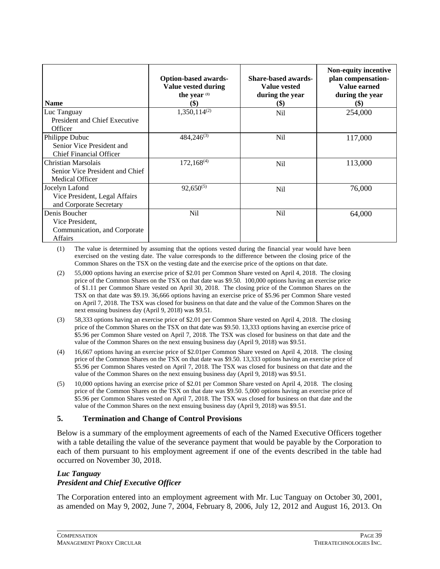| <b>Name</b>                                                                        | <b>Option-based awards-</b><br><b>Value vested during</b><br>the year (1)<br>(\$) | <b>Share-based awards-</b><br><b>Value vested</b><br>during the year<br>\$) | Non-equity incentive<br>plan compensation-<br>Value earned<br>during the year<br>$\left( \text{\$}\right)$ |
|------------------------------------------------------------------------------------|-----------------------------------------------------------------------------------|-----------------------------------------------------------------------------|------------------------------------------------------------------------------------------------------------|
| Luc Tanguay<br>President and Chief Executive<br>Officer                            | $1,350,114^{(2)}$                                                                 | Nil                                                                         | 254,000                                                                                                    |
| Philippe Dubuc<br>Senior Vice President and<br><b>Chief Financial Officer</b>      | $484,246^{(3)}$                                                                   | Nil                                                                         | 117,000                                                                                                    |
| Christian Marsolais<br>Senior Vice President and Chief<br><b>Medical Officer</b>   | $172,168^{(4)}$                                                                   | Nil                                                                         | 113,000                                                                                                    |
| Jocelyn Lafond<br>Vice President, Legal Affairs<br>and Corporate Secretary         | $92,650^{(5)}$                                                                    | Nil                                                                         | 76,000                                                                                                     |
| Denis Boucher<br>Vice President,<br>Communication, and Corporate<br><b>Affairs</b> | Nil                                                                               | Nil                                                                         | 64,000                                                                                                     |

(1) The value is determined by assuming that the options vested during the financial year would have been exercised on the vesting date. The value corresponds to the difference between the closing price of the Common Shares on the TSX on the vesting date and the exercise price of the options on that date.

- (2) 55,000 options having an exercise price of \$2.01 per Common Share vested on April 4, 2018. The closing price of the Common Shares on the TSX on that date was \$9.50. 100,000 options having an exercise price of \$1.11 per Common Share vested on April 30, 2018. The closing price of the Common Shares on the TSX on that date was \$9.19. 36,666 options having an exercise price of \$5.96 per Common Share vested on April 7, 2018. The TSX was closed for business on that date and the value of the Common Shares on the next ensuing business day (April 9, 2018) was \$9.51.
- (3) 58,333 options having an exercise price of \$2.01 per Common Share vested on April 4, 2018. The closing price of the Common Shares on the TSX on that date was \$9.50. 13,333 options having an exercise price of \$5.96 per Common Share vested on April 7, 2018. The TSX was closed for business on that date and the value of the Common Shares on the next ensuing business day (April 9, 2018) was \$9.51.
- (4) 16,667 options having an exercise price of \$2.01per Common Share vested on April 4, 2018. The closing price of the Common Shares on the TSX on that date was \$9.50. 13,333 options having an exercise price of \$5.96 per Common Shares vested on April 7, 2018. The TSX was closed for business on that date and the value of the Common Shares on the next ensuing business day (April 9, 2018) was \$9.51.
- (5) 10,000 options having an exercise price of \$2.01 per Common Share vested on April 4, 2018. The closing price of the Common Shares on the TSX on that date was \$9.50. 5,000 options having an exercise price of \$5.96 per Common Shares vested on April 7, 2018. The TSX was closed for business on that date and the value of the Common Shares on the next ensuing business day (April 9, 2018) was \$9.51.

### **5. Termination and Change of Control Provisions**

Below is a summary of the employment agreements of each of the Named Executive Officers together with a table detailing the value of the severance payment that would be payable by the Corporation to each of them pursuant to his employment agreement if one of the events described in the table had occurred on November 30, 2018.

# *Luc Tanguay*

# *President and Chief Executive Officer*

The Corporation entered into an employment agreement with Mr. Luc Tanguay on October 30, 2001, as amended on May 9, 2002, June 7, 2004, February 8, 2006, July 12, 2012 and August 16, 2013. On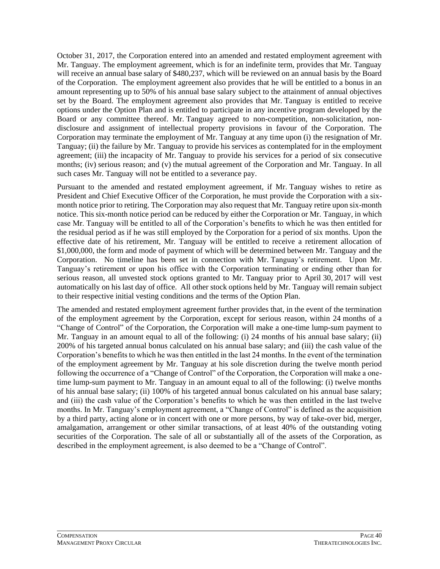October 31, 2017, the Corporation entered into an amended and restated employment agreement with Mr. Tanguay. The employment agreement, which is for an indefinite term, provides that Mr. Tanguay will receive an annual base salary of \$480,237, which will be reviewed on an annual basis by the Board of the Corporation. The employment agreement also provides that he will be entitled to a bonus in an amount representing up to 50% of his annual base salary subject to the attainment of annual objectives set by the Board. The employment agreement also provides that Mr. Tanguay is entitled to receive options under the Option Plan and is entitled to participate in any incentive program developed by the Board or any committee thereof. Mr. Tanguay agreed to non-competition, non-solicitation, nondisclosure and assignment of intellectual property provisions in favour of the Corporation. The Corporation may terminate the employment of Mr. Tanguay at any time upon (i) the resignation of Mr. Tanguay; (ii) the failure by Mr. Tanguay to provide his services as contemplated for in the employment agreement; (iii) the incapacity of Mr. Tanguay to provide his services for a period of six consecutive months; (iv) serious reason; and (v) the mutual agreement of the Corporation and Mr. Tanguay. In all such cases Mr. Tanguay will not be entitled to a severance pay.

Pursuant to the amended and restated employment agreement, if Mr. Tanguay wishes to retire as President and Chief Executive Officer of the Corporation, he must provide the Corporation with a sixmonth notice prior to retiring. The Corporation may also request that Mr. Tanguay retire upon six-month notice. This six-month notice period can be reduced by either the Corporation or Mr. Tanguay, in which case Mr. Tanguay will be entitled to all of the Corporation's benefits to which he was then entitled for the residual period as if he was still employed by the Corporation for a period of six months. Upon the effective date of his retirement, Mr. Tanguay will be entitled to receive a retirement allocation of \$1,000,000, the form and mode of payment of which will be determined between Mr. Tanguay and the Corporation. No timeline has been set in connection with Mr. Tanguay's retirement. Upon Mr. Tanguay's retirement or upon his office with the Corporation terminating or ending other than for serious reason, all unvested stock options granted to Mr. Tanguay prior to April 30, 2017 will vest automatically on his last day of office. All other stock options held by Mr. Tanguay will remain subject to their respective initial vesting conditions and the terms of the Option Plan.

The amended and restated employment agreement further provides that, in the event of the termination of the employment agreement by the Corporation, except for serious reason, within 24 months of a "Change of Control" of the Corporation, the Corporation will make a one-time lump-sum payment to Mr. Tanguay in an amount equal to all of the following: (i) 24 months of his annual base salary; (ii) 200% of his targeted annual bonus calculated on his annual base salary; and (iii) the cash value of the Corporation's benefits to which he was then entitled in the last 24 months. In the event of the termination of the employment agreement by Mr. Tanguay at his sole discretion during the twelve month period following the occurrence of a "Change of Control" of the Corporation, the Corporation will make a onetime lump-sum payment to Mr. Tanguay in an amount equal to all of the following: (i) twelve months of his annual base salary; (ii) 100% of his targeted annual bonus calculated on his annual base salary; and (iii) the cash value of the Corporation's benefits to which he was then entitled in the last twelve months. In Mr. Tanguay's employment agreement, a "Change of Control" is defined as the acquisition by a third party, acting alone or in concert with one or more persons, by way of take-over bid, merger, amalgamation, arrangement or other similar transactions, of at least 40% of the outstanding voting securities of the Corporation. The sale of all or substantially all of the assets of the Corporation, as described in the employment agreement, is also deemed to be a "Change of Control".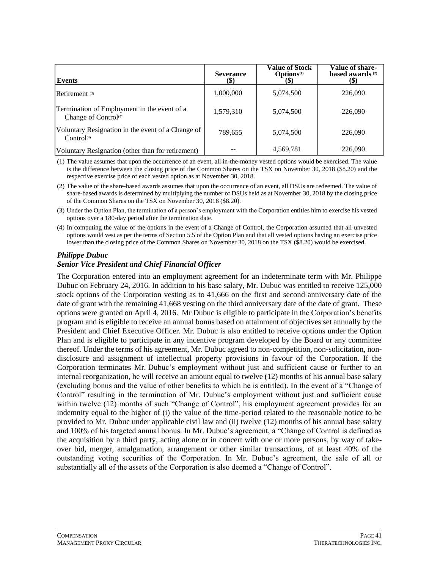| Events                                                                          | <b>Severance</b><br>(\$) | Value of Stock<br><b>Options</b> <sup>(1)</sup><br>(S) | <b>Value of share-</b><br>based awards <sup>(2)</sup><br>$\left( \mathbb{S}\right)$ |
|---------------------------------------------------------------------------------|--------------------------|--------------------------------------------------------|-------------------------------------------------------------------------------------|
| Retirement <sup>(3)</sup>                                                       | 1,000,000                | 5,074,500                                              | 226,090                                                                             |
| Termination of Employment in the event of a<br>Change of Control <sup>(4)</sup> | 1,579,310                | 5,074,500                                              | 226,090                                                                             |
| Voluntary Resignation in the event of a Change of<br>Control <sup>(4)</sup>     | 789,655                  | 5,074,500                                              | 226,090                                                                             |
| Voluntary Resignation (other than for retirement)                               |                          | 4,569,781                                              | 226,090                                                                             |

(1) The value assumes that upon the occurrence of an event, all in-the-money vested options would be exercised. The value is the difference between the closing price of the Common Shares on the TSX on November 30, 2018 (\$8.20) and the respective exercise price of each vested option as at November 30, 2018.

- (2) The value of the share-based awards assumes that upon the occurrence of an event, all DSUs are redeemed. The value of share-based awards is determined by multiplying the number of DSUs held as at November 30, 2018 by the closing price of the Common Shares on the TSX on November 30, 2018 (\$8.20).
- (3) Under the Option Plan, the termination of a person's employment with the Corporation entitles him to exercise his vested options over a 180-day period after the termination date.
- (4) In computing the value of the options in the event of a Change of Control, the Corporation assumed that all unvested options would vest as per the terms of Section 5.5 of the Option Plan and that all vested options having an exercise price lower than the closing price of the Common Shares on November 30, 2018 on the TSX (\$8.20) would be exercised.

### *Philippe Dubuc*

# *Senior Vice President and Chief Financial Officer*

The Corporation entered into an employment agreement for an indeterminate term with Mr. Philippe Dubuc on February 24, 2016. In addition to his base salary, Mr. Dubuc was entitled to receive 125,000 stock options of the Corporation vesting as to 41,666 on the first and second anniversary date of the date of grant with the remaining 41,668 vesting on the third anniversary date of the date of grant. These options were granted on April 4, 2016. Mr Dubuc is eligible to participate in the Corporation's benefits program and is eligible to receive an annual bonus based on attainment of objectives set annually by the President and Chief Executive Officer. Mr. Dubuc is also entitled to receive options under the Option Plan and is eligible to participate in any incentive program developed by the Board or any committee thereof. Under the terms of his agreement, Mr. Dubuc agreed to non-competition, non-solicitation, nondisclosure and assignment of intellectual property provisions in favour of the Corporation. If the Corporation terminates Mr. Dubuc's employment without just and sufficient cause or further to an internal reorganization, he will receive an amount equal to twelve (12) months of his annual base salary (excluding bonus and the value of other benefits to which he is entitled). In the event of a "Change of Control" resulting in the termination of Mr. Dubuc's employment without just and sufficient cause within twelve (12) months of such "Change of Control", his employment agreement provides for an indemnity equal to the higher of (i) the value of the time-period related to the reasonable notice to be provided to Mr. Dubuc under applicable civil law and (ii) twelve (12) months of his annual base salary and 100% of his targeted annual bonus. In Mr. Dubuc's agreement, a "Change of Control is defined as the acquisition by a third party, acting alone or in concert with one or more persons, by way of takeover bid, merger, amalgamation, arrangement or other similar transactions, of at least 40% of the outstanding voting securities of the Corporation. In Mr. Dubuc's agreement, the sale of all or substantially all of the assets of the Corporation is also deemed a "Change of Control".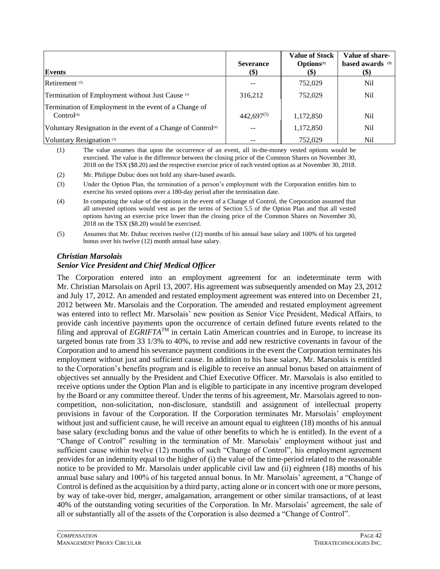| Events                                                                          | <b>Severance</b><br>\$) | <b>Value of Stock</b><br>Options <sup>(1)</sup><br><b>(\$)</b> | Value of share-<br>based awards <sup>(2)</sup><br>\$) |
|---------------------------------------------------------------------------------|-------------------------|----------------------------------------------------------------|-------------------------------------------------------|
| Retirement <sup>(3)</sup>                                                       |                         | 752,029                                                        | N <sub>i</sub>                                        |
| Termination of Employment without Just Cause (3)                                | 316,212                 | 752,029                                                        | N <sub>i</sub>                                        |
| Termination of Employment in the event of a Change of<br>Control <sup>(4)</sup> | $442,697^{(5)}$         | 1,172,850                                                      | Nil                                                   |
| Voluntary Resignation in the event of a Change of Control <sup>(4)</sup>        | $- -$                   | 1,172,850                                                      | N <sub>i</sub>                                        |
| Voluntary Resignation (3)                                                       | --                      | 752,029                                                        | Nil                                                   |

(1) The value assumes that upon the occurrence of an event, all in-the-money vested options would be exercised. The value is the difference between the closing price of the Common Shares on November 30, 2018 on the TSX (\$8.20) and the respective exercise price of each vested option as at November 30, 2018.

- (2) Mr. Philippe Dubuc does not hold any share-based awards.
- (3) Under the Option Plan, the termination of a person's employment with the Corporation entitles him to exercise his vested options over a 180-day period after the termination date.
- (4) In computing the value of the options in the event of a Change of Control, the Corporation assumed that all unvested options would vest as per the terms of Section 5.5 of the Option Plan and that all vested options having an exercise price lower than the closing price of the Common Shares on November 30, 2018 on the TSX (\$8.20) would be exercised.
- (5) Assumes that Mr. Dubuc receives twelve (12) months of his annual base salary and 100% of his targeted bonus over his twelve (12) month annual base salary.

### *Christian Marsolais*

# *Senior Vice President and Chief Medical Officer*

The Corporation entered into an employment agreement for an indeterminate term with Mr. Christian Marsolais on April 13, 2007. His agreement was subsequently amended on May 23, 2012 and July 17, 2012. An amended and restated employment agreement was entered into on December 21, 2012 between Mr. Marsolais and the Corporation. The amended and restated employment agreement was entered into to reflect Mr. Marsolais' new position as Senior Vice President, Medical Affairs, to provide cash incentive payments upon the occurrence of certain defined future events related to the filing and approval of  $\hat{EGRIFTA}^{TM}$  in certain Latin American countries and in Europe, to increase its targeted bonus rate from 33 1/3% to 40%, to revise and add new restrictive covenants in favour of the Corporation and to amend his severance payment conditions in the event the Corporation terminates his employment without just and sufficient cause. In addition to his base salary, Mr. Marsolais is entitled to the Corporation's benefits program and is eligible to receive an annual bonus based on attainment of objectives set annually by the President and Chief Executive Officer. Mr. Marsolais is also entitled to receive options under the Option Plan and is eligible to participate in any incentive program developed by the Board or any committee thereof. Under the terms of his agreement, Mr. Marsolais agreed to noncompetition, non-solicitation, non-disclosure, standstill and assignment of intellectual property provisions in favour of the Corporation. If the Corporation terminates Mr. Marsolais' employment without just and sufficient cause, he will receive an amount equal to eighteen (18) months of his annual base salary (excluding bonus and the value of other benefits to which he is entitled). In the event of a "Change of Control" resulting in the termination of Mr. Marsolais' employment without just and sufficient cause within twelve (12) months of such "Change of Control", his employment agreement provides for an indemnity equal to the higher of (i) the value of the time-period related to the reasonable notice to be provided to Mr. Marsolais under applicable civil law and (ii) eighteen (18) months of his annual base salary and 100% of his targeted annual bonus. In Mr. Marsolais' agreement, a "Change of Control is defined as the acquisition by a third party, acting alone or in concert with one or more persons, by way of take-over bid, merger, amalgamation, arrangement or other similar transactions, of at least 40% of the outstanding voting securities of the Corporation. In Mr. Marsolais' agreement, the sale of all or substantially all of the assets of the Corporation is also deemed a "Change of Control".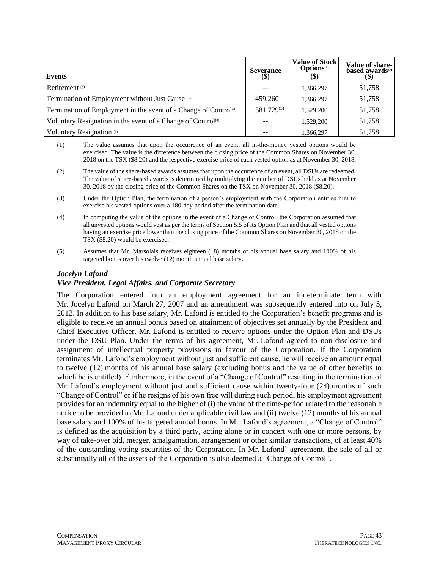| Events                                                                       | <b>Severance</b><br>(\$) | <b>Value of Stock</b><br><b>Options</b> <sup>(1)</sup><br>(\$) | Value of share-<br>based awards <sup>(2)</sup> |
|------------------------------------------------------------------------------|--------------------------|----------------------------------------------------------------|------------------------------------------------|
| Retirement <sup>(3)</sup>                                                    |                          | 1,366,297                                                      | 51,758                                         |
| Termination of Employment without Just Cause (3)                             | 459,260                  | 1,366,297                                                      | 51,758                                         |
| Termination of Employment in the event of a Change of Control <sup>(4)</sup> | 581,729 <sup>(5)</sup>   | 1,529,200                                                      | 51,758                                         |
| Voluntary Resignation in the event of a Change of Control <sup>(4)</sup>     |                          | 1,529,200                                                      | 51,758                                         |
| Voluntary Resignation <sup>(3)</sup>                                         |                          | 1.366.297                                                      | 51,758                                         |

- (1) The value assumes that upon the occurrence of an event, all in-the-money vested options would be exercised. The value is the difference between the closing price of the Common Shares on November 30, 2018 on the TSX (\$8.20) and the respective exercise price of each vested option as at November 30, 2018.
- (2) The value of the share-based awards assumes that upon the occurrence of an event, all DSUs are redeemed. The value of share-based awards is determined by multiplying the number of DSUs held as at November 30, 2018 by the closing price of the Common Shares on the TSX on November 30, 2018 (\$8.20).
- (3) Under the Option Plan, the termination of a person's employment with the Corporation entitles him to exercise his vested options over a 180-day period after the termination date.
- (4) In computing the value of the options in the event of a Change of Control, the Corporation assumed that all unvested options would vest as per the terms of Section 5.5 of its Option Plan and that all vested options having an exercise price lower than the closing price of the Common Shares on November 30, 2018 on the TSX (\$8.20) would be exercised.
- (5) Assumes that Mr. Marsolais receives eighteen (18) months of his annual base salary and 100% of his targeted bonus over his twelve (12) month annual base salary.

### *Jocelyn Lafond*

#### *Vice President, Legal Affairs, and Corporate Secretary*

The Corporation entered into an employment agreement for an indeterminate term with Mr. Jocelyn Lafond on March 27, 2007 and an amendment was subsequently entered into on July 5, 2012. In addition to his base salary, Mr. Lafond is entitled to the Corporation's benefit programs and is eligible to receive an annual bonus based on attainment of objectives set annually by the President and Chief Executive Officer. Mr. Lafond is entitled to receive options under the Option Plan and DSUs under the DSU Plan. Under the terms of his agreement, Mr. Lafond agreed to non-disclosure and assignment of intellectual property provisions in favour of the Corporation. If the Corporation terminates Mr. Lafond's employment without just and sufficient cause, he will receive an amount equal to twelve (12) months of his annual base salary (excluding bonus and the value of other benefits to which he is entitled). Furthermore, in the event of a "Change of Control" resulting in the termination of Mr. Lafond's employment without just and sufficient cause within twenty-four (24) months of such "Change of Control" or if he resigns of his own free will during such period, his employment agreement provides for an indemnity equal to the higher of (i) the value of the time-period related to the reasonable notice to be provided to Mr. Lafond under applicable civil law and (ii) twelve (12) months of his annual base salary and 100% of his targeted annual bonus. In Mr. Lafond's agreement, a "Change of Control" is defined as the acquisition by a third party, acting alone or in concert with one or more persons, by way of take-over bid, merger, amalgamation, arrangement or other similar transactions, of at least 40% of the outstanding voting securities of the Corporation. In Mr. Lafond' agreement, the sale of all or substantially all of the assets of the Corporation is also deemed a "Change of Control".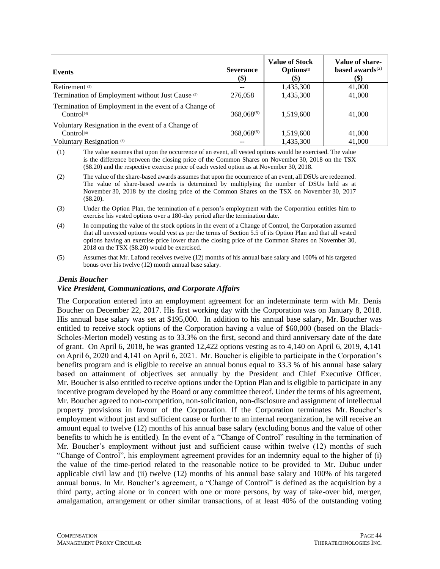| <b>Events</b>                                                                   | <b>Severance</b><br>\$) | <b>Value of Stock</b><br>Options <sup>(1)</sup><br>$\left( \text{\$}\right)$ | Value of share-<br>based awards $(2)$<br>(\$) |
|---------------------------------------------------------------------------------|-------------------------|------------------------------------------------------------------------------|-----------------------------------------------|
| Retirement <sup>(3)</sup>                                                       |                         | 1,435,300                                                                    | 41,000                                        |
| Termination of Employment without Just Cause (3)                                | 276,058                 | 1,435,300                                                                    | 41,000                                        |
| Termination of Employment in the event of a Change of<br>Control <sup>(4)</sup> | $368,068^{(5)}$         | 1,519,600                                                                    | 41,000                                        |
| Voluntary Resignation in the event of a Change of                               |                         |                                                                              |                                               |
| Control <sup>(4)</sup>                                                          | $368,068^{(5)}$         | 1,519,600                                                                    | 41,000                                        |
| Voluntary Resignation <sup>(3)</sup>                                            |                         | 1,435,300                                                                    | 41,000                                        |

(1) The value assumes that upon the occurrence of an event, all vested options would be exercised. The value is the difference between the closing price of the Common Shares on November 30, 2018 on the TSX (\$8.20) and the respective exercise price of each vested option as at November 30, 2018.

- (2) The value of the share-based awards assumes that upon the occurrence of an event, all DSUs are redeemed. The value of share-based awards is determined by multiplying the number of DSUs held as at November 30, 2018 by the closing price of the Common Shares on the TSX on November 30, 2017 (\$8.20).
- (3) Under the Option Plan, the termination of a person's employment with the Corporation entitles him to exercise his vested options over a 180-day period after the termination date.
- (4) In computing the value of the stock options in the event of a Change of Control, the Corporation assumed that all unvested options would vest as per the terms of Section 5.5 of its Option Plan and that all vested options having an exercise price lower than the closing price of the Common Shares on November 30, 2018 on the TSX (\$8.20) would be exercised.
- (5) Assumes that Mr. Lafond receives twelve (12) months of his annual base salary and 100% of his targeted bonus over his twelve (12) month annual base salary.

### .*Denis Boucher*

### *Vice President, Communications, and Corporate Affairs*

The Corporation entered into an employment agreement for an indeterminate term with Mr. Denis Boucher on December 22, 2017. His first working day with the Corporation was on January 8, 2018. His annual base salary was set at \$195,000. In addition to his annual base salary, Mr. Boucher was entitled to receive stock options of the Corporation having a value of \$60,000 (based on the Black-Scholes-Merton model) vesting as to 33.3% on the first, second and third anniversary date of the date of grant. On April 6, 2018, he was granted 12,422 options vesting as to 4,140 on April 6, 2019, 4,141 on April 6, 2020 and 4,141 on April 6, 2021. Mr. Boucher is eligible to participate in the Corporation's benefits program and is eligible to receive an annual bonus equal to 33.3 % of his annual base salary based on attainment of objectives set annually by the President and Chief Executive Officer. Mr. Boucher is also entitled to receive options under the Option Plan and is eligible to participate in any incentive program developed by the Board or any committee thereof. Under the terms of his agreement, Mr. Boucher agreed to non-competition, non-solicitation, non-disclosure and assignment of intellectual property provisions in favour of the Corporation. If the Corporation terminates Mr. Boucher's employment without just and sufficient cause or further to an internal reorganization, he will receive an amount equal to twelve (12) months of his annual base salary (excluding bonus and the value of other benefits to which he is entitled). In the event of a "Change of Control" resulting in the termination of Mr. Boucher's employment without just and sufficient cause within twelve (12) months of such "Change of Control", his employment agreement provides for an indemnity equal to the higher of (i) the value of the time-period related to the reasonable notice to be provided to Mr. Dubuc under applicable civil law and (ii) twelve (12) months of his annual base salary and 100% of his targeted annual bonus. In Mr. Boucher's agreement, a "Change of Control" is defined as the acquisition by a third party, acting alone or in concert with one or more persons, by way of take-over bid, merger, amalgamation, arrangement or other similar transactions, of at least 40% of the outstanding voting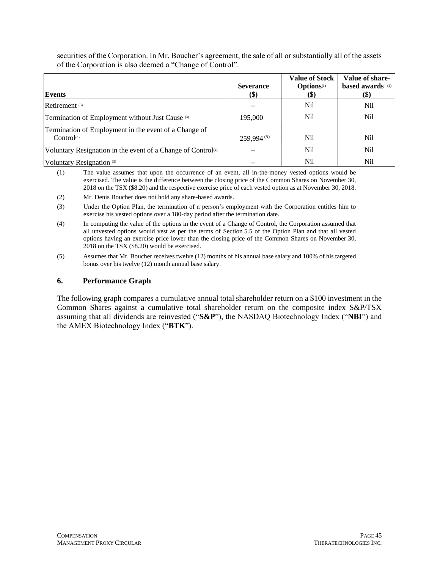securities of the Corporation. In Mr. Boucher's agreement, the sale of all or substantially all of the assets of the Corporation is also deemed a "Change of Control".

| Events                                                                          | <b>Severance</b><br>$\left( \text{\$}\right)$ | <b>Value of Stock</b><br>Options <sup>(1)</sup><br>$\left( \text{\$}\right)$ | Value of share-<br>based awards (2)<br>\$) |
|---------------------------------------------------------------------------------|-----------------------------------------------|------------------------------------------------------------------------------|--------------------------------------------|
| Retirement <sup>(3)</sup>                                                       |                                               | <b>Nil</b>                                                                   | Nil                                        |
| Termination of Employment without Just Cause (3)                                | 195,000                                       | Nil                                                                          | Nil                                        |
| Termination of Employment in the event of a Change of<br>Control <sup>(4)</sup> | $259.994^{(5)}$                               | Nil                                                                          | Nil                                        |
| Voluntary Resignation in the event of a Change of Control <sup>(4)</sup>        | --                                            | Nil                                                                          | Nil                                        |
| Voluntary Resignation <sup>(3)</sup>                                            |                                               | Nil                                                                          | Nil                                        |

(1) The value assumes that upon the occurrence of an event, all in-the-money vested options would be exercised. The value is the difference between the closing price of the Common Shares on November 30, 2018 on the TSX (\$8.20) and the respective exercise price of each vested option as at November 30, 2018.

(2) Mr. Denis Boucher does not hold any share-based awards.

(3) Under the Option Plan, the termination of a person's employment with the Corporation entitles him to exercise his vested options over a 180-day period after the termination date.

(4) In computing the value of the options in the event of a Change of Control, the Corporation assumed that all unvested options would vest as per the terms of Section 5.5 of the Option Plan and that all vested options having an exercise price lower than the closing price of the Common Shares on November 30, 2018 on the TSX (\$8.20) would be exercised.

(5) Assumes that Mr. Boucher receives twelve (12) months of his annual base salary and 100% of his targeted bonus over his twelve (12) month annual base salary.

#### **6. Performance Graph**

The following graph compares a cumulative annual total shareholder return on a \$100 investment in the Common Shares against a cumulative total shareholder return on the composite index S&P/TSX assuming that all dividends are reinvested ("**S&P**"), the NASDAQ Biotechnology Index ("**NBI**") and the AMEX Biotechnology Index ("**BTK**").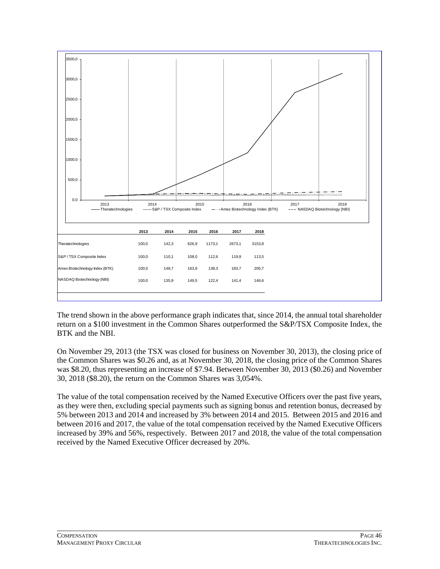

The trend shown in the above performance graph indicates that, since 2014, the annual total shareholder return on a \$100 investment in the Common Shares outperformed the S&P/TSX Composite Index, the BTK and the NBI.

On November 29, 2013 (the TSX was closed for business on November 30, 2013), the closing price of the Common Shares was \$0.26 and, as at November 30, 2018, the closing price of the Common Shares was \$8.20, thus representing an increase of \$7.94. Between November 30, 2013 (\$0.26) and November 30, 2018 (\$8.20), the return on the Common Shares was 3,054%.

The value of the total compensation received by the Named Executive Officers over the past five years, as they were then, excluding special payments such as signing bonus and retention bonus, decreased by 5% between 2013 and 2014 and increased by 3% between 2014 and 2015. Between 2015 and 2016 and between 2016 and 2017, the value of the total compensation received by the Named Executive Officers increased by 39% and 56%, respectively. Between 2017 and 2018, the value of the total compensation received by the Named Executive Officer decreased by 20%.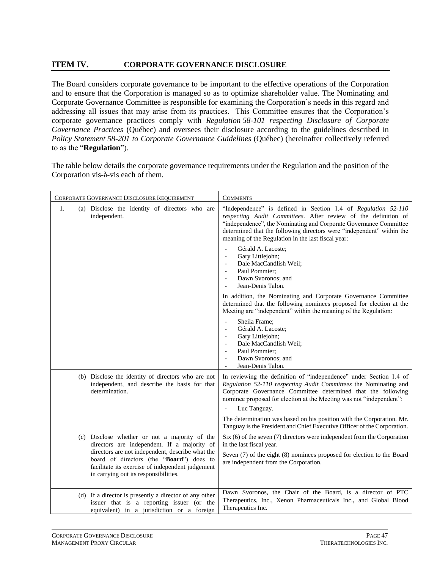# **ITEM IV. CORPORATE GOVERNANCE DISCLOSURE**

The Board considers corporate governance to be important to the effective operations of the Corporation and to ensure that the Corporation is managed so as to optimize shareholder value. The Nominating and Corporate Governance Committee is responsible for examining the Corporation's needs in this regard and addressing all issues that may arise from its practices. This Committee ensures that the Corporation's corporate governance practices comply with *Regulation 58-101 respecting Disclosure of Corporate Governance Practices* (Québec) and oversees their disclosure according to the guidelines described in *Policy Statement 58-201 to Corporate Governance Guidelines* (Québec) (hereinafter collectively referred to as the "**Regulation**").

The table below details the corporate governance requirements under the Regulation and the position of the Corporation vis-à-vis each of them.

| CORPORATE GOVERNANCE DISCLOSURE REQUIREMENT                                                                                                                                               | <b>COMMENTS</b>                                                                                                                                                                                                                                                                                                                     |
|-------------------------------------------------------------------------------------------------------------------------------------------------------------------------------------------|-------------------------------------------------------------------------------------------------------------------------------------------------------------------------------------------------------------------------------------------------------------------------------------------------------------------------------------|
| (a) Disclose the identity of directors who are<br>1.<br>independent.                                                                                                                      | "Independence" is defined in Section 1.4 of Regulation 52-110<br>respecting Audit Committees. After review of the definition of<br>"independence", the Nominating and Corporate Governance Committee<br>determined that the following directors were "independent" within the<br>meaning of the Regulation in the last fiscal year: |
|                                                                                                                                                                                           | Gérald A. Lacoste;<br>$\overline{\phantom{a}}$<br>Gary Littlejohn;<br>$\overline{\phantom{a}}$<br>Dale MacCandlish Weil;<br>$\overline{\phantom{a}}$<br>Paul Pommier;<br>Dawn Svoronos; and<br>$\overline{\phantom{a}}$<br>Jean-Denis Talon.                                                                                        |
|                                                                                                                                                                                           | In addition, the Nominating and Corporate Governance Committee<br>determined that the following nominees proposed for election at the<br>Meeting are "independent" within the meaning of the Regulation:                                                                                                                            |
|                                                                                                                                                                                           | Sheila Frame:<br>$\blacksquare$<br>Gérald A. Lacoste;<br>$\overline{\phantom{a}}$<br>Gary Littlejohn;<br>$\overline{\phantom{a}}$<br>Dale MacCandlish Weil;<br>$\overline{\phantom{a}}$<br>Paul Pommier:<br>$\overline{\phantom{a}}$<br>Dawn Svoronos; and<br>$\overline{\phantom{a}}$<br>Jean-Denis Talon.                         |
| (b) Disclose the identity of directors who are not<br>independent, and describe the basis for that<br>determination.                                                                      | In reviewing the definition of "independence" under Section 1.4 of<br>Regulation 52-110 respecting Audit Committees the Nominating and<br>Corporate Governance Committee determined that the following<br>nominee proposed for election at the Meeting was not "independent":<br>Luc Tanguay.                                       |
|                                                                                                                                                                                           | The determination was based on his position with the Corporation. Mr.<br>Tanguay is the President and Chief Executive Officer of the Corporation.                                                                                                                                                                                   |
| (c) Disclose whether or not a majority of the<br>directors are independent. If a majority of                                                                                              | $Six(6)$ of the seven $(7)$ directors were independent from the Corporation<br>in the last fiscal year.                                                                                                                                                                                                                             |
| directors are not independent, describe what the<br>board of directors (the "Board") does to<br>facilitate its exercise of independent judgement<br>in carrying out its responsibilities. | Seven (7) of the eight (8) nominees proposed for election to the Board<br>are independent from the Corporation.                                                                                                                                                                                                                     |
| (d) If a director is presently a director of any other<br>issuer that is a reporting issuer (or the<br>equivalent) in a jurisdiction or a foreign                                         | Dawn Svoronos, the Chair of the Board, is a director of PTC<br>Therapeutics, Inc., Xenon Pharmaceuticals Inc., and Global Blood<br>Therapeutics Inc.                                                                                                                                                                                |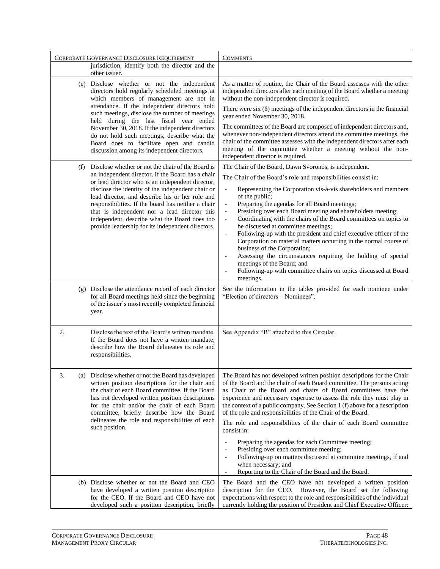| CORPORATE GOVERNANCE DISCLOSURE REQUIREMENT                                                                                                                                                                                                                                                                                             |                                                                                                                                                                                                                                                                                                                                                                                                                                                                                | <b>COMMENTS</b>                                                                                                                                                                                                                                                                                                                                                                                                                                                                                                                                                                                                                                                                                                                                                                                                                                                                                                   |
|-----------------------------------------------------------------------------------------------------------------------------------------------------------------------------------------------------------------------------------------------------------------------------------------------------------------------------------------|--------------------------------------------------------------------------------------------------------------------------------------------------------------------------------------------------------------------------------------------------------------------------------------------------------------------------------------------------------------------------------------------------------------------------------------------------------------------------------|-------------------------------------------------------------------------------------------------------------------------------------------------------------------------------------------------------------------------------------------------------------------------------------------------------------------------------------------------------------------------------------------------------------------------------------------------------------------------------------------------------------------------------------------------------------------------------------------------------------------------------------------------------------------------------------------------------------------------------------------------------------------------------------------------------------------------------------------------------------------------------------------------------------------|
|                                                                                                                                                                                                                                                                                                                                         | jurisdiction, identify both the director and the<br>other issuer.                                                                                                                                                                                                                                                                                                                                                                                                              |                                                                                                                                                                                                                                                                                                                                                                                                                                                                                                                                                                                                                                                                                                                                                                                                                                                                                                                   |
| (e) Disclose whether or not the independent<br>directors hold regularly scheduled meetings at<br>which members of management are not in<br>attendance. If the independent directors hold<br>such meetings, disclose the number of meetings<br>held during the last fiscal year ended<br>November 30, 2018. If the independent directors |                                                                                                                                                                                                                                                                                                                                                                                                                                                                                | As a matter of routine, the Chair of the Board assesses with the other<br>independent directors after each meeting of the Board whether a meeting<br>without the non-independent director is required.<br>There were $six(6)$ meetings of the independent directors in the financial<br>year ended November 30, 2018.<br>The committees of the Board are composed of independent directors and,                                                                                                                                                                                                                                                                                                                                                                                                                                                                                                                   |
|                                                                                                                                                                                                                                                                                                                                         | do not hold such meetings, describe what the<br>Board does to facilitate open and candid<br>discussion among its independent directors.                                                                                                                                                                                                                                                                                                                                        | whenever non-independent directors attend the committee meetings, the<br>chair of the committee assesses with the independent directors after each<br>meeting of the committee whether a meeting without the non-<br>independent director is required.                                                                                                                                                                                                                                                                                                                                                                                                                                                                                                                                                                                                                                                            |
| (f)                                                                                                                                                                                                                                                                                                                                     | Disclose whether or not the chair of the Board is<br>an independent director. If the Board has a chair<br>or lead director who is an independent director,<br>disclose the identity of the independent chair or<br>lead director, and describe his or her role and<br>responsibilities. If the board has neither a chair<br>that is independent nor a lead director this<br>independent, describe what the Board does too<br>provide leadership for its independent directors. | The Chair of the Board, Dawn Svoronos, is independent.<br>The Chair of the Board's role and responsibilities consist in:<br>Representing the Corporation vis-à-vis shareholders and members<br>$\overline{\phantom{a}}$<br>of the public;<br>Preparing the agendas for all Board meetings;<br>$\Box$<br>Presiding over each Board meeting and shareholders meeting;<br>$\overline{\phantom{a}}$<br>Coordinating with the chairs of the Board committees on topics to<br>$\frac{1}{2}$<br>be discussed at committee meetings;<br>Following-up with the president and chief executive officer of the<br>$\overline{\phantom{a}}$<br>Corporation on material matters occurring in the normal course of<br>business of the Corporation;<br>Assessing the circumstances requiring the holding of special<br>meetings of the Board; and<br>Following-up with committee chairs on topics discussed at Board<br>meetings. |
|                                                                                                                                                                                                                                                                                                                                         | (g) Disclose the attendance record of each director<br>for all Board meetings held since the beginning<br>of the issuer's most recently completed financial<br>year.                                                                                                                                                                                                                                                                                                           | See the information in the tables provided for each nominee under<br>"Election of directors - Nominees".                                                                                                                                                                                                                                                                                                                                                                                                                                                                                                                                                                                                                                                                                                                                                                                                          |
| 2.                                                                                                                                                                                                                                                                                                                                      | Disclose the text of the Board's written mandate.<br>If the Board does not have a written mandate,<br>describe how the Board delineates its role and<br>responsibilities.                                                                                                                                                                                                                                                                                                      | See Appendix "B" attached to this Circular.                                                                                                                                                                                                                                                                                                                                                                                                                                                                                                                                                                                                                                                                                                                                                                                                                                                                       |
| 3.<br>(a)                                                                                                                                                                                                                                                                                                                               | Disclose whether or not the Board has developed<br>written position descriptions for the chair and<br>the chair of each Board committee. If the Board<br>has not developed written position descriptions<br>for the chair and/or the chair of each Board<br>committee, briefly describe how the Board<br>delineates the role and responsibilities of each<br>such position.                                                                                                    | The Board has not developed written position descriptions for the Chair<br>of the Board and the chair of each Board committee. The persons acting<br>as Chair of the Board and chairs of Board committees have the<br>experience and necessary expertise to assess the role they must play in<br>the context of a public company. See Section 1 (f) above for a description<br>of the role and responsibilities of the Chair of the Board.<br>The role and responsibilities of the chair of each Board committee<br>consist in:<br>Preparing the agendas for each Committee meeting;<br>$\overline{\phantom{a}}$<br>Presiding over each committee meeting;<br>$\overline{a}$<br>Following-up on matters discussed at committee meetings, if and<br>$\overline{\phantom{a}}$<br>when necessary; and<br>Reporting to the Chair of the Board and the Board.<br>$\overline{\phantom{a}}$                              |
|                                                                                                                                                                                                                                                                                                                                         | (b) Disclose whether or not the Board and CEO<br>have developed a written position description<br>for the CEO. If the Board and CEO have not<br>developed such a position description, briefly                                                                                                                                                                                                                                                                                 | The Board and the CEO have not developed a written position<br>description for the CEO. However, the Board set the following<br>expectations with respect to the role and responsibilities of the individual<br>currently holding the position of President and Chief Executive Officer:                                                                                                                                                                                                                                                                                                                                                                                                                                                                                                                                                                                                                          |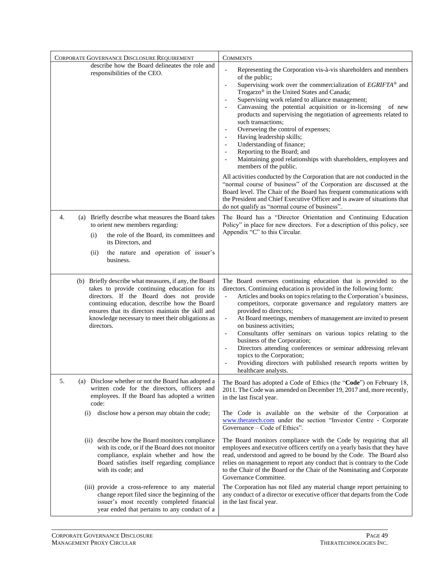| CORPORATE GOVERNANCE DISCLOSURE REQUIREMENT                                                                                                                                                                                                                                                                               | <b>COMMENTS</b>                                                                                                                                                                                                                                                                                                                                                                                                                                                                                                                                                                                                                                                                                                                                                                                                                                                                                                                                                                                                                                                                                                                                                                                     |
|---------------------------------------------------------------------------------------------------------------------------------------------------------------------------------------------------------------------------------------------------------------------------------------------------------------------------|-----------------------------------------------------------------------------------------------------------------------------------------------------------------------------------------------------------------------------------------------------------------------------------------------------------------------------------------------------------------------------------------------------------------------------------------------------------------------------------------------------------------------------------------------------------------------------------------------------------------------------------------------------------------------------------------------------------------------------------------------------------------------------------------------------------------------------------------------------------------------------------------------------------------------------------------------------------------------------------------------------------------------------------------------------------------------------------------------------------------------------------------------------------------------------------------------------|
| describe how the Board delineates the role and<br>responsibilities of the CEO.                                                                                                                                                                                                                                            | Representing the Corporation vis-à-vis shareholders and members<br>$\blacksquare$<br>of the public;<br>Supervising work over the commercialization of EGRIFTA® and<br>$\blacksquare$<br>Trogarzo <sup>®</sup> in the United States and Canada;<br>Supervising work related to alliance management;<br>$\overline{\phantom{a}}$<br>Canvassing the potential acquisition or in-licensing<br>of new<br>products and supervising the negotiation of agreements related to<br>such transactions;<br>Overseeing the control of expenses;<br>$\overline{\phantom{a}}$<br>Having leadership skills;<br>$\overline{\phantom{a}}$<br>Understanding of finance;<br>$\overline{\phantom{a}}$<br>Reporting to the Board; and<br>$\overline{\phantom{a}}$<br>Maintaining good relationships with shareholders, employees and<br>members of the public.<br>All activities conducted by the Corporation that are not conducted in the<br>"normal course of business" of the Corporation are discussed at the<br>Board level. The Chair of the Board has frequent communications with<br>the President and Chief Executive Officer and is aware of situations that<br>do not qualify as "normal course of business". |
| (a) Briefly describe what measures the Board takes<br>4.<br>to orient new members regarding:<br>the role of the Board, its committees and<br>(i)<br>its Directors, and<br>the nature and operation of issuer's<br>(ii)<br>business.                                                                                       | The Board has a "Director Orientation and Continuing Education<br>Policy" in place for new directors. For a description of this policy, see<br>Appendix "C" to this Circular.                                                                                                                                                                                                                                                                                                                                                                                                                                                                                                                                                                                                                                                                                                                                                                                                                                                                                                                                                                                                                       |
| (b) Briefly describe what measures, if any, the Board<br>takes to provide continuing education for its<br>directors. If the Board does not provide<br>continuing education, describe how the Board<br>ensures that its directors maintain the skill and<br>knowledge necessary to meet their obligations as<br>directors. | The Board oversees continuing education that is provided to the<br>directors. Continuing education is provided in the following form:<br>Articles and books on topics relating to the Corporation's business,<br>$\overline{\phantom{a}}$<br>competitors, corporate governance and regulatory matters are<br>provided to directors;<br>At Board meetings, members of management are invited to present<br>$\overline{\phantom{a}}$<br>on business activities;<br>Consultants offer seminars on various topics relating to the<br>$\overline{\phantom{a}}$<br>business of the Corporation;<br>Directors attending conferences or seminar addressing relevant<br>topics to the Corporation;<br>Providing directors with published research reports written by<br>healthcare analysts.                                                                                                                                                                                                                                                                                                                                                                                                                 |
| 5.<br>(a) Disclose whether or not the Board has adopted a<br>written code for the directors, officers and<br>employees. If the Board has adopted a written<br>code:                                                                                                                                                       | The Board has adopted a Code of Ethics (the "Code") on February 18,<br>2011. The Code was amended on December 19, 2017 and, more recently,<br>in the last fiscal year.                                                                                                                                                                                                                                                                                                                                                                                                                                                                                                                                                                                                                                                                                                                                                                                                                                                                                                                                                                                                                              |
| (i)<br>disclose how a person may obtain the code;                                                                                                                                                                                                                                                                         | The Code is available on the website of the Corporation at<br>www.theratech.com under the section "Investor Centre - Corporate<br>Governance – Code of Ethics".                                                                                                                                                                                                                                                                                                                                                                                                                                                                                                                                                                                                                                                                                                                                                                                                                                                                                                                                                                                                                                     |
| (ii) describe how the Board monitors compliance<br>with its code, or if the Board does not monitor<br>compliance, explain whether and how the<br>Board satisfies itself regarding compliance<br>with its code; and                                                                                                        | The Board monitors compliance with the Code by requiring that all<br>employees and executive officers certify on a yearly basis that they have<br>read, understood and agreed to be bound by the Code. The Board also<br>relies on management to report any conduct that is contrary to the Code<br>to the Chair of the Board or the Chair of the Nominating and Corporate<br>Governance Committee.                                                                                                                                                                                                                                                                                                                                                                                                                                                                                                                                                                                                                                                                                                                                                                                                 |
| (iii) provide a cross-reference to any material<br>change report filed since the beginning of the<br>issuer's most recently completed financial<br>year ended that pertains to any conduct of a                                                                                                                           | The Corporation has not filed any material change report pertaining to<br>any conduct of a director or executive officer that departs from the Code<br>in the last fiscal year.                                                                                                                                                                                                                                                                                                                                                                                                                                                                                                                                                                                                                                                                                                                                                                                                                                                                                                                                                                                                                     |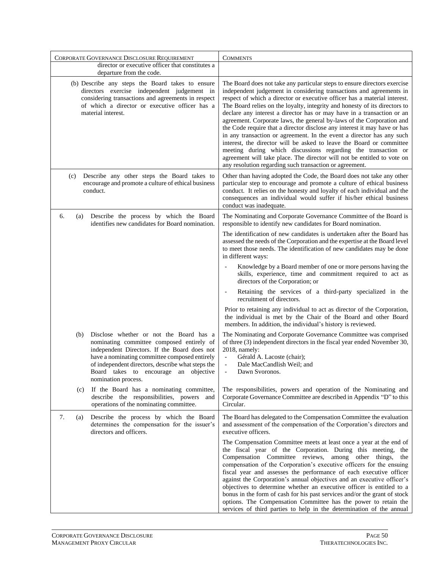|           | CORPORATE GOVERNANCE DISCLOSURE REQUIREMENT                                                                                                                                                                                                                                                                | <b>COMMENTS</b>                                                                                                                                                                                                                                                                                                                                                                                                                                                                                                                                                                                                                                                                                                                                                                                                                                                                                     |
|-----------|------------------------------------------------------------------------------------------------------------------------------------------------------------------------------------------------------------------------------------------------------------------------------------------------------------|-----------------------------------------------------------------------------------------------------------------------------------------------------------------------------------------------------------------------------------------------------------------------------------------------------------------------------------------------------------------------------------------------------------------------------------------------------------------------------------------------------------------------------------------------------------------------------------------------------------------------------------------------------------------------------------------------------------------------------------------------------------------------------------------------------------------------------------------------------------------------------------------------------|
|           | director or executive officer that constitutes a<br>departure from the code.                                                                                                                                                                                                                               |                                                                                                                                                                                                                                                                                                                                                                                                                                                                                                                                                                                                                                                                                                                                                                                                                                                                                                     |
|           | (b) Describe any steps the Board takes to ensure<br>directors exercise independent judgement in<br>considering transactions and agreements in respect<br>of which a director or executive officer has a<br>material interest.                                                                              | The Board does not take any particular steps to ensure directors exercise<br>independent judgement in considering transactions and agreements in<br>respect of which a director or executive officer has a material interest.<br>The Board relies on the loyalty, integrity and honesty of its directors to<br>declare any interest a director has or may have in a transaction or an<br>agreement. Corporate laws, the general by-laws of the Corporation and<br>the Code require that a director disclose any interest it may have or has<br>in any transaction or agreement. In the event a director has any such<br>interest, the director will be asked to leave the Board or committee<br>meeting during which discussions regarding the transaction or<br>agreement will take place. The director will not be entitled to vote on<br>any resolution regarding such transaction or agreement. |
| (c)       | Describe any other steps the Board takes to<br>encourage and promote a culture of ethical business<br>conduct.                                                                                                                                                                                             | Other than having adopted the Code, the Board does not take any other<br>particular step to encourage and promote a culture of ethical business<br>conduct. It relies on the honesty and loyalty of each individual and the<br>consequences an individual would suffer if his/her ethical business<br>conduct was inadequate.                                                                                                                                                                                                                                                                                                                                                                                                                                                                                                                                                                       |
| 6.<br>(a) | Describe the process by which the Board<br>identifies new candidates for Board nomination.                                                                                                                                                                                                                 | The Nominating and Corporate Governance Committee of the Board is<br>responsible to identify new candidates for Board nomination.                                                                                                                                                                                                                                                                                                                                                                                                                                                                                                                                                                                                                                                                                                                                                                   |
|           |                                                                                                                                                                                                                                                                                                            | The identification of new candidates is undertaken after the Board has<br>assessed the needs of the Corporation and the expertise at the Board level<br>to meet those needs. The identification of new candidates may be done<br>in different ways:                                                                                                                                                                                                                                                                                                                                                                                                                                                                                                                                                                                                                                                 |
|           |                                                                                                                                                                                                                                                                                                            | Knowledge by a Board member of one or more persons having the<br>skills, experience, time and commitment required to act as<br>directors of the Corporation; or                                                                                                                                                                                                                                                                                                                                                                                                                                                                                                                                                                                                                                                                                                                                     |
|           |                                                                                                                                                                                                                                                                                                            | Retaining the services of a third-party specialized in the<br>$\overline{\phantom{a}}$<br>recruitment of directors.                                                                                                                                                                                                                                                                                                                                                                                                                                                                                                                                                                                                                                                                                                                                                                                 |
|           |                                                                                                                                                                                                                                                                                                            | Prior to retaining any individual to act as director of the Corporation,<br>the individual is met by the Chair of the Board and other Board<br>members. In addition, the individual's history is reviewed.                                                                                                                                                                                                                                                                                                                                                                                                                                                                                                                                                                                                                                                                                          |
| (b)       | Disclose whether or not the Board has a<br>nominating committee composed entirely of<br>independent Directors. If the Board does not<br>have a nominating committee composed entirely<br>of independent directors, describe what steps the<br>Board takes to encourage an objective<br>nomination process. | The Nominating and Corporate Governance Committee was comprised<br>of three (3) independent directors in the fiscal year ended November 30,<br>2018, namely:<br>$\overline{\phantom{a}}$<br>Gérald A. Lacoste (chair);<br>Dale MacCandlish Weil; and<br>Dawn Svoronos.                                                                                                                                                                                                                                                                                                                                                                                                                                                                                                                                                                                                                              |
| (c)       | If the Board has a nominating committee,<br>describe the responsibilities, powers and<br>operations of the nominating committee.                                                                                                                                                                           | The responsibilities, powers and operation of the Nominating and<br>Corporate Governance Committee are described in Appendix "D" to this<br>Circular.                                                                                                                                                                                                                                                                                                                                                                                                                                                                                                                                                                                                                                                                                                                                               |
| 7.<br>(a) | Describe the process by which the Board<br>determines the compensation for the issuer's<br>directors and officers.                                                                                                                                                                                         | The Board has delegated to the Compensation Committee the evaluation<br>and assessment of the compensation of the Corporation's directors and<br>executive officers.                                                                                                                                                                                                                                                                                                                                                                                                                                                                                                                                                                                                                                                                                                                                |
|           |                                                                                                                                                                                                                                                                                                            | The Compensation Committee meets at least once a year at the end of<br>the fiscal year of the Corporation. During this meeting, the<br>Compensation Committee reviews, among other things,<br>the<br>compensation of the Corporation's executive officers for the ensuing<br>fiscal year and assesses the performance of each executive officer<br>against the Corporation's annual objectives and an executive officer's<br>objectives to determine whether an executive officer is entitled to a<br>bonus in the form of cash for his past services and/or the grant of stock<br>options. The Compensation Committee has the power to retain the<br>services of third parties to help in the determination of the annual                                                                                                                                                                          |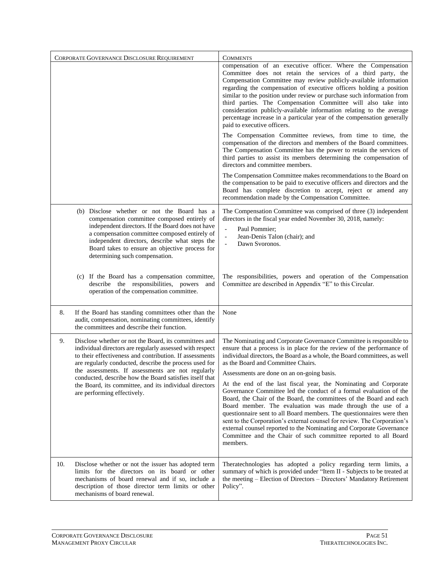|                                                                                                                                                                                                                                                                                                                                                                                                                        | CORPORATE GOVERNANCE DISCLOSURE REQUIREMENT                                                                                                                                                                                                                                                                                            | <b>COMMENTS</b>                                                                                                                                                                                                                                                                                                                                                                                                                                                                                                                                                                                     |
|------------------------------------------------------------------------------------------------------------------------------------------------------------------------------------------------------------------------------------------------------------------------------------------------------------------------------------------------------------------------------------------------------------------------|----------------------------------------------------------------------------------------------------------------------------------------------------------------------------------------------------------------------------------------------------------------------------------------------------------------------------------------|-----------------------------------------------------------------------------------------------------------------------------------------------------------------------------------------------------------------------------------------------------------------------------------------------------------------------------------------------------------------------------------------------------------------------------------------------------------------------------------------------------------------------------------------------------------------------------------------------------|
|                                                                                                                                                                                                                                                                                                                                                                                                                        |                                                                                                                                                                                                                                                                                                                                        | compensation of an executive officer. Where the Compensation<br>Committee does not retain the services of a third party, the<br>Compensation Committee may review publicly-available information<br>regarding the compensation of executive officers holding a position<br>similar to the position under review or purchase such information from<br>third parties. The Compensation Committee will also take into<br>consideration publicly-available information relating to the average<br>percentage increase in a particular year of the compensation generally<br>paid to executive officers. |
|                                                                                                                                                                                                                                                                                                                                                                                                                        |                                                                                                                                                                                                                                                                                                                                        | The Compensation Committee reviews, from time to time, the<br>compensation of the directors and members of the Board committees.<br>The Compensation Committee has the power to retain the services of<br>third parties to assist its members determining the compensation of<br>directors and committee members.                                                                                                                                                                                                                                                                                   |
|                                                                                                                                                                                                                                                                                                                                                                                                                        |                                                                                                                                                                                                                                                                                                                                        | The Compensation Committee makes recommendations to the Board on<br>the compensation to be paid to executive officers and directors and the<br>Board has complete discretion to accept, reject or amend any<br>recommendation made by the Compensation Committee.                                                                                                                                                                                                                                                                                                                                   |
|                                                                                                                                                                                                                                                                                                                                                                                                                        | (b) Disclose whether or not the Board has a<br>compensation committee composed entirely of<br>independent directors. If the Board does not have<br>a compensation committee composed entirely of<br>independent directors, describe what steps the<br>Board takes to ensure an objective process for<br>determining such compensation. | The Compensation Committee was comprised of three (3) independent<br>directors in the fiscal year ended November 30, 2018, namely:<br>Paul Pommier:<br>$\overline{a}$<br>$\overline{a}$<br>Jean-Denis Talon (chair); and<br>Dawn Svoronos.<br>$\overline{a}$                                                                                                                                                                                                                                                                                                                                        |
|                                                                                                                                                                                                                                                                                                                                                                                                                        | (c) If the Board has a compensation committee,<br>describe the responsibilities, powers<br>and<br>operation of the compensation committee.                                                                                                                                                                                             | The responsibilities, powers and operation of the Compensation<br>Committee are described in Appendix "E" to this Circular.                                                                                                                                                                                                                                                                                                                                                                                                                                                                         |
| 8.                                                                                                                                                                                                                                                                                                                                                                                                                     | If the Board has standing committees other than the<br>audit, compensation, nominating committees, identify<br>the committees and describe their function.                                                                                                                                                                             | None                                                                                                                                                                                                                                                                                                                                                                                                                                                                                                                                                                                                |
| 9.<br>Disclose whether or not the Board, its committees and<br>individual directors are regularly assessed with respect<br>to their effectiveness and contribution. If assessments<br>are regularly conducted, describe the process used for<br>the assessments. If assessments are not regularly<br>conducted, describe how the Board satisfies itself that<br>the Board, its committee, and its individual directors |                                                                                                                                                                                                                                                                                                                                        | The Nominating and Corporate Governance Committee is responsible to<br>ensure that a process is in place for the review of the performance of<br>individual directors, the Board as a whole, the Board committees, as well<br>as the Board and Committee Chairs.<br>Assessments are done on an on-going basis.<br>At the end of the last fiscal year, the Nominating and Corporate                                                                                                                                                                                                                  |
|                                                                                                                                                                                                                                                                                                                                                                                                                        | are performing effectively.                                                                                                                                                                                                                                                                                                            | Governance Committee led the conduct of a formal evaluation of the<br>Board, the Chair of the Board, the committees of the Board and each<br>Board member. The evaluation was made through the use of a<br>questionnaire sent to all Board members. The questionnaires were then<br>sent to the Corporation's external counsel for review. The Corporation's<br>external counsel reported to the Nominating and Corporate Governance<br>Committee and the Chair of such committee reported to all Board<br>members.                                                                                 |
| 10.                                                                                                                                                                                                                                                                                                                                                                                                                    | Disclose whether or not the issuer has adopted term<br>limits for the directors on its board or other<br>mechanisms of board renewal and if so, include a<br>description of those director term limits or other<br>mechanisms of board renewal.                                                                                        | Theratechnologies has adopted a policy regarding term limits, a<br>summary of which is provided under "Item II - Subjects to be treated at<br>the meeting - Election of Directors - Directors' Mandatory Retirement<br>Policy".                                                                                                                                                                                                                                                                                                                                                                     |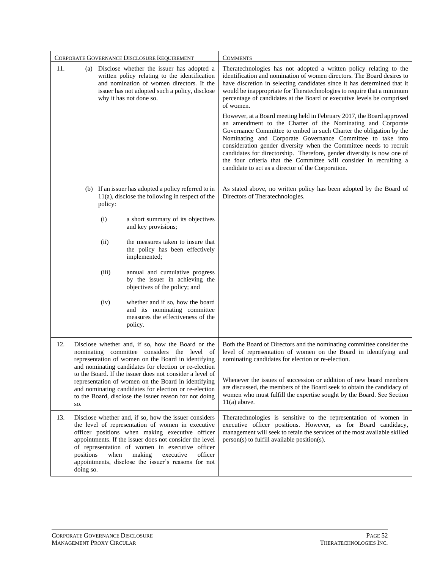| CORPORATE GOVERNANCE DISCLOSURE REQUIREMENT |                                                                                                                                                                                                                          |         | <b>COMMENTS</b>                                                                                                                                                                                                                                                                                                                                                                                                                                        |                                                                                                                                                                                                                                                                                                                                                                                                                                                                                                                                                       |
|---------------------------------------------|--------------------------------------------------------------------------------------------------------------------------------------------------------------------------------------------------------------------------|---------|--------------------------------------------------------------------------------------------------------------------------------------------------------------------------------------------------------------------------------------------------------------------------------------------------------------------------------------------------------------------------------------------------------------------------------------------------------|-------------------------------------------------------------------------------------------------------------------------------------------------------------------------------------------------------------------------------------------------------------------------------------------------------------------------------------------------------------------------------------------------------------------------------------------------------------------------------------------------------------------------------------------------------|
| 11.                                         | (a) Disclose whether the issuer has adopted a<br>written policy relating to the identification<br>and nomination of women directors. If the<br>issuer has not adopted such a policy, disclose<br>why it has not done so. |         |                                                                                                                                                                                                                                                                                                                                                                                                                                                        | Theratechnologies has not adopted a written policy relating to the<br>identification and nomination of women directors. The Board desires to<br>have discretion in selecting candidates since it has determined that it<br>would be inappropriate for Theratechnologies to require that a minimum<br>percentage of candidates at the Board or executive levels be comprised<br>of women.                                                                                                                                                              |
|                                             |                                                                                                                                                                                                                          |         |                                                                                                                                                                                                                                                                                                                                                                                                                                                        | However, at a Board meeting held in February 2017, the Board approved<br>an amendment to the Charter of the Nominating and Corporate<br>Governance Committee to embed in such Charter the obligation by the<br>Nominating and Corporate Governance Committee to take into<br>consideration gender diversity when the Committee needs to recruit<br>candidates for directorship. Therefore, gender diversity is now one of<br>the four criteria that the Committee will consider in recruiting a<br>candidate to act as a director of the Corporation. |
|                                             |                                                                                                                                                                                                                          | policy: | (b) If an issuer has adopted a policy referred to in<br>$11(a)$ , disclose the following in respect of the                                                                                                                                                                                                                                                                                                                                             | As stated above, no written policy has been adopted by the Board of<br>Directors of Theratechnologies.                                                                                                                                                                                                                                                                                                                                                                                                                                                |
|                                             |                                                                                                                                                                                                                          | (i)     | a short summary of its objectives<br>and key provisions;                                                                                                                                                                                                                                                                                                                                                                                               |                                                                                                                                                                                                                                                                                                                                                                                                                                                                                                                                                       |
|                                             |                                                                                                                                                                                                                          | (ii)    | the measures taken to insure that<br>the policy has been effectively<br>implemented;                                                                                                                                                                                                                                                                                                                                                                   |                                                                                                                                                                                                                                                                                                                                                                                                                                                                                                                                                       |
|                                             |                                                                                                                                                                                                                          | (iii)   | annual and cumulative progress<br>by the issuer in achieving the<br>objectives of the policy; and                                                                                                                                                                                                                                                                                                                                                      |                                                                                                                                                                                                                                                                                                                                                                                                                                                                                                                                                       |
|                                             |                                                                                                                                                                                                                          | (iv)    | whether and if so, how the board<br>and its nominating committee<br>measures the effectiveness of the<br>policy.                                                                                                                                                                                                                                                                                                                                       |                                                                                                                                                                                                                                                                                                                                                                                                                                                                                                                                                       |
| 12.                                         | SO.                                                                                                                                                                                                                      |         | Disclose whether and, if so, how the Board or the<br>nominating committee considers the level of<br>representation of women on the Board in identifying<br>and nominating candidates for election or re-election<br>to the Board. If the issuer does not consider a level of<br>representation of women on the Board in identifying<br>and nominating candidates for election or re-election<br>to the Board, disclose the issuer reason for not doing | Both the Board of Directors and the nominating committee consider the<br>level of representation of women on the Board in identifying and<br>nominating candidates for election or re-election.<br>Whenever the issues of succession or addition of new board members<br>are discussed, the members of the Board seek to obtain the candidacy of<br>women who must fulfill the expertise sought by the Board. See Section<br>$11(a)$ above.                                                                                                           |
| 13.                                         | positions<br>doing so.                                                                                                                                                                                                   | when    | Disclose whether and, if so, how the issuer considers<br>the level of representation of women in executive<br>officer positions when making executive officer<br>appointments. If the issuer does not consider the level<br>of representation of women in executive officer<br>making<br>executive<br>officer<br>appointments, disclose the issuer's reasons for not                                                                                   | Theratechnologies is sensitive to the representation of women in<br>executive officer positions. However, as for Board candidacy,<br>management will seek to retain the services of the most available skilled<br>$person(s)$ to fulfill available position(s).                                                                                                                                                                                                                                                                                       |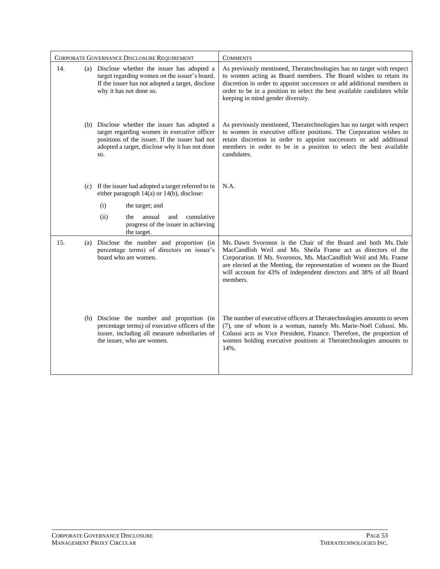| CORPORATE GOVERNANCE DISCLOSURE REQUIREMENT |  |                                                                                                                                                                                                         | <b>COMMENTS</b>                                                                                                                                                                                                                                                                                                                                              |
|---------------------------------------------|--|---------------------------------------------------------------------------------------------------------------------------------------------------------------------------------------------------------|--------------------------------------------------------------------------------------------------------------------------------------------------------------------------------------------------------------------------------------------------------------------------------------------------------------------------------------------------------------|
| 14.                                         |  | (a) Disclose whether the issuer has adopted a<br>target regarding women on the issuer's board.<br>If the issuer has not adopted a target, disclose<br>why it has not done so.                           | As previously mentioned, Theratechnologies has no target with respect<br>to women acting as Board members. The Board wishes to retain its<br>discretion in order to appoint successors or add additional members in<br>order to be in a position to select the best available candidates while<br>keeping in mind gender diversity.                          |
|                                             |  | (b) Disclose whether the issuer has adopted a<br>target regarding women in executive officer<br>positions of the issuer. If the issuer had not<br>adopted a target, disclose why it has not done<br>SO. | As previously mentioned, Theratechnologies has no target with respect<br>to women in executive officer positions. The Corporation wishes to<br>retain discretion in order to appoint successors or add additional<br>members in order to be in a position to select the best available<br>candidates.                                                        |
|                                             |  | (c) If the issuer had adopted a target referred to in<br>either paragraph 14(a) or 14(b), disclose:                                                                                                     | N.A.                                                                                                                                                                                                                                                                                                                                                         |
|                                             |  | (i)<br>the target; and                                                                                                                                                                                  |                                                                                                                                                                                                                                                                                                                                                              |
|                                             |  | (ii)<br>annual<br>cumulative<br>the<br>and<br>progress of the issuer in achieving<br>the target.                                                                                                        |                                                                                                                                                                                                                                                                                                                                                              |
| 15.                                         |  | (a) Disclose the number and proportion (in<br>percentage terms) of directors on issuer's<br>board who are women.                                                                                        | Ms. Dawn Svoronos is the Chair of the Board and both Ms. Dale<br>MacCandlish Weil and Ms. Sheila Frame act as directors of the<br>Corporation. If Ms. Svoronos, Ms. MacCandlish Weil and Ms. Frame<br>are elected at the Meeting, the representation of women on the Board<br>will account for 43% of independent directors and 38% of all Board<br>members. |
|                                             |  | (b) Disclose the number and proportion (in<br>percentage terms) of executive officers of the<br>issuer, including all measure subsidiaries of<br>the issuer, who are women.                             | The number of executive officers at Theratechnologies amounts to seven<br>(7), one of whom is a woman, namely Ms. Marie-Noël Colussi. Ms.<br>Colussi acts as Vice President, Finance. Therefore, the proportion of<br>women holding executive positions at Theratechnologies amounts to<br>14%.                                                              |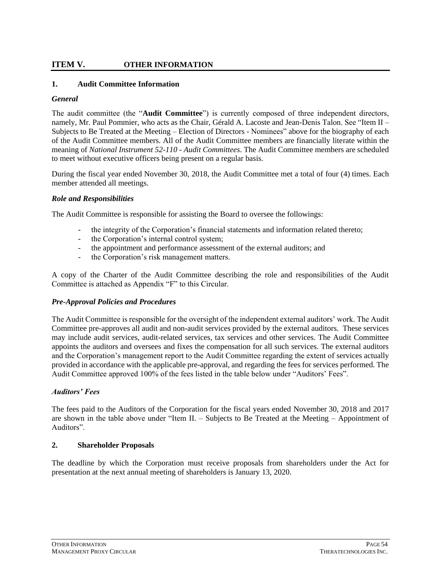# **ITEM V. OTHER INFORMATION**

### **1. Audit Committee Information**

### *General*

The audit committee (the "**Audit Committee**") is currently composed of three independent directors, namely, Mr. Paul Pommier, who acts as the Chair, Gérald A. Lacoste and Jean-Denis Talon. See "Item II – Subjects to Be Treated at the Meeting – Election of Directors - Nominees" above for the biography of each of the Audit Committee members. All of the Audit Committee members are financially literate within the meaning of *National Instrument 52-110 - Audit Committees*. The Audit Committee members are scheduled to meet without executive officers being present on a regular basis.

During the fiscal year ended November 30, 2018, the Audit Committee met a total of four (4) times. Each member attended all meetings.

### *Role and Responsibilities*

The Audit Committee is responsible for assisting the Board to oversee the followings:

- the integrity of the Corporation's financial statements and information related thereto;
- the Corporation's internal control system;
- the appointment and performance assessment of the external auditors; and
- the Corporation's risk management matters.

A copy of the Charter of the Audit Committee describing the role and responsibilities of the Audit Committee is attached as Appendix "F" to this Circular.

### *Pre-Approval Policies and Procedures*

The Audit Committee is responsible for the oversight of the independent external auditors' work. The Audit Committee pre-approves all audit and non-audit services provided by the external auditors. These services may include audit services, audit-related services, tax services and other services. The Audit Committee appoints the auditors and oversees and fixes the compensation for all such services. The external auditors and the Corporation's management report to the Audit Committee regarding the extent of services actually provided in accordance with the applicable pre-approval, and regarding the fees for services performed. The Audit Committee approved 100% of the fees listed in the table below under "Auditors' Fees".

### *Auditors' Fees*

The fees paid to the Auditors of the Corporation for the fiscal years ended November 30, 2018 and 2017 are shown in the table above under "Item II. – Subjects to Be Treated at the Meeting – Appointment of Auditors".

### **2. Shareholder Proposals**

The deadline by which the Corporation must receive proposals from shareholders under the Act for presentation at the next annual meeting of shareholders is January 13, 2020.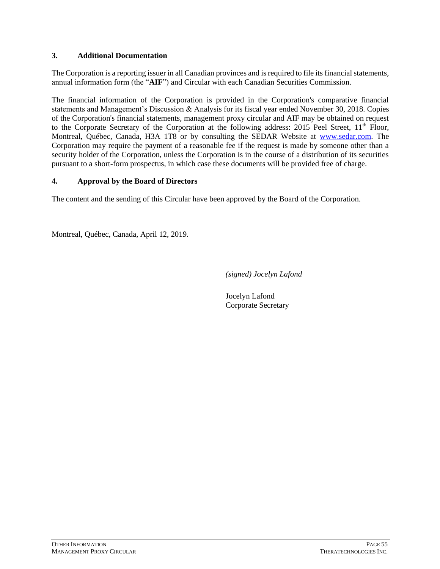# **3. Additional Documentation**

The Corporation is a reporting issuer in all Canadian provinces and is required to file its financial statements, annual information form (the "**AIF**") and Circular with each Canadian Securities Commission.

The financial information of the Corporation is provided in the Corporation's comparative financial statements and Management's Discussion & Analysis for its fiscal year ended November 30, 2018. Copies of the Corporation's financial statements, management proxy circular and AIF may be obtained on request to the Corporate Secretary of the Corporation at the following address: 2015 Peel Street,  $11<sup>th</sup>$  Floor, Montreal, Québec, Canada, H3A 1T8 or by consulting the SEDAR Website at [www.sedar.com.](http://www.sedar.com/) The Corporation may require the payment of a reasonable fee if the request is made by someone other than a security holder of the Corporation, unless the Corporation is in the course of a distribution of its securities pursuant to a short-form prospectus, in which case these documents will be provided free of charge.

# **4. Approval by the Board of Directors**

The content and the sending of this Circular have been approved by the Board of the Corporation.

Montreal, Québec, Canada, April 12, 2019.

*(signed) Jocelyn Lafond*

Jocelyn Lafond Corporate Secretary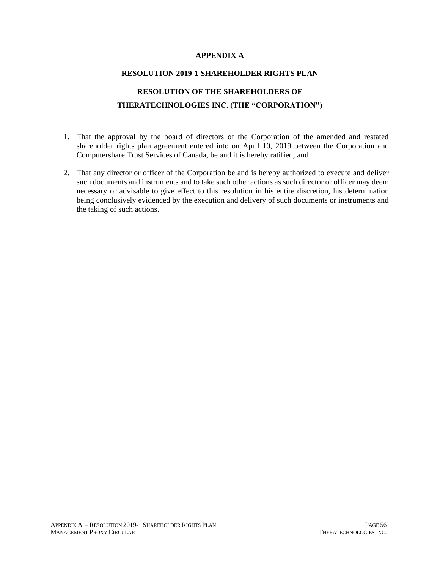# **APPENDIX A**

#### **RESOLUTION 2019-1 SHAREHOLDER RIGHTS PLAN**

# **RESOLUTION OF THE SHAREHOLDERS OF THERATECHNOLOGIES INC. (THE "CORPORATION")**

- 1. That the approval by the board of directors of the Corporation of the amended and restated shareholder rights plan agreement entered into on April 10, 2019 between the Corporation and Computershare Trust Services of Canada, be and it is hereby ratified; and
- 2. That any director or officer of the Corporation be and is hereby authorized to execute and deliver such documents and instruments and to take such other actions as such director or officer may deem necessary or advisable to give effect to this resolution in his entire discretion, his determination being conclusively evidenced by the execution and delivery of such documents or instruments and the taking of such actions.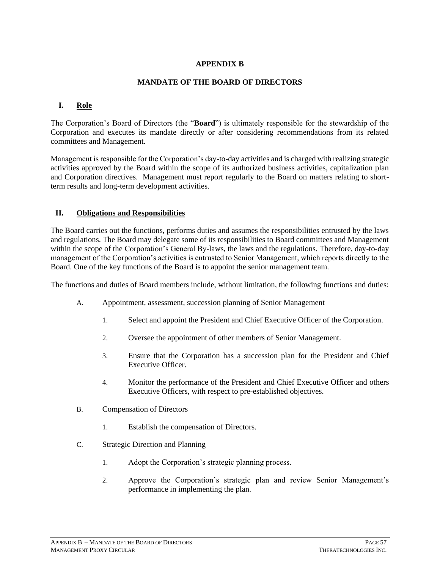# **APPENDIX B**

### **MANDATE OF THE BOARD OF DIRECTORS**

### **I. Role**

The Corporation's Board of Directors (the "**Board**") is ultimately responsible for the stewardship of the Corporation and executes its mandate directly or after considering recommendations from its related committees and Management.

Management is responsible for the Corporation's day-to-day activities and is charged with realizing strategic activities approved by the Board within the scope of its authorized business activities, capitalization plan and Corporation directives. Management must report regularly to the Board on matters relating to shortterm results and long-term development activities.

### **II. Obligations and Responsibilities**

The Board carries out the functions, performs duties and assumes the responsibilities entrusted by the laws and regulations. The Board may delegate some of its responsibilities to Board committees and Management within the scope of the Corporation's General By-laws, the laws and the regulations. Therefore, day-to-day management of the Corporation's activities is entrusted to Senior Management, which reports directly to the Board. One of the key functions of the Board is to appoint the senior management team.

The functions and duties of Board members include, without limitation, the following functions and duties:

- A. Appointment, assessment, succession planning of Senior Management
	- 1. Select and appoint the President and Chief Executive Officer of the Corporation.
	- 2. Oversee the appointment of other members of Senior Management.
	- 3. Ensure that the Corporation has a succession plan for the President and Chief Executive Officer.
	- 4. Monitor the performance of the President and Chief Executive Officer and others Executive Officers, with respect to pre-established objectives.
- B. Compensation of Directors
	- 1. Establish the compensation of Directors.
- C. Strategic Direction and Planning
	- 1. Adopt the Corporation's strategic planning process.
	- 2. Approve the Corporation's strategic plan and review Senior Management's performance in implementing the plan.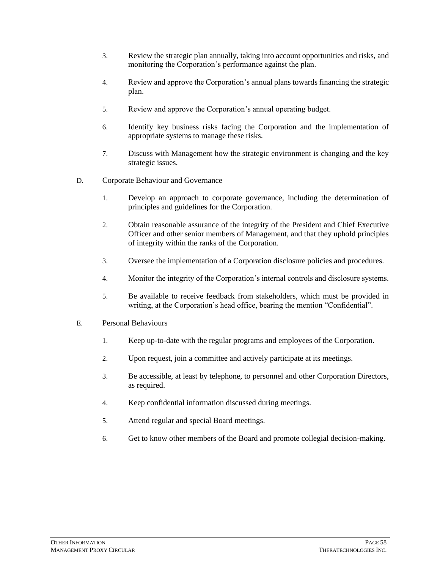- 3. Review the strategic plan annually, taking into account opportunities and risks, and monitoring the Corporation's performance against the plan.
- 4. Review and approve the Corporation's annual plans towards financing the strategic plan.
- 5. Review and approve the Corporation's annual operating budget.
- 6. Identify key business risks facing the Corporation and the implementation of appropriate systems to manage these risks.
- 7. Discuss with Management how the strategic environment is changing and the key strategic issues.
- D. Corporate Behaviour and Governance
	- 1. Develop an approach to corporate governance, including the determination of principles and guidelines for the Corporation.
	- 2. Obtain reasonable assurance of the integrity of the President and Chief Executive Officer and other senior members of Management, and that they uphold principles of integrity within the ranks of the Corporation.
	- 3. Oversee the implementation of a Corporation disclosure policies and procedures.
	- 4. Monitor the integrity of the Corporation's internal controls and disclosure systems.
	- 5. Be available to receive feedback from stakeholders, which must be provided in writing, at the Corporation's head office, bearing the mention "Confidential".
- E. Personal Behaviours
	- 1. Keep up-to-date with the regular programs and employees of the Corporation.
	- 2. Upon request, join a committee and actively participate at its meetings.
	- 3. Be accessible, at least by telephone, to personnel and other Corporation Directors, as required.
	- 4. Keep confidential information discussed during meetings.
	- 5. Attend regular and special Board meetings.
	- 6. Get to know other members of the Board and promote collegial decision-making.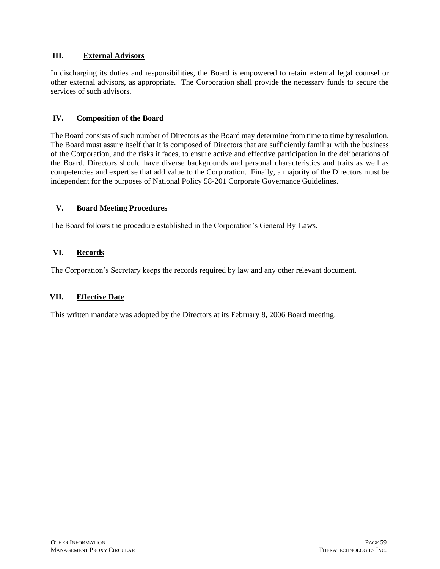# **III. External Advisors**

In discharging its duties and responsibilities, the Board is empowered to retain external legal counsel or other external advisors, as appropriate. The Corporation shall provide the necessary funds to secure the services of such advisors.

# **IV. Composition of the Board**

The Board consists of such number of Directors as the Board may determine from time to time by resolution. The Board must assure itself that it is composed of Directors that are sufficiently familiar with the business of the Corporation, and the risks it faces, to ensure active and effective participation in the deliberations of the Board. Directors should have diverse backgrounds and personal characteristics and traits as well as competencies and expertise that add value to the Corporation. Finally, a majority of the Directors must be independent for the purposes of National Policy 58-201 Corporate Governance Guidelines.

### **V. Board Meeting Procedures**

The Board follows the procedure established in the Corporation's General By-Laws.

# **VI. Records**

The Corporation's Secretary keeps the records required by law and any other relevant document.

# **VII. Effective Date**

This written mandate was adopted by the Directors at its February 8, 2006 Board meeting.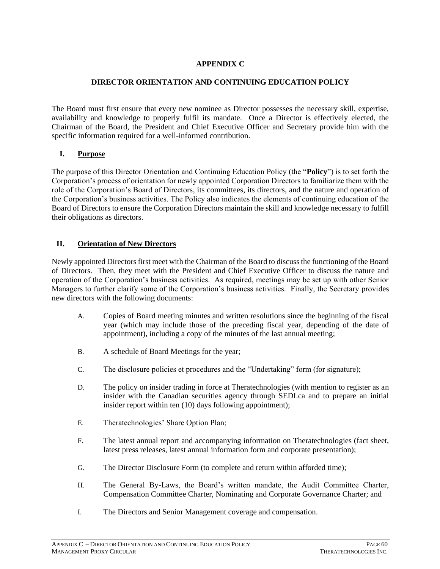# **APPENDIX C**

# **DIRECTOR ORIENTATION AND CONTINUING EDUCATION POLICY**

The Board must first ensure that every new nominee as Director possesses the necessary skill, expertise, availability and knowledge to properly fulfil its mandate. Once a Director is effectively elected, the Chairman of the Board, the President and Chief Executive Officer and Secretary provide him with the specific information required for a well-informed contribution.

# **I. Purpose**

The purpose of this Director Orientation and Continuing Education Policy (the "**Policy**") is to set forth the Corporation's process of orientation for newly appointed Corporation Directors to familiarize them with the role of the Corporation's Board of Directors, its committees, its directors, and the nature and operation of the Corporation's business activities. The Policy also indicates the elements of continuing education of the Board of Directors to ensure the Corporation Directors maintain the skill and knowledge necessary to fulfill their obligations as directors.

# **II. Orientation of New Directors**

Newly appointed Directors first meet with the Chairman of the Board to discuss the functioning of the Board of Directors. Then, they meet with the President and Chief Executive Officer to discuss the nature and operation of the Corporation's business activities. As required, meetings may be set up with other Senior Managers to further clarify some of the Corporation's business activities. Finally, the Secretary provides new directors with the following documents:

- A. Copies of Board meeting minutes and written resolutions since the beginning of the fiscal year (which may include those of the preceding fiscal year, depending of the date of appointment), including a copy of the minutes of the last annual meeting;
- B. A schedule of Board Meetings for the year;
- C. The disclosure policies et procedures and the "Undertaking" form (for signature);
- D. The policy on insider trading in force at Theratechnologies (with mention to register as an insider with the Canadian securities agency through SEDI.ca and to prepare an initial insider report within ten (10) days following appointment);
- E. Theratechnologies' Share Option Plan;
- F. The latest annual report and accompanying information on Theratechnologies (fact sheet, latest press releases, latest annual information form and corporate presentation);
- G. The Director Disclosure Form (to complete and return within afforded time);
- H. The General By-Laws, the Board's written mandate, the Audit Committee Charter, Compensation Committee Charter, Nominating and Corporate Governance Charter; and
- I. The Directors and Senior Management coverage and compensation.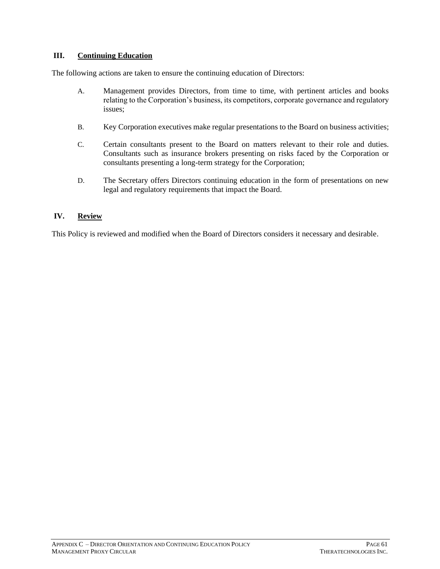# **III. Continuing Education**

The following actions are taken to ensure the continuing education of Directors:

- A. Management provides Directors, from time to time, with pertinent articles and books relating to the Corporation's business, its competitors, corporate governance and regulatory issues;
- B. Key Corporation executives make regular presentations to the Board on business activities;
- C. Certain consultants present to the Board on matters relevant to their role and duties. Consultants such as insurance brokers presenting on risks faced by the Corporation or consultants presenting a long-term strategy for the Corporation;
- D. The Secretary offers Directors continuing education in the form of presentations on new legal and regulatory requirements that impact the Board.

# **IV. Review**

This Policy is reviewed and modified when the Board of Directors considers it necessary and desirable.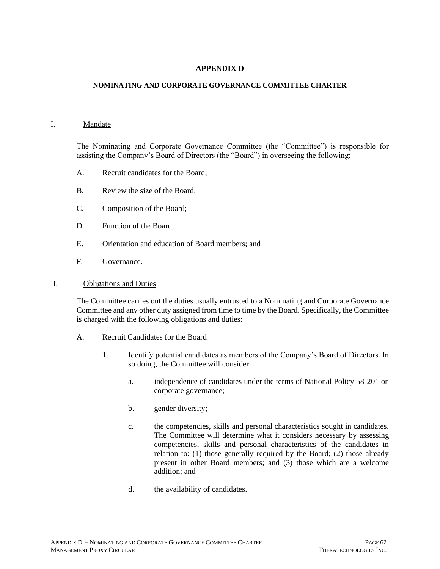### **APPENDIX D**

#### **NOMINATING AND CORPORATE GOVERNANCE COMMITTEE CHARTER**

#### I. Mandate

The Nominating and Corporate Governance Committee (the "Committee") is responsible for assisting the Company's Board of Directors (the "Board") in overseeing the following:

- A. Recruit candidates for the Board;
- B. Review the size of the Board;
- C. Composition of the Board;
- D. Function of the Board;
- E. Orientation and education of Board members; and
- F. Governance.

#### II. Obligations and Duties

The Committee carries out the duties usually entrusted to a Nominating and Corporate Governance Committee and any other duty assigned from time to time by the Board. Specifically, the Committee is charged with the following obligations and duties:

- A. Recruit Candidates for the Board
	- 1. Identify potential candidates as members of the Company's Board of Directors. In so doing, the Committee will consider:
		- a. independence of candidates under the terms of National Policy 58-201 on corporate governance;
		- b. gender diversity;
		- c. the competencies, skills and personal characteristics sought in candidates. The Committee will determine what it considers necessary by assessing competencies, skills and personal characteristics of the candidates in relation to: (1) those generally required by the Board; (2) those already present in other Board members; and (3) those which are a welcome addition; and
		- d. the availability of candidates.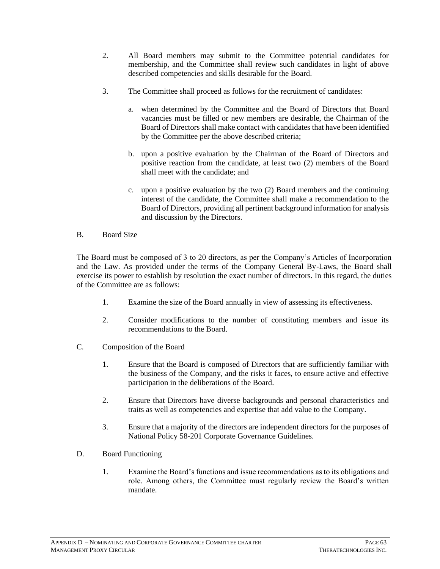- 2. All Board members may submit to the Committee potential candidates for membership, and the Committee shall review such candidates in light of above described competencies and skills desirable for the Board.
- 3. The Committee shall proceed as follows for the recruitment of candidates:
	- a. when determined by the Committee and the Board of Directors that Board vacancies must be filled or new members are desirable, the Chairman of the Board of Directors shall make contact with candidates that have been identified by the Committee per the above described criteria;
	- b. upon a positive evaluation by the Chairman of the Board of Directors and positive reaction from the candidate, at least two (2) members of the Board shall meet with the candidate; and
	- c. upon a positive evaluation by the two (2) Board members and the continuing interest of the candidate, the Committee shall make a recommendation to the Board of Directors, providing all pertinent background information for analysis and discussion by the Directors.

# B. Board Size

The Board must be composed of 3 to 20 directors, as per the Company's Articles of Incorporation and the Law. As provided under the terms of the Company General By-Laws, the Board shall exercise its power to establish by resolution the exact number of directors. In this regard, the duties of the Committee are as follows:

- 1. Examine the size of the Board annually in view of assessing its effectiveness.
- 2. Consider modifications to the number of constituting members and issue its recommendations to the Board.
- C. Composition of the Board
	- 1. Ensure that the Board is composed of Directors that are sufficiently familiar with the business of the Company, and the risks it faces, to ensure active and effective participation in the deliberations of the Board.
	- 2. Ensure that Directors have diverse backgrounds and personal characteristics and traits as well as competencies and expertise that add value to the Company.
	- 3. Ensure that a majority of the directors are independent directors for the purposes of National Policy 58-201 Corporate Governance Guidelines.
- D. Board Functioning
	- 1. Examine the Board's functions and issue recommendations as to its obligations and role. Among others, the Committee must regularly review the Board's written mandate.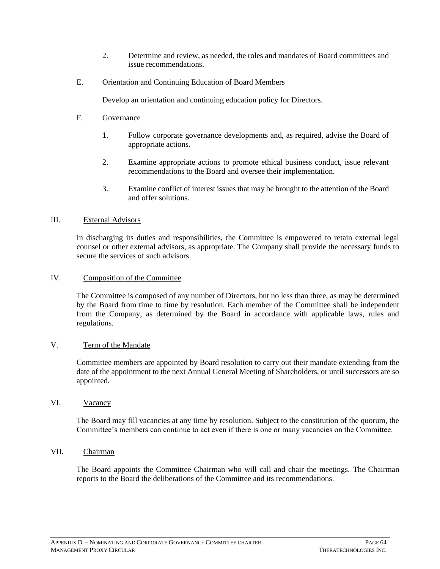- 2. Determine and review, as needed, the roles and mandates of Board committees and issue recommendations.
- E. Orientation and Continuing Education of Board Members

Develop an orientation and continuing education policy for Directors.

- F. Governance
	- 1. Follow corporate governance developments and, as required, advise the Board of appropriate actions.
	- 2. Examine appropriate actions to promote ethical business conduct, issue relevant recommendations to the Board and oversee their implementation.
	- 3. Examine conflict of interest issues that may be brought to the attention of the Board and offer solutions.

### III. External Advisors

In discharging its duties and responsibilities, the Committee is empowered to retain external legal counsel or other external advisors, as appropriate. The Company shall provide the necessary funds to secure the services of such advisors.

### IV. Composition of the Committee

The Committee is composed of any number of Directors, but no less than three, as may be determined by the Board from time to time by resolution. Each member of the Committee shall be independent from the Company, as determined by the Board in accordance with applicable laws, rules and regulations.

### V. Term of the Mandate

Committee members are appointed by Board resolution to carry out their mandate extending from the date of the appointment to the next Annual General Meeting of Shareholders, or until successors are so appointed.

### VI. Vacancy

The Board may fill vacancies at any time by resolution. Subject to the constitution of the quorum, the Committee's members can continue to act even if there is one or many vacancies on the Committee.

# VII. Chairman

The Board appoints the Committee Chairman who will call and chair the meetings. The Chairman reports to the Board the deliberations of the Committee and its recommendations.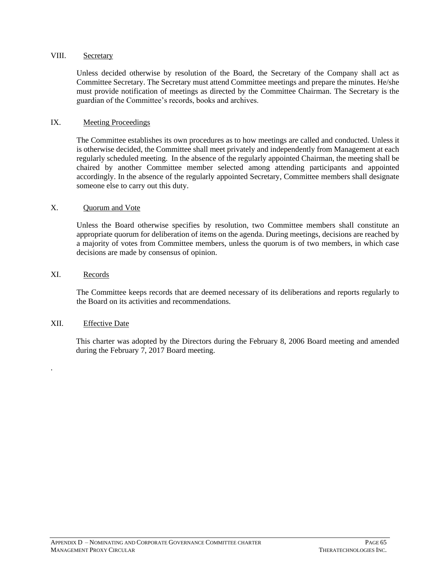### VIII. Secretary

Unless decided otherwise by resolution of the Board, the Secretary of the Company shall act as Committee Secretary. The Secretary must attend Committee meetings and prepare the minutes. He/she must provide notification of meetings as directed by the Committee Chairman. The Secretary is the guardian of the Committee's records, books and archives.

### IX. Meeting Proceedings

The Committee establishes its own procedures as to how meetings are called and conducted. Unless it is otherwise decided, the Committee shall meet privately and independently from Management at each regularly scheduled meeting. In the absence of the regularly appointed Chairman, the meeting shall be chaired by another Committee member selected among attending participants and appointed accordingly. In the absence of the regularly appointed Secretary, Committee members shall designate someone else to carry out this duty.

### X. Ouorum and Vote

Unless the Board otherwise specifies by resolution, two Committee members shall constitute an appropriate quorum for deliberation of items on the agenda. During meetings, decisions are reached by a majority of votes from Committee members, unless the quorum is of two members, in which case decisions are made by consensus of opinion.

### XI. Records

.

The Committee keeps records that are deemed necessary of its deliberations and reports regularly to the Board on its activities and recommendations.

### XII. Effective Date

This charter was adopted by the Directors during the February 8, 2006 Board meeting and amended during the February 7, 2017 Board meeting.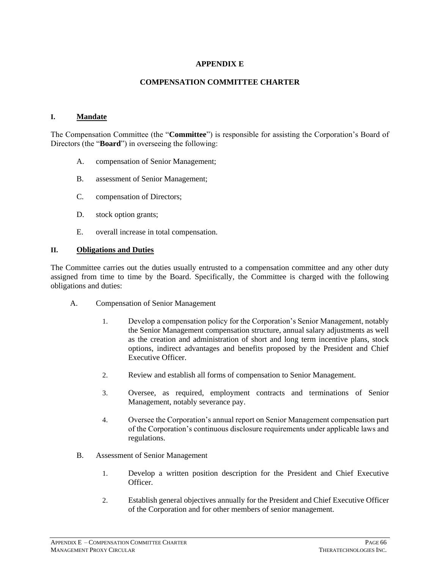# **APPENDIX E**

### **COMPENSATION COMMITTEE CHARTER**

#### **I. Mandate**

The Compensation Committee (the "**Committee**") is responsible for assisting the Corporation's Board of Directors (the "**Board**") in overseeing the following:

- A. compensation of Senior Management;
- B. assessment of Senior Management;
- C. compensation of Directors;
- D. stock option grants;
- E. overall increase in total compensation.

#### **II. Obligations and Duties**

The Committee carries out the duties usually entrusted to a compensation committee and any other duty assigned from time to time by the Board. Specifically, the Committee is charged with the following obligations and duties:

- A. Compensation of Senior Management
	- 1. Develop a compensation policy for the Corporation's Senior Management, notably the Senior Management compensation structure, annual salary adjustments as well as the creation and administration of short and long term incentive plans, stock options, indirect advantages and benefits proposed by the President and Chief Executive Officer.
	- 2. Review and establish all forms of compensation to Senior Management.
	- 3. Oversee, as required, employment contracts and terminations of Senior Management, notably severance pay.
	- 4. Oversee the Corporation's annual report on Senior Management compensation part of the Corporation's continuous disclosure requirements under applicable laws and regulations.
	- B. Assessment of Senior Management
		- 1. Develop a written position description for the President and Chief Executive Officer.
		- 2. Establish general objectives annually for the President and Chief Executive Officer of the Corporation and for other members of senior management.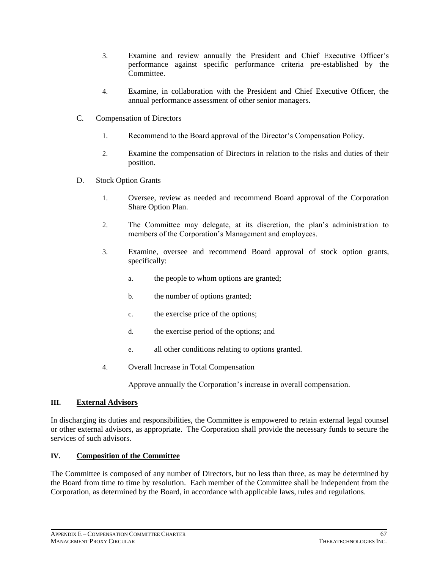- 3. Examine and review annually the President and Chief Executive Officer's performance against specific performance criteria pre-established by the Committee.
- 4. Examine, in collaboration with the President and Chief Executive Officer, the annual performance assessment of other senior managers.
- C. Compensation of Directors
	- 1. Recommend to the Board approval of the Director's Compensation Policy.
	- 2. Examine the compensation of Directors in relation to the risks and duties of their position.
- D. Stock Option Grants
	- 1. Oversee, review as needed and recommend Board approval of the Corporation Share Option Plan.
	- 2. The Committee may delegate, at its discretion, the plan's administration to members of the Corporation's Management and employees.
	- 3. Examine, oversee and recommend Board approval of stock option grants, specifically:
		- a. the people to whom options are granted;
		- b. the number of options granted;
		- c. the exercise price of the options;
		- d. the exercise period of the options; and
		- e. all other conditions relating to options granted.
	- 4. Overall Increase in Total Compensation

Approve annually the Corporation's increase in overall compensation.

### **III. External Advisors**

In discharging its duties and responsibilities, the Committee is empowered to retain external legal counsel or other external advisors, as appropriate. The Corporation shall provide the necessary funds to secure the services of such advisors.

### **IV. Composition of the Committee**

The Committee is composed of any number of Directors, but no less than three, as may be determined by the Board from time to time by resolution. Each member of the Committee shall be independent from the Corporation, as determined by the Board, in accordance with applicable laws, rules and regulations.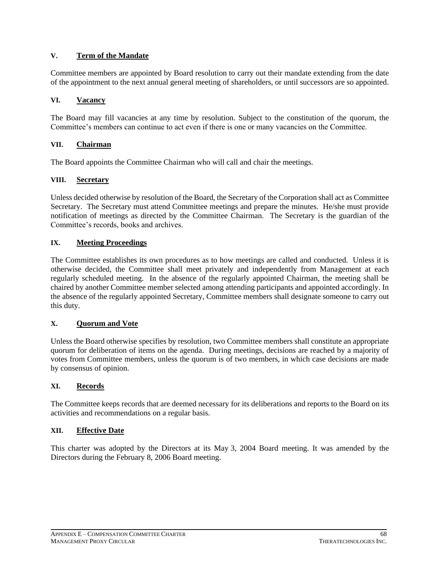# **V. Term of the Mandate**

Committee members are appointed by Board resolution to carry out their mandate extending from the date of the appointment to the next annual general meeting of shareholders, or until successors are so appointed.

### **VI. Vacancy**

The Board may fill vacancies at any time by resolution. Subject to the constitution of the quorum, the Committee's members can continue to act even if there is one or many vacancies on the Committee.

### **VII. Chairman**

The Board appoints the Committee Chairman who will call and chair the meetings.

### **VIII. Secretary**

Unless decided otherwise by resolution of the Board, the Secretary of the Corporation shall act as Committee Secretary. The Secretary must attend Committee meetings and prepare the minutes. He/she must provide notification of meetings as directed by the Committee Chairman. The Secretary is the guardian of the Committee's records, books and archives.

# **IX. Meeting Proceedings**

The Committee establishes its own procedures as to how meetings are called and conducted. Unless it is otherwise decided, the Committee shall meet privately and independently from Management at each regularly scheduled meeting. In the absence of the regularly appointed Chairman, the meeting shall be chaired by another Committee member selected among attending participants and appointed accordingly. In the absence of the regularly appointed Secretary, Committee members shall designate someone to carry out this duty.

### **X. Quorum and Vote**

Unless the Board otherwise specifies by resolution, two Committee members shall constitute an appropriate quorum for deliberation of items on the agenda. During meetings, decisions are reached by a majority of votes from Committee members, unless the quorum is of two members, in which case decisions are made by consensus of opinion.

### **XI. Records**

The Committee keeps records that are deemed necessary for its deliberations and reports to the Board on its activities and recommendations on a regular basis.

### **XII. Effective Date**

This charter was adopted by the Directors at its May 3, 2004 Board meeting. It was amended by the Directors during the February 8, 2006 Board meeting.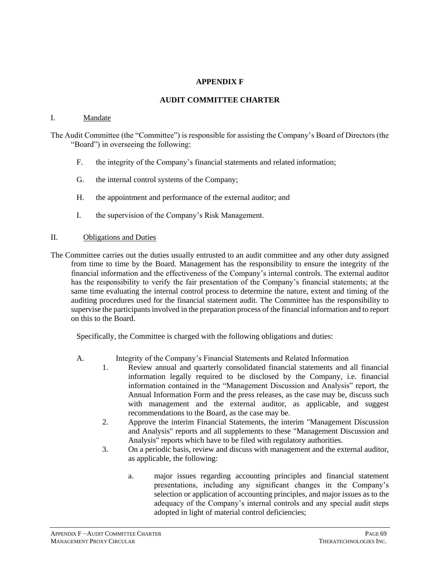## **APPENDIX F**

## **AUDIT COMMITTEE CHARTER**

#### I. Mandate

The Audit Committee (the "Committee") is responsible for assisting the Company's Board of Directors (the "Board") in overseeing the following:

- F. the integrity of the Company's financial statements and related information;
- G. the internal control systems of the Company;
- H. the appointment and performance of the external auditor; and
- I. the supervision of the Company's Risk Management.

#### II. Obligations and Duties

The Committee carries out the duties usually entrusted to an audit committee and any other duty assigned from time to time by the Board. Management has the responsibility to ensure the integrity of the financial information and the effectiveness of the Company's internal controls. The external auditor has the responsibility to verify the fair presentation of the Company's financial statements; at the same time evaluating the internal control process to determine the nature, extent and timing of the auditing procedures used for the financial statement audit. The Committee has the responsibility to supervise the participants involved in the preparation process of the financial information and to report on this to the Board.

Specifically, the Committee is charged with the following obligations and duties:

- A. Integrity of the Company's Financial Statements and Related Information
	- 1. Review annual and quarterly consolidated financial statements and all financial information legally required to be disclosed by the Company, i.e. financial information contained in the "Management Discussion and Analysis" report, the Annual Information Form and the press releases, as the case may be, discuss such with management and the external auditor, as applicable, and suggest recommendations to the Board, as the case may be.
	- 2. Approve the interim Financial Statements, the interim "Management Discussion and Analysis" reports and all supplements to these "Management Discussion and Analysis" reports which have to be filed with regulatory authorities.
	- 3. On a periodic basis, review and discuss with management and the external auditor, as applicable, the following:
		- a. major issues regarding accounting principles and financial statement presentations, including any significant changes in the Company's selection or application of accounting principles, and major issues as to the adequacy of the Company's internal controls and any special audit steps adopted in light of material control deficiencies;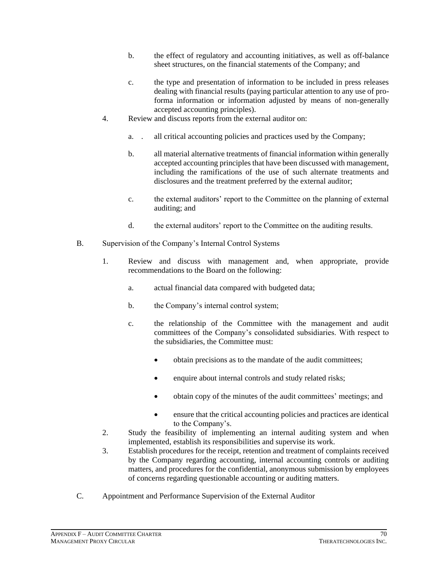- b. the effect of regulatory and accounting initiatives, as well as off-balance sheet structures, on the financial statements of the Company; and
- c. the type and presentation of information to be included in press releases dealing with financial results (paying particular attention to any use of proforma information or information adjusted by means of non-generally accepted accounting principles).
- 4. Review and discuss reports from the external auditor on:
	- a. . all critical accounting policies and practices used by the Company;
	- b. all material alternative treatments of financial information within generally accepted accounting principles that have been discussed with management, including the ramifications of the use of such alternate treatments and disclosures and the treatment preferred by the external auditor;
	- c. the external auditors' report to the Committee on the planning of external auditing; and
	- d. the external auditors' report to the Committee on the auditing results.
- B. Supervision of the Company's Internal Control Systems
	- 1. Review and discuss with management and, when appropriate, provide recommendations to the Board on the following:
		- a. actual financial data compared with budgeted data;
		- b. the Company's internal control system;
		- c. the relationship of the Committee with the management and audit committees of the Company's consolidated subsidiaries. With respect to the subsidiaries, the Committee must:
			- obtain precisions as to the mandate of the audit committees;
			- enquire about internal controls and study related risks;
			- obtain copy of the minutes of the audit committees' meetings; and
			- ensure that the critical accounting policies and practices are identical to the Company's.
	- 2. Study the feasibility of implementing an internal auditing system and when implemented, establish its responsibilities and supervise its work.
	- 3. Establish procedures for the receipt, retention and treatment of complaints received by the Company regarding accounting, internal accounting controls or auditing matters, and procedures for the confidential, anonymous submission by employees of concerns regarding questionable accounting or auditing matters.
- C. Appointment and Performance Supervision of the External Auditor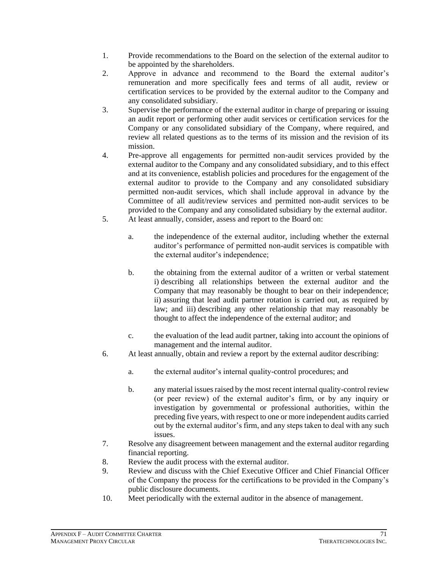- 1. Provide recommendations to the Board on the selection of the external auditor to be appointed by the shareholders.
- 2. Approve in advance and recommend to the Board the external auditor's remuneration and more specifically fees and terms of all audit, review or certification services to be provided by the external auditor to the Company and any consolidated subsidiary.
- 3. Supervise the performance of the external auditor in charge of preparing or issuing an audit report or performing other audit services or certification services for the Company or any consolidated subsidiary of the Company, where required, and review all related questions as to the terms of its mission and the revision of its mission.
- 4. Pre-approve all engagements for permitted non-audit services provided by the external auditor to the Company and any consolidated subsidiary, and to this effect and at its convenience, establish policies and procedures for the engagement of the external auditor to provide to the Company and any consolidated subsidiary permitted non-audit services, which shall include approval in advance by the Committee of all audit/review services and permitted non-audit services to be provided to the Company and any consolidated subsidiary by the external auditor.
- 5. At least annually, consider, assess and report to the Board on:
	- a. the independence of the external auditor, including whether the external auditor's performance of permitted non-audit services is compatible with the external auditor's independence;
	- b. the obtaining from the external auditor of a written or verbal statement i) describing all relationships between the external auditor and the Company that may reasonably be thought to bear on their independence; ii) assuring that lead audit partner rotation is carried out, as required by law; and iii) describing any other relationship that may reasonably be thought to affect the independence of the external auditor; and
	- c. the evaluation of the lead audit partner, taking into account the opinions of management and the internal auditor.
- 6. At least annually, obtain and review a report by the external auditor describing:
	- a. the external auditor's internal quality-control procedures; and
	- b. any material issues raised by the most recent internal quality-control review (or peer review) of the external auditor's firm, or by any inquiry or investigation by governmental or professional authorities, within the preceding five years, with respect to one or more independent audits carried out by the external auditor's firm, and any steps taken to deal with any such issues.
- 7. Resolve any disagreement between management and the external auditor regarding financial reporting.
- 8. Review the audit process with the external auditor.
- 9. Review and discuss with the Chief Executive Officer and Chief Financial Officer of the Company the process for the certifications to be provided in the Company's public disclosure documents.
- 10. Meet periodically with the external auditor in the absence of management.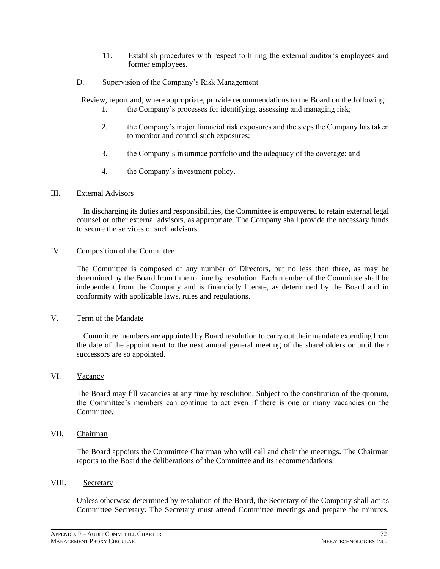- 11. Establish procedures with respect to hiring the external auditor's employees and former employees.
- D. Supervision of the Company's Risk Management

Review, report and, where appropriate, provide recommendations to the Board on the following:

- 1. the Company's processes for identifying, assessing and managing risk;
- 2. the Company's major financial risk exposures and the steps the Company has taken to monitor and control such exposures;
- 3. the Company's insurance portfolio and the adequacy of the coverage; and
- 4. the Company's investment policy.

#### III. External Advisors

In discharging its duties and responsibilities, the Committee is empowered to retain external legal counsel or other external advisors, as appropriate. The Company shall provide the necessary funds to secure the services of such advisors.

#### IV. Composition of the Committee

The Committee is composed of any number of Directors, but no less than three, as may be determined by the Board from time to time by resolution. Each member of the Committee shall be independent from the Company and is financially literate, as determined by the Board and in conformity with applicable laws, rules and regulations.

# V. Term of the Mandate

Committee members are appointed by Board resolution to carry out their mandate extending from the date of the appointment to the next annual general meeting of the shareholders or until their successors are so appointed.

#### VI. Vacancy

The Board may fill vacancies at any time by resolution. Subject to the constitution of the quorum, the Committee's members can continue to act even if there is one or many vacancies on the Committee.

## VII. Chairman

The Board appoints the Committee Chairman who will call and chair the meetings**.** The Chairman reports to the Board the deliberations of the Committee and its recommendations.

#### VIII. Secretary

Unless otherwise determined by resolution of the Board, the Secretary of the Company shall act as Committee Secretary. The Secretary must attend Committee meetings and prepare the minutes.